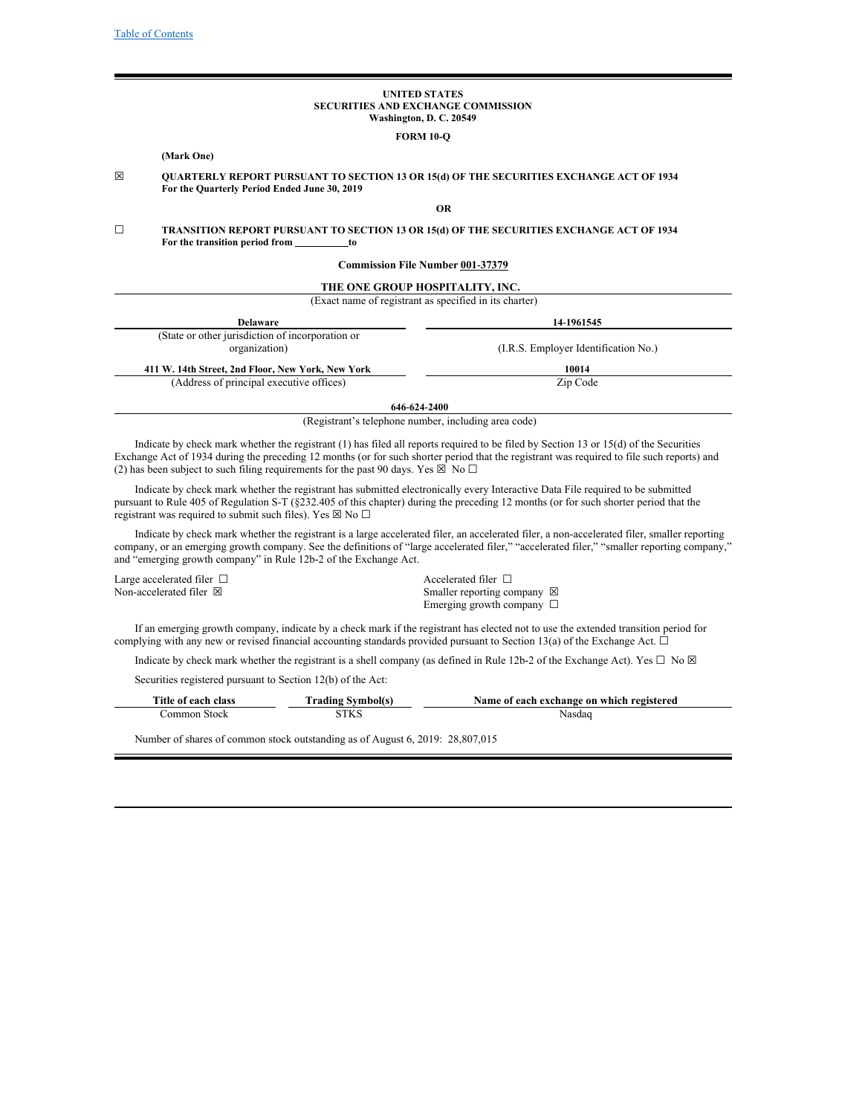## **UNITED STATES SECURITIES AND EXCHANGE COMMISSION Washington, D. C. 20549**

### **FORM 10-Q**

# **(Mark One)**

☒ **QUARTERLY REPORT PURSUANT TO SECTION 13 OR 15(d) OF THE SECURITIES EXCHANGE ACT OF 1934 For the Quarterly Period Ended June 30, 2019**

# **OR**

☐ **TRANSITION REPORT PURSUANT TO SECTION 13 OR 15(d) OF THE SECURITIES EXCHANGE ACT OF 1934 For the transition period from to**

## **Commission File Number 001‑37379**

## **THE ONE GROUP HOSPITALITY, INC.**

| (Exact name of registrant as specified in its charter) |  |  |  |
|--------------------------------------------------------|--|--|--|
|--------------------------------------------------------|--|--|--|

| <b>Delaware</b>                                                   | 14-1961545                           |
|-------------------------------------------------------------------|--------------------------------------|
| (State or other jurisdiction of incorporation or<br>organization) | (I.R.S. Employer Identification No.) |
| 411 W. 14th Street, 2nd Floor, New York, New York                 | 10014                                |
| (Address of principal executive offices)                          | Zip Code                             |
| 646-624-2400                                                      |                                      |

(Registrant's telephone number, including area code)

Indicate by check mark whether the registrant (1) has filed all reports required to be filed by Section 13 or 15(d) of the Securities Exchange Act of 1934 during the preceding 12 months (or for such shorter period that the registrant was required to file such reports) and (2) has been subject to such filing requirements for the past 90 days. Yes  $\boxtimes \overline{\otimes}$  No  $\Box$ 

Indicate by check mark whether the registrant has submitted electronically every Interactive Data File required to be submitted pursuant to Rule 405 of Regulation S-T (§232.405 of this chapter) during the preceding 12 months (or for such shorter period that the registrant was required to submit such files). Yes  $\boxtimes$  No  $\Box$ 

Indicate by check mark whether the registrant is a large accelerated filer, an accelerated filer, a non-accelerated filer, smaller reporting company, or an emerging growth company. See the definitions of "large accelerated filer," "accelerated filer," "smaller reporting company," and "emerging growth company" in Rule 12b-2 of the Exchange Act.

| Large accelerated filer $\Box$    | Accelerated filer $\Box$              |
|-----------------------------------|---------------------------------------|
| Non-accelerated filer $\boxtimes$ | Smaller reporting company $\boxtimes$ |
|                                   | Emerging growth company $\Box$        |

If an emerging growth company, indicate by a check mark if the registrant has elected not to use the extended transition period for complying with any new or revised financial accounting standards provided pursuant to Section 13(a) of the Exchange Act.  $\Box$ 

Indicate by check mark whether the registrant is a shell company (as defined in Rule 12b–2 of the Exchange Act). Yes  $\Box$  No  $\boxtimes$ 

Securities registered pursuant to Section 12(b) of the Act:

| Title of each class | Symbolls<br>rading | Name of each exchange on which registered |
|---------------------|--------------------|-------------------------------------------|
| Stock<br>ommon      | STKS               | Nasdac                                    |

Number of shares of common stock outstanding as of August 6, 2019: 28,807,015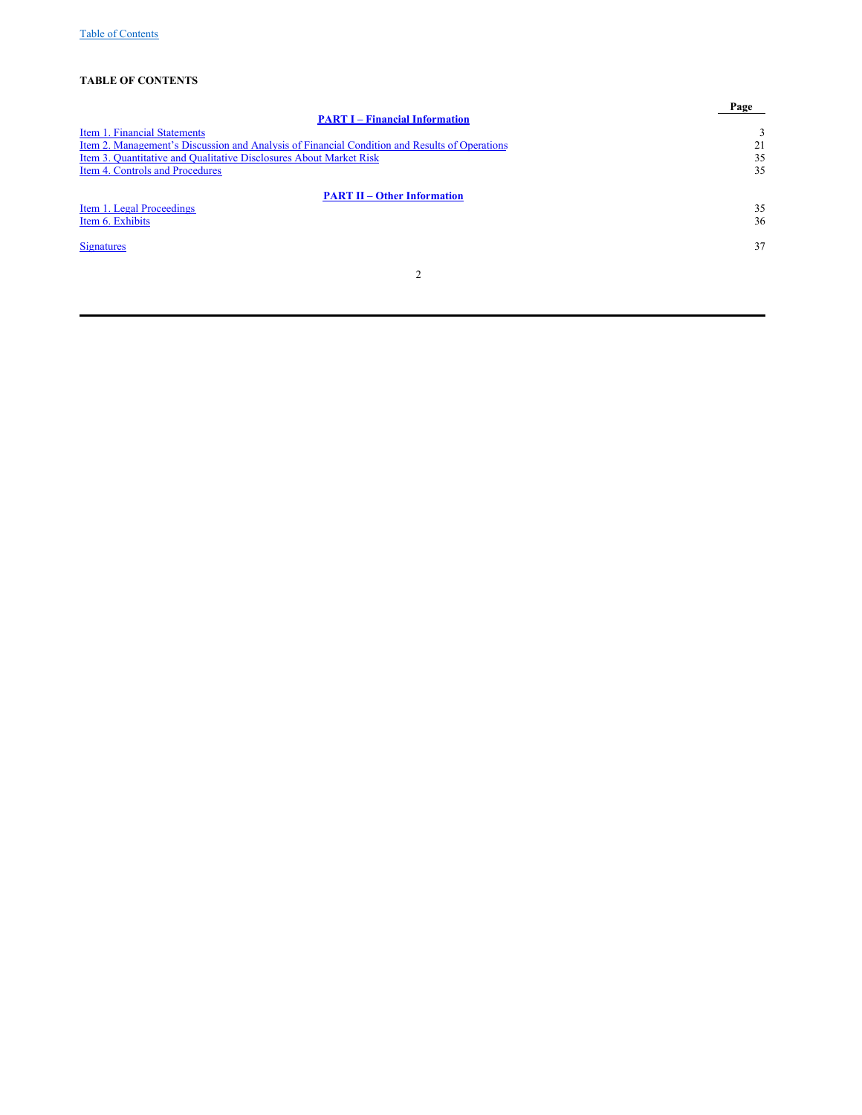# <span id="page-1-0"></span>**TABLE OF CONTENTS**

|                                                                                               | Page |
|-----------------------------------------------------------------------------------------------|------|
| <b>PART I – Financial Information</b>                                                         |      |
| Item 1. Financial Statements                                                                  | 3    |
| Item 2. Management's Discussion and Analysis of Financial Condition and Results of Operations | 21   |
| Item 3. Quantitative and Qualitative Disclosures About Market Risk                            | 35   |
| Item 4. Controls and Procedures                                                               | 35   |
| <b>PART II - Other Information</b>                                                            |      |
| Item 1. Legal Proceedings                                                                     | 35   |
| Item 6. Exhibits                                                                              | 36   |
| <b>Signatures</b>                                                                             | 37   |
| C                                                                                             |      |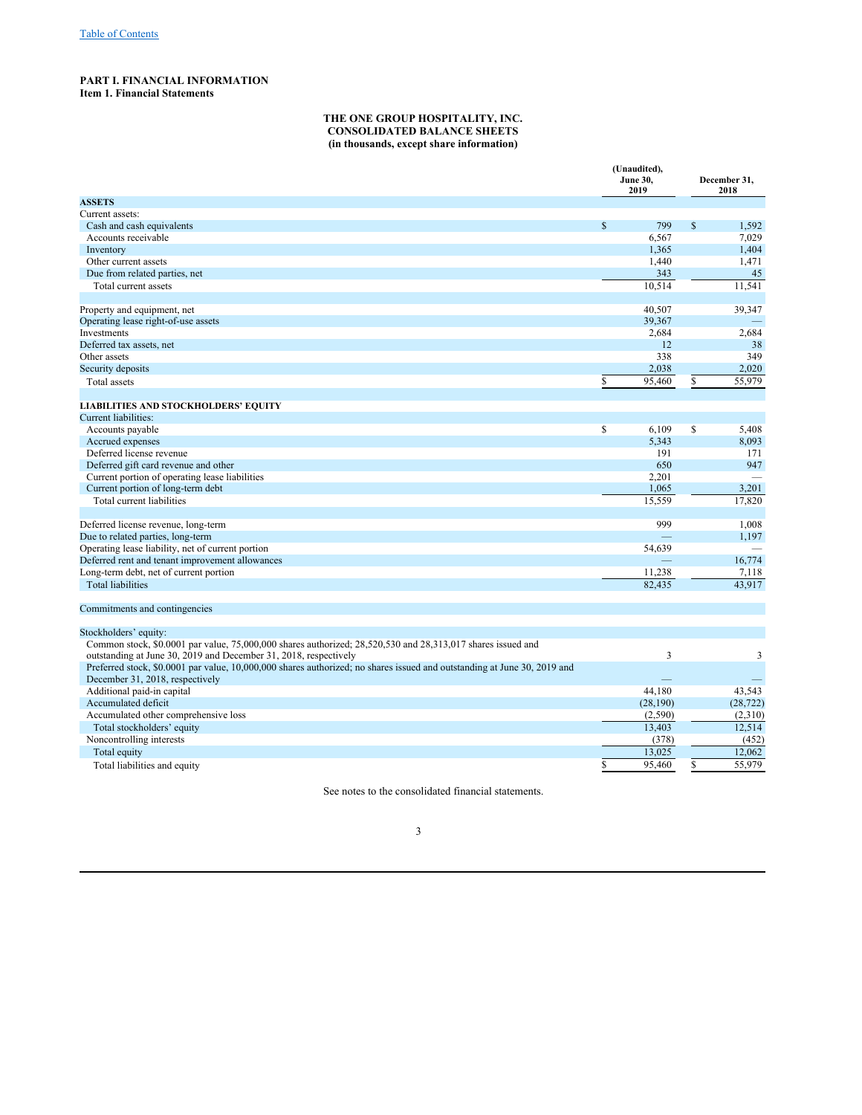# **PART I. FINANCIAL INFORMATION Item 1. Financial Statements**

# <span id="page-2-1"></span><span id="page-2-0"></span>**THE ONE GROUP HOSPITALITY, INC. CONSOLIDATED BALANCE SHEETS (in thousands, except share information)**

|                                                                                                                          |    | (Unaudited),<br><b>June 30,</b><br>2019 | December 31,<br>2018 |               |  |
|--------------------------------------------------------------------------------------------------------------------------|----|-----------------------------------------|----------------------|---------------|--|
| <b>ASSETS</b><br>Current assets:                                                                                         |    |                                         |                      |               |  |
| Cash and cash equivalents                                                                                                | \$ | 799                                     | $\mathbb{S}$         | 1,592         |  |
| Accounts receivable                                                                                                      |    | 6,567                                   |                      | 7,029         |  |
| Inventory                                                                                                                |    | 1,365                                   |                      | 1,404         |  |
| Other current assets                                                                                                     |    | 1,440                                   |                      | 1,471         |  |
| Due from related parties, net                                                                                            |    | 343                                     |                      | 45            |  |
| Total current assets                                                                                                     |    | 10.514                                  |                      | 11,541        |  |
|                                                                                                                          |    |                                         |                      |               |  |
| Property and equipment, net                                                                                              |    | 40,507                                  |                      | 39,347        |  |
| Operating lease right-of-use assets                                                                                      |    | 39,367                                  |                      |               |  |
| Investments                                                                                                              |    | 2,684                                   |                      | 2,684         |  |
| Deferred tax assets, net                                                                                                 |    | 12                                      |                      | 38            |  |
| Other assets                                                                                                             |    | 338                                     |                      | 349           |  |
| Security deposits                                                                                                        |    | 2,038                                   |                      | 2,020         |  |
| Total assets                                                                                                             | \$ | 95,460                                  | $\mathbb{S}$         | 55,979        |  |
|                                                                                                                          |    |                                         |                      |               |  |
| <b>LIABILITIES AND STOCKHOLDERS' EQUITY</b>                                                                              |    |                                         |                      |               |  |
| Current liabilities:                                                                                                     |    |                                         |                      |               |  |
| Accounts payable                                                                                                         | \$ | 6,109                                   | \$                   | 5,408         |  |
| Accrued expenses                                                                                                         |    | 5,343                                   |                      | 8,093         |  |
| Deferred license revenue                                                                                                 |    | 191                                     |                      | 171           |  |
| Deferred gift card revenue and other                                                                                     |    | 650                                     |                      | 947           |  |
| Current portion of operating lease liabilities                                                                           |    | 2,201                                   |                      | $\frac{1}{2}$ |  |
| Current portion of long-term debt                                                                                        |    | 1,065                                   |                      | 3,201         |  |
| Total current liabilities                                                                                                |    | 15,559                                  |                      | 17,820        |  |
|                                                                                                                          |    |                                         |                      |               |  |
| Deferred license revenue, long-term                                                                                      |    | 999                                     |                      | 1,008         |  |
| Due to related parties, long-term                                                                                        |    |                                         |                      | 1,197         |  |
| Operating lease liability, net of current portion                                                                        |    | 54,639                                  |                      |               |  |
| Deferred rent and tenant improvement allowances                                                                          |    |                                         |                      | 16,774        |  |
| Long-term debt, net of current portion                                                                                   |    | 11,238                                  |                      | 7,118         |  |
| <b>Total liabilities</b>                                                                                                 |    | 82,435                                  |                      | 43,917        |  |
| Commitments and contingencies                                                                                            |    |                                         |                      |               |  |
|                                                                                                                          |    |                                         |                      |               |  |
| Stockholders' equity:                                                                                                    |    |                                         |                      |               |  |
| Common stock, \$0.0001 par value, 75,000,000 shares authorized; 28,520,530 and 28,313,017 shares issued and              |    |                                         |                      |               |  |
| outstanding at June 30, 2019 and December 31, 2018, respectively                                                         |    | 3                                       |                      | 3             |  |
| Preferred stock, \$0.0001 par value, 10,000,000 shares authorized; no shares issued and outstanding at June 30, 2019 and |    |                                         |                      |               |  |
| December 31, 2018, respectively                                                                                          |    |                                         |                      |               |  |
| Additional paid-in capital                                                                                               |    | 44.180                                  |                      | 43,543        |  |
| Accumulated deficit                                                                                                      |    | (28, 190)                               |                      | (28, 722)     |  |
| Accumulated other comprehensive loss                                                                                     |    | (2,590)                                 |                      | (2,310)       |  |
| Total stockholders' equity                                                                                               |    | 13,403                                  |                      | 12,514        |  |
| Noncontrolling interests                                                                                                 |    | (378)                                   |                      | (452)         |  |
| Total equity                                                                                                             |    | 13,025                                  |                      | 12,062        |  |
| Total liabilities and equity                                                                                             | \$ | 95,460                                  | \$                   | 55,979        |  |

See notes to the consolidated financial statements.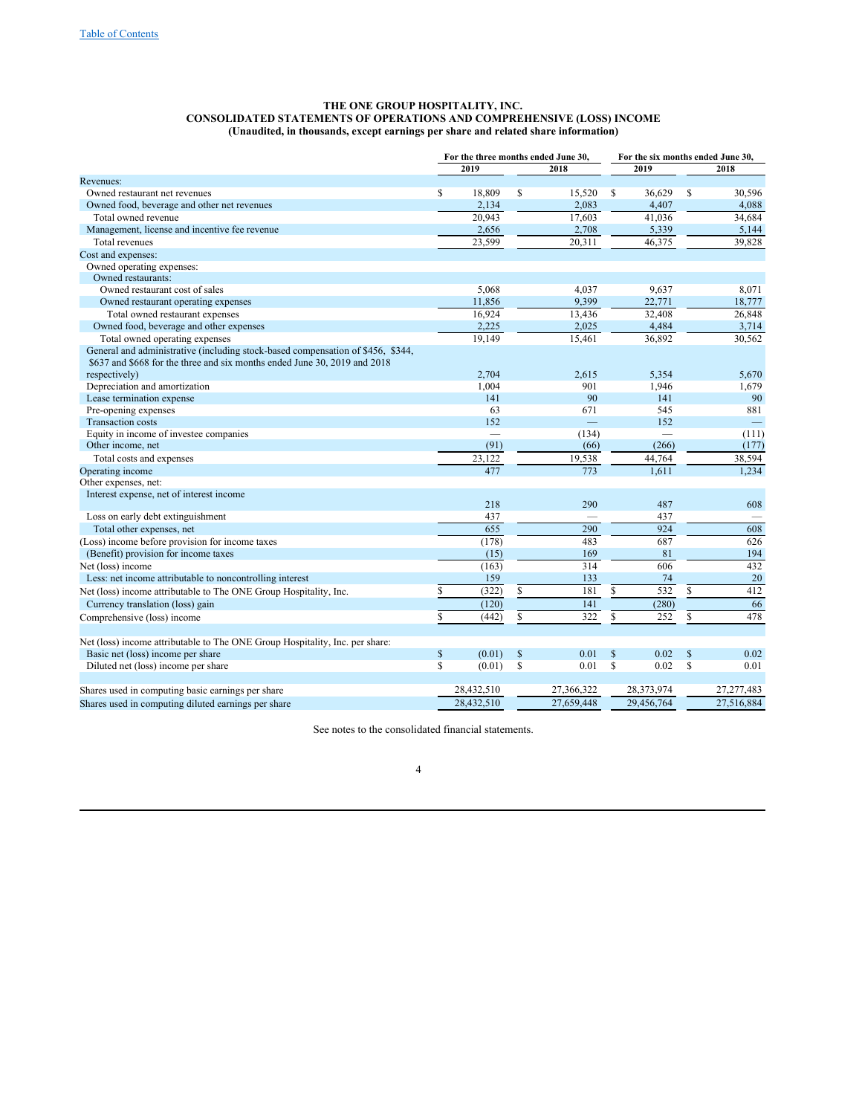## **THE ONE GROUP HOSPITALITY, INC. CONSOLIDATED STATEMENTS OF OPERATIONS AND COMPREHENSIVE (LOSS) INCOME (Unaudited, in thousands, except earnings per share and related share information)**

|                                                                                 | For the three months ended June 30, |            |               |            | For the six months ended June 30, |            |              |                          |
|---------------------------------------------------------------------------------|-------------------------------------|------------|---------------|------------|-----------------------------------|------------|--------------|--------------------------|
|                                                                                 |                                     | 2019       |               | 2018       |                                   | 2019       |              | 2018                     |
| Revenues:                                                                       |                                     |            |               |            |                                   |            |              |                          |
| Owned restaurant net revenues                                                   | \$                                  | 18,809     | \$            | 15,520     | s                                 | 36,629     | \$           | 30,596                   |
| Owned food, beverage and other net revenues                                     |                                     | 2,134      |               | 2,083      |                                   | 4,407      |              | 4,088                    |
| Total owned revenue                                                             |                                     | 20,943     |               | 17,603     |                                   | 41,036     |              | 34,684                   |
| Management, license and incentive fee revenue                                   |                                     | 2,656      |               | 2,708      |                                   | 5,339      |              | 5,144                    |
| Total revenues                                                                  |                                     | 23,599     |               | 20,311     |                                   | 46,375     |              | 39,828                   |
| Cost and expenses:                                                              |                                     |            |               |            |                                   |            |              |                          |
| Owned operating expenses:                                                       |                                     |            |               |            |                                   |            |              |                          |
| Owned restaurants:                                                              |                                     |            |               |            |                                   |            |              |                          |
| Owned restaurant cost of sales                                                  |                                     | 5,068      |               | 4,037      |                                   | 9,637      |              | 8,071                    |
| Owned restaurant operating expenses                                             |                                     | 11,856     |               | 9,399      |                                   | 22,771     |              | 18,777                   |
| Total owned restaurant expenses                                                 |                                     | 16,924     |               | 13,436     |                                   | 32,408     |              | 26,848                   |
| Owned food, beverage and other expenses                                         |                                     | 2,225      |               | 2,025      |                                   | 4,484      |              | 3,714                    |
| Total owned operating expenses                                                  |                                     | 19,149     |               | 15,461     |                                   | 36,892     |              | 30,562                   |
| General and administrative (including stock-based compensation of \$456, \$344, |                                     |            |               |            |                                   |            |              |                          |
| \$637 and \$668 for the three and six months ended June 30, 2019 and 2018       |                                     |            |               |            |                                   |            |              |                          |
| respectively)                                                                   |                                     | 2,704      |               | 2,615      |                                   | 5,354      |              | 5,670                    |
| Depreciation and amortization                                                   |                                     | 1,004      |               | 901        |                                   | 1,946      |              | 1,679                    |
| Lease termination expense                                                       |                                     | 141        |               | 90         |                                   | 141        |              | 90                       |
| Pre-opening expenses                                                            |                                     | 63         |               | 671        |                                   | 545        |              | 881                      |
| <b>Transaction costs</b>                                                        |                                     | 152        |               | L,         |                                   | 152        |              | $\overline{\phantom{0}}$ |
| Equity in income of investee companies                                          |                                     |            |               | (134)      |                                   |            |              | (111)                    |
| Other income, net                                                               |                                     | (91)       |               | (66)       |                                   | (266)      |              | (177)                    |
| Total costs and expenses                                                        |                                     | 23,122     |               | 19,538     |                                   | 44,764     |              | 38,594                   |
| Operating income                                                                |                                     | 477        |               | 773        |                                   | 1.611      |              | 1,234                    |
| Other expenses, net:                                                            |                                     |            |               |            |                                   |            |              |                          |
| Interest expense, net of interest income                                        |                                     |            |               |            |                                   |            |              |                          |
|                                                                                 |                                     | 218        |               | 290        |                                   | 487        |              | 608                      |
| Loss on early debt extinguishment                                               |                                     | 437        |               |            |                                   | 437        |              |                          |
| Total other expenses, net                                                       |                                     | 655        |               | 290        |                                   | 924        |              | 608                      |
| (Loss) income before provision for income taxes                                 |                                     | (178)      |               | 483        |                                   | 687        |              | 626                      |
| (Benefit) provision for income taxes                                            |                                     | (15)       |               | 169        |                                   | 81         |              | 194                      |
| Net (loss) income                                                               |                                     | (163)      |               | 314        |                                   | 606        |              | 432                      |
| Less: net income attributable to noncontrolling interest                        |                                     | 159        |               | 133        |                                   | 74         |              | 20                       |
| Net (loss) income attributable to The ONE Group Hospitality, Inc.               | S                                   | (322)      | \$            | 181        | \$                                | 532        | S            | 412                      |
| Currency translation (loss) gain                                                |                                     | (120)      |               | 141        |                                   | (280)      |              | 66                       |
| Comprehensive (loss) income                                                     | $\mathbf S$                         | (442)      | \$            | 322        | $\mathbb{S}$                      | 252        | $\mathbb{S}$ | 478                      |
|                                                                                 |                                     |            |               |            |                                   |            |              |                          |
| Net (loss) income attributable to The ONE Group Hospitality, Inc. per share:    |                                     |            |               |            |                                   |            |              |                          |
| Basic net (loss) income per share                                               | \$                                  | (0.01)     | $\mathcal{S}$ | 0.01       | $\mathbb{S}$                      | 0.02       | $\mathbb{S}$ | 0.02                     |
| Diluted net (loss) income per share                                             | S                                   | (0.01)     | <sup>\$</sup> | 0.01       | S                                 | 0.02       | S            | 0.01                     |
|                                                                                 |                                     |            |               |            |                                   |            |              |                          |
| Shares used in computing basic earnings per share                               |                                     | 28,432,510 |               | 27,366,322 |                                   | 28,373,974 |              | 27, 277, 483             |
| Shares used in computing diluted earnings per share                             |                                     | 28.432.510 |               | 27.659.448 |                                   | 29.456.764 |              | 27.516.884               |
|                                                                                 |                                     |            |               |            |                                   |            |              |                          |

See notes to the consolidated financial statements.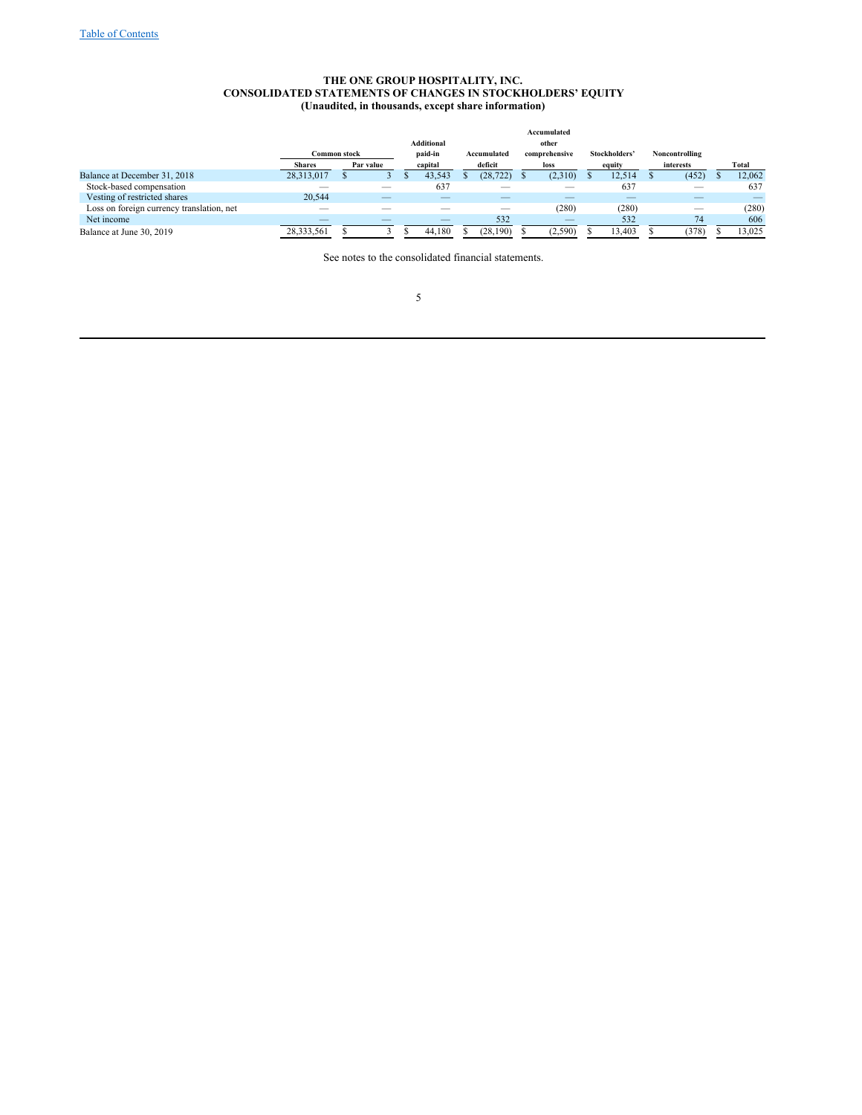### **THE ONE GROUP HOSPITALITY, INC. CONSOLIDATED STATEMENTS OF CHANGES IN STOCKHOLDERS' EQUITY (Unaudited, in thousands, except share information)**

|                                           |               |                     |                          |                   |             | Accumulated   |               |                |        |
|-------------------------------------------|---------------|---------------------|--------------------------|-------------------|-------------|---------------|---------------|----------------|--------|
|                                           |               |                     |                          | <b>Additional</b> |             | other         |               |                |        |
|                                           |               | <b>Common stock</b> |                          | paid-in           | Accumulated | comprehensive | Stockholders' | Noncontrolling |        |
|                                           | <b>Shares</b> | Par value           |                          | capital           | deficit     | loss          | equity        | interests      | Total  |
| Balance at December 31, 2018              | 28,313,017    |                     |                          | 43,543            | (28, 722)   | (2,310)       | 12.514        | (452)          | 12.062 |
| Stock-based compensation                  |               |                     | $\overline{\phantom{a}}$ | 637               | $-$         | $-$           | 637           | __             | 637    |
| Vesting of restricted shares              | 20.544        |                     | __                       |                   |             |               |               |                |        |
| Loss on foreign currency translation, net |               |                     |                          |                   |             | (280)         | (280)         |                | (280)  |
| Net income                                |               |                     |                          |                   | 532         |               | 532           | 74             | 606    |
| Balance at June 30, 2019                  | 28,333,561    |                     |                          | 44,180            | (28, 190)   | (2,590)       | 13,403        | (378)          | 13,025 |

See notes to the consolidated financial statements.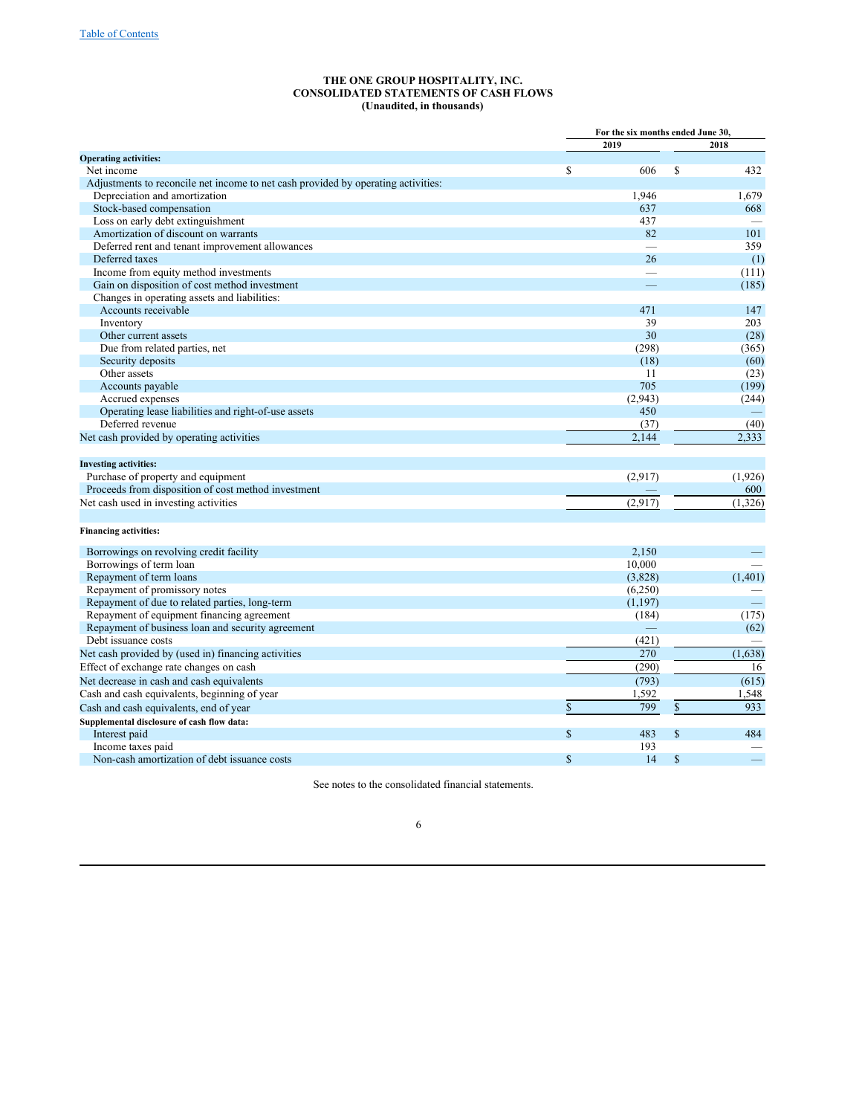## **THE ONE GROUP HOSPITALITY, INC. CONSOLIDATED STATEMENTS OF CASH FLOWS (Unaudited, in thousands)**

|                                                                                   | For the six months ended June 30, |              |          |  |
|-----------------------------------------------------------------------------------|-----------------------------------|--------------|----------|--|
|                                                                                   | 2019                              | 2018         |          |  |
| <b>Operating activities:</b>                                                      |                                   |              |          |  |
| Net income                                                                        | \$<br>606                         | \$           | 432      |  |
| Adjustments to reconcile net income to net cash provided by operating activities: |                                   |              |          |  |
| Depreciation and amortization                                                     | 1,946                             |              | 1,679    |  |
| Stock-based compensation                                                          | 637                               |              | 668      |  |
| Loss on early debt extinguishment                                                 | 437                               |              |          |  |
| Amortization of discount on warrants                                              | 82                                |              | 101      |  |
| Deferred rent and tenant improvement allowances                                   |                                   |              | 359      |  |
| Deferred taxes                                                                    | 26                                |              | (1)      |  |
| Income from equity method investments                                             |                                   |              | (111)    |  |
| Gain on disposition of cost method investment                                     | $\sim$                            |              | (185)    |  |
| Changes in operating assets and liabilities:                                      |                                   |              |          |  |
| Accounts receivable                                                               | 471                               |              | 147      |  |
| Inventory                                                                         | 39                                |              | 203      |  |
| Other current assets                                                              | 30                                |              | (28)     |  |
| Due from related parties, net                                                     | (298)                             |              | (365)    |  |
| Security deposits                                                                 | (18)                              |              | (60)     |  |
| Other assets                                                                      | 11                                |              | (23)     |  |
| Accounts payable                                                                  | 705                               |              | (199)    |  |
| Accrued expenses                                                                  | (2,943)                           |              | (244)    |  |
| Operating lease liabilities and right-of-use assets                               | 450                               |              |          |  |
| Deferred revenue                                                                  | (37)                              |              | (40)     |  |
| Net cash provided by operating activities                                         | 2,144                             |              | 2,333    |  |
| <b>Investing activities:</b>                                                      |                                   |              |          |  |
| Purchase of property and equipment                                                | (2,917)                           |              | (1,926)  |  |
| Proceeds from disposition of cost method investment                               |                                   |              | 600      |  |
| Net cash used in investing activities                                             | (2,917)                           |              | (1,326)  |  |
| <b>Financing activities:</b>                                                      |                                   |              |          |  |
| Borrowings on revolving credit facility                                           | 2,150                             |              |          |  |
| Borrowings of term loan                                                           | 10,000                            |              |          |  |
| Repayment of term loans                                                           | (3,828)                           |              | (1, 401) |  |
| Repayment of promissory notes                                                     | (6,250)                           |              |          |  |
| Repayment of due to related parties, long-term                                    | (1, 197)                          |              |          |  |
| Repayment of equipment financing agreement                                        | (184)                             |              | (175)    |  |
| Repayment of business loan and security agreement                                 |                                   |              | (62)     |  |
| Debt issuance costs                                                               | (421)                             |              |          |  |
| Net cash provided by (used in) financing activities                               | 270                               |              | (1,638)  |  |
| Effect of exchange rate changes on cash                                           | (290)                             |              | 16       |  |
| Net decrease in cash and cash equivalents                                         | (793)                             |              | (615)    |  |
| Cash and cash equivalents, beginning of year                                      | 1,592                             |              | 1,548    |  |
|                                                                                   | \$<br>799                         | \$           | 933      |  |
| Cash and cash equivalents, end of year                                            |                                   |              |          |  |
| Supplemental disclosure of cash flow data:                                        |                                   |              |          |  |
| Interest paid                                                                     | \$<br>483                         | \$           | 484      |  |
| Income taxes paid                                                                 | 193                               |              |          |  |
| Non-cash amortization of debt issuance costs                                      | \$<br>14                          | $\mathbb{S}$ |          |  |

See notes to the consolidated financial statements.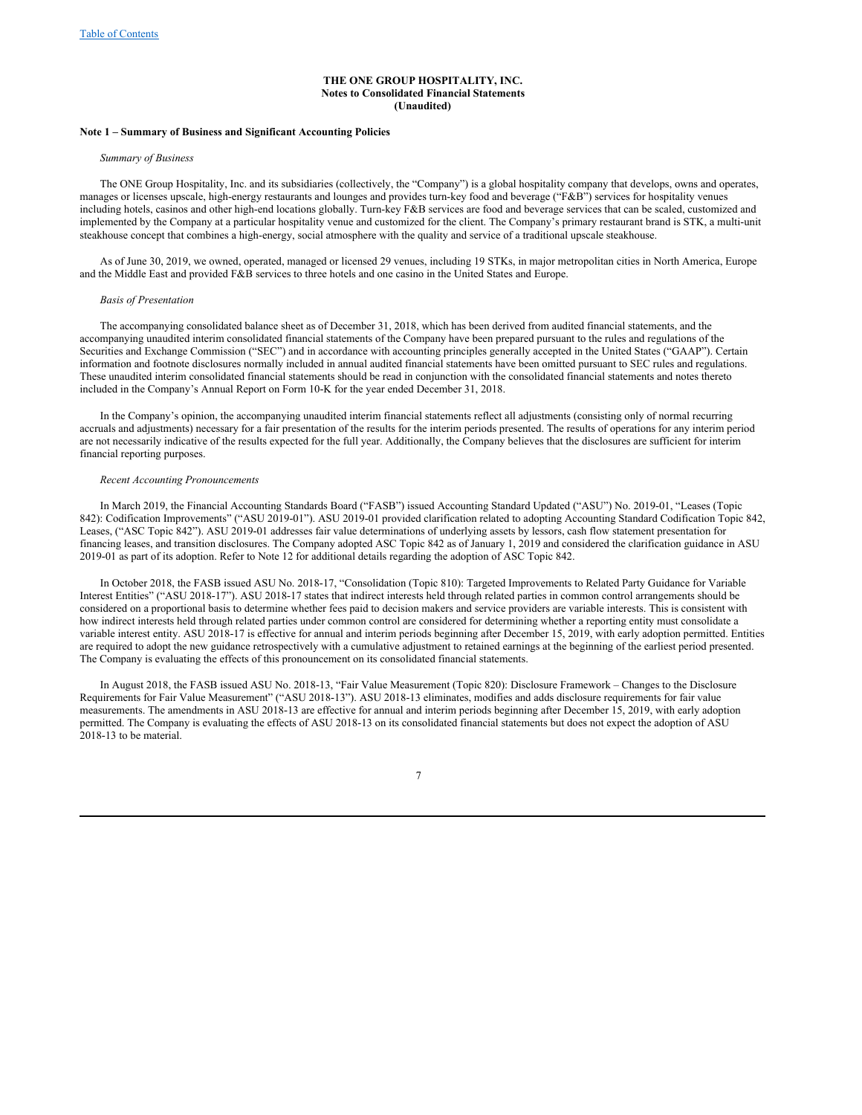### **THE ONE GROUP HOSPITALITY, INC. Notes to Consolidated Financial Statements (Unaudited)**

## **Note 1 – Summary of Business and Significant Accounting Policies**

#### *Summary of Business*

The ONE Group Hospitality, Inc. and its subsidiaries (collectively, the "Company") is a global hospitality company that develops, owns and operates, manages or licenses upscale, high-energy restaurants and lounges and provides turn-key food and beverage ("F&B") services for hospitality venues including hotels, casinos and other high-end locations globally. Turn-key F&B services are food and beverage services that can be scaled, customized and implemented by the Company at a particular hospitality venue and customized for the client. The Company's primary restaurant brand is STK, a multi-unit steakhouse concept that combines a high-energy, social atmosphere with the quality and service of a traditional upscale steakhouse.

As of June 30, 2019, we owned, operated, managed or licensed 29 venues, including 19 STKs, in major metropolitan cities in North America, Europe and the Middle East and provided F&B services to three hotels and one casino in the United States and Europe.

### *Basis of Presentation*

The accompanying consolidated balance sheet as of December 31, 2018, which has been derived from audited financial statements, and the accompanying unaudited interim consolidated financial statements of the Company have been prepared pursuant to the rules and regulations of the Securities and Exchange Commission ("SEC") and in accordance with accounting principles generally accepted in the United States ("GAAP"). Certain information and footnote disclosures normally included in annual audited financial statements have been omitted pursuant to SEC rules and regulations. These unaudited interim consolidated financial statements should be read in conjunction with the consolidated financial statements and notes thereto included in the Company's Annual Report on Form 10‑K for the year ended December 31, 2018.

In the Company's opinion, the accompanying unaudited interim financial statements reflect all adjustments (consisting only of normal recurring accruals and adjustments) necessary for a fair presentation of the results for the interim periods presented. The results of operations for any interim period are not necessarily indicative of the results expected for the full year. Additionally, the Company believes that the disclosures are sufficient for interim financial reporting purposes.

## *Recent Accounting Pronouncements*

In March 2019, the Financial Accounting Standards Board ("FASB") issued Accounting Standard Updated ("ASU") No. 2019‑01, "Leases (Topic 842): Codification Improvements" ("ASU 2019‑01"). ASU 2019‑01 provided clarification related to adopting Accounting Standard Codification Topic 842, Leases, ("ASC Topic 842"). ASU 2019‑01 addresses fair value determinations of underlying assets by lessors, cash flow statement presentation for financing leases, and transition disclosures. The Company adopted ASC Topic 842 as of January 1, 2019 and considered the clarification guidance in ASU 2019‑01 as part of its adoption. Refer to Note 12 for additional details regarding the adoption of ASC Topic 842.

In October 2018, the FASB issued ASU No. 2018‑17, "Consolidation (Topic 810): Targeted Improvements to Related Party Guidance for Variable Interest Entities" ("ASU 2018‑17"). ASU 2018‑17 states that indirect interests held through related parties in common control arrangements should be considered on a proportional basis to determine whether fees paid to decision makers and service providers are variable interests. This is consistent with how indirect interests held through related parties under common control are considered for determining whether a reporting entity must consolidate a variable interest entity. ASU 2018‑17 is effective for annual and interim periods beginning after December 15, 2019, with early adoption permitted. Entities are required to adopt the new guidance retrospectively with a cumulative adjustment to retained earnings at the beginning of the earliest period presented. The Company is evaluating the effects of this pronouncement on its consolidated financial statements.

In August 2018, the FASB issued ASU No. 2018‑13, "Fair Value Measurement (Topic 820): Disclosure Framework – Changes to the Disclosure Requirements for Fair Value Measurement" ("ASU 2018‑13"). ASU 2018‑13 eliminates, modifies and adds disclosure requirements for fair value measurements. The amendments in ASU 2018‑13 are effective for annual and interim periods beginning after December 15, 2019, with early adoption permitted. The Company is evaluating the effects of ASU 2018-13 on its consolidated financial statements but does not expect the adoption of ASU 2018‑13 to be material.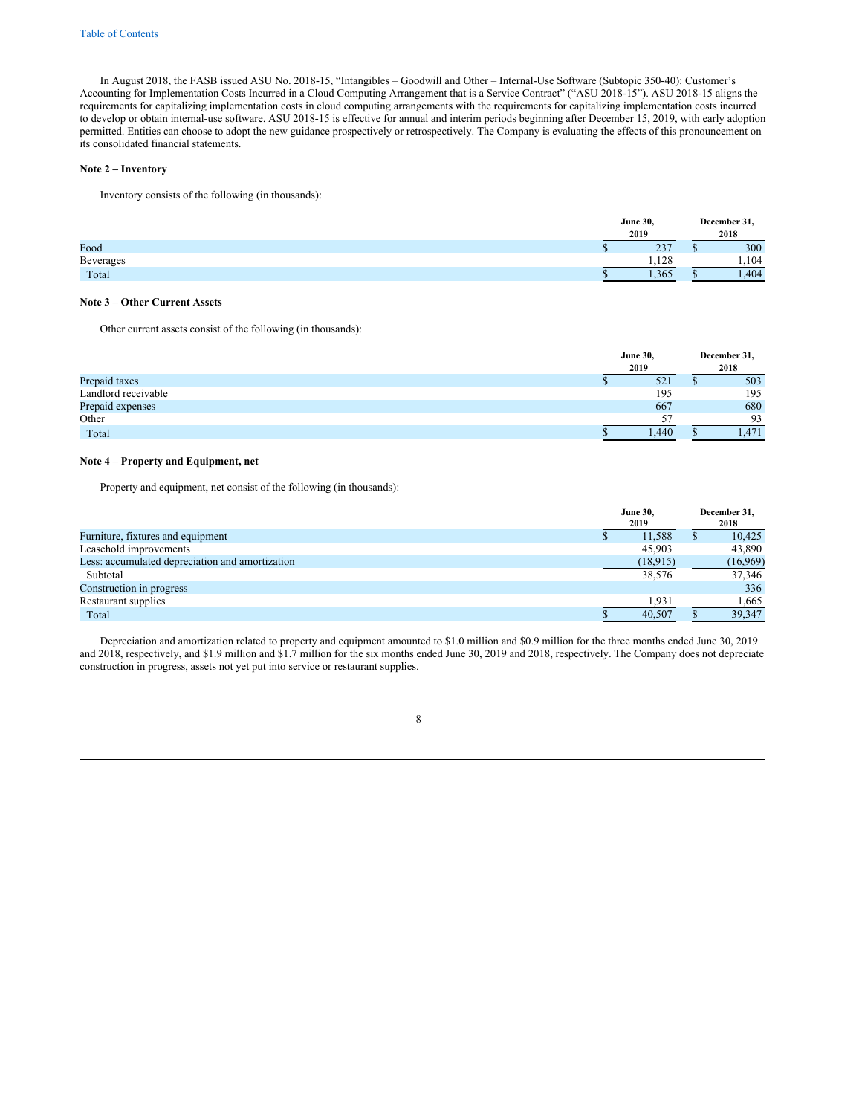In August 2018, the FASB issued ASU No. 2018‑15, "Intangibles – Goodwill and Other – Internal-Use Software (Subtopic 350‑40): Customer's Accounting for Implementation Costs Incurred in a Cloud Computing Arrangement that is a Service Contract" ("ASU 2018‑15"). ASU 2018‑15 aligns the requirements for capitalizing implementation costs in cloud computing arrangements with the requirements for capitalizing implementation costs incurred to develop or obtain internal-use software. ASU 2018-15 is effective for annual and interim periods beginning after December 15, 2019, with early adoption permitted. Entities can choose to adopt the new guidance prospectively or retrospectively. The Company is evaluating the effects of this pronouncement on its consolidated financial statements.

## **Note 2 – Inventory**

Inventory consists of the following (in thousands):

|           | <b>June 30,</b> |                 | December 31, |  |
|-----------|-----------------|-----------------|--------------|--|
|           | 2019            |                 |              |  |
| Food      | 237             | $\sqrt{2}$<br>ω | 300          |  |
| Beverages | 120<br>1.120    |                 | .104         |  |
| Total     | 1.365           | - 12            | .404         |  |

# **Note 3 – Other Current Assets**

Other current assets consist of the following (in thousands):

|                     | <b>June 30,</b> |    | December 31, |  |
|---------------------|-----------------|----|--------------|--|
|                     | 2019            |    | 2018         |  |
| Prepaid taxes       | 521             |    | 503          |  |
| Landlord receivable | 195             |    | 195          |  |
| Prepaid expenses    | 667             |    | 680          |  |
| Other               |                 | 57 | 93           |  |
| Total               | .440            |    | 1,471        |  |

# **Note 4 – Property and Equipment, net**

Property and equipment, net consist of the following (in thousands):

|                                                 | <b>June 30,</b><br>2019 | December 31,<br>2018 |
|-------------------------------------------------|-------------------------|----------------------|
| Furniture, fixtures and equipment               | 11,588                  | 10,425               |
| Leasehold improvements                          | 45,903                  | 43,890               |
| Less: accumulated depreciation and amortization | (18, 915)               | (16,969)             |
| Subtotal                                        | 38,576                  | 37,346               |
| Construction in progress                        |                         | 336                  |
| Restaurant supplies                             | 1,931                   | 1,665                |
| Total                                           | 40,507                  | 39,347               |

Depreciation and amortization related to property and equipment amounted to \$1.0 million and \$0.9 million for the three months ended June 30, 2019 and 2018, respectively, and \$1.9 million and \$1.7 million for the six months ended June 30, 2019 and 2018, respectively. The Company does not depreciate construction in progress, assets not yet put into service or restaurant supplies.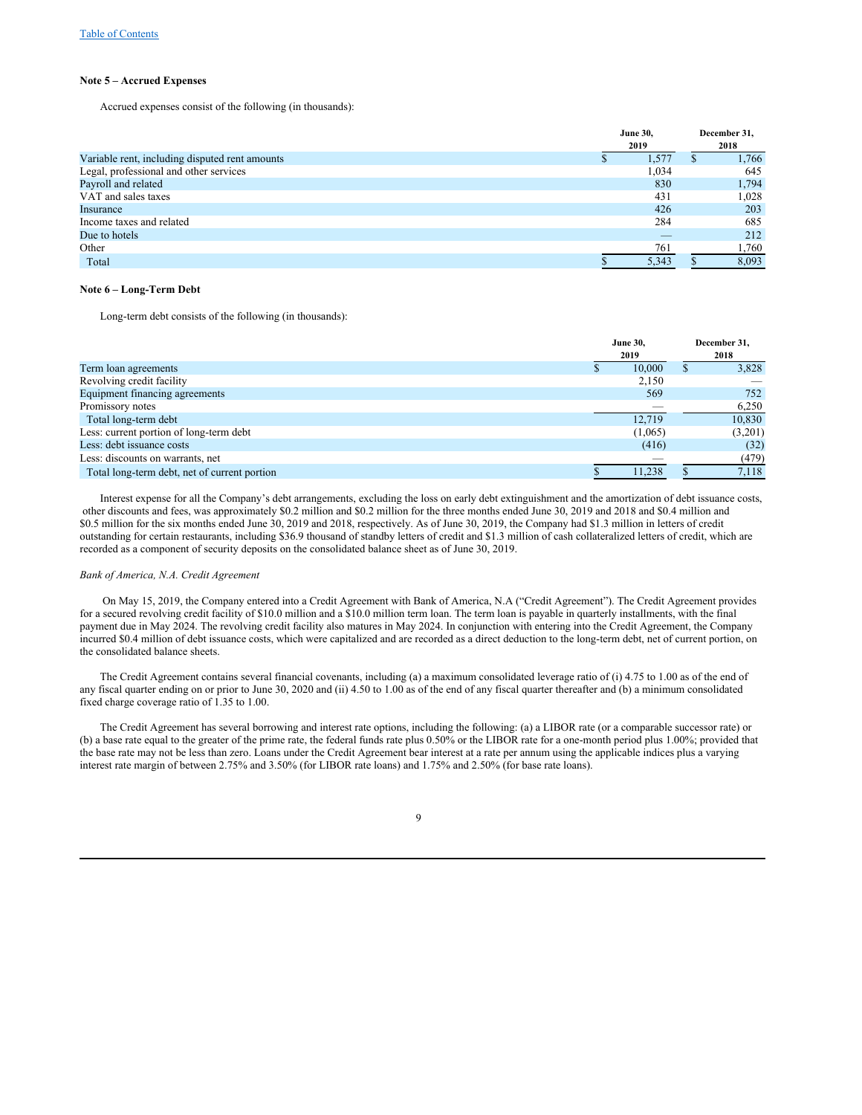### **Note 5 – Accrued Expenses**

Accrued expenses consist of the following (in thousands):

| 2019 |       | December 31,    |       |
|------|-------|-----------------|-------|
|      |       |                 | 2018  |
|      | l.577 |                 | 1,766 |
|      | 1,034 |                 | 645   |
|      | 830   |                 | 1,794 |
|      | 431   |                 | 1.028 |
|      | 426   |                 | 203   |
|      | 284   |                 | 685   |
|      |       |                 | 212   |
|      | 761   |                 | 1.760 |
|      | 5,343 |                 | 8,093 |
|      |       | <b>June 30,</b> |       |

## **Note 6 – Long-Term Debt**

Long-term debt consists of the following (in thousands):

|                                              | <b>June 30,</b><br>2019 |          | December 31, |  |
|----------------------------------------------|-------------------------|----------|--------------|--|
|                                              |                         |          |              |  |
| Term loan agreements                         | 10,000                  | <b>S</b> | 3,828        |  |
| Revolving credit facility                    | 2,150                   |          |              |  |
| Equipment financing agreements               | 569                     |          | 752          |  |
| Promissory notes                             |                         |          | 6,250        |  |
| Total long-term debt                         | 12,719                  |          | 10,830       |  |
| Less: current portion of long-term debt      | (1,065)                 |          | (3,201)      |  |
| Less: debt issuance costs                    | (416)                   |          | (32)         |  |
| Less: discounts on warrants, net             |                         |          | (479)        |  |
| Total long-term debt, net of current portion | 11,238                  |          | 7,118        |  |

Interest expense for all the Company's debt arrangements, excluding the loss on early debt extinguishment and the amortization of debt issuance costs, other discounts and fees, was approximately \$0.2 million and \$0.2 million for the three months ended June 30, 2019 and 2018 and \$0.4 million and \$0.5 million for the six months ended June 30, 2019 and 2018, respectively. As of June 30, 2019, the Company had \$1.3 million in letters of credit outstanding for certain restaurants, including \$36.9 thousand of standby letters of credit and \$1.3 million of cash collateralized letters of credit, which are recorded as a component of security deposits on the consolidated balance sheet as of June 30, 2019.

### *Bank of America, N.A. Credit Agreement*

On May 15, 2019, the Company entered into a Credit Agreement with Bank of America, N.A ("Credit Agreement"). The Credit Agreement provides for a secured revolving credit facility of \$10.0 million and a \$10.0 million term loan. The term loan is payable in quarterly installments, with the final payment due in May 2024. The revolving credit facility also matures in May 2024. In conjunction with entering into the Credit Agreement, the Company incurred \$0.4 million of debt issuance costs, which were capitalized and are recorded as a direct deduction to the long-term debt, net of current portion, on the consolidated balance sheets.

The Credit Agreement contains several financial covenants, including (a) a maximum consolidated leverage ratio of (i) 4.75 to 1.00 as of the end of any fiscal quarter ending on or prior to June 30, 2020 and (ii) 4.50 to 1.00 as of the end of any fiscal quarter thereafter and (b) a minimum consolidated fixed charge coverage ratio of 1.35 to 1.00.

The Credit Agreement has several borrowing and interest rate options, including the following: (a) a LIBOR rate (or a comparable successor rate) or (b) a base rate equal to the greater of the prime rate, the federal funds rate plus 0.50% or the LIBOR rate for a one-month period plus 1.00%; provided that the base rate may not be less than zero. Loans under the Credit Agreement bear interest at a rate per annum using the applicable indices plus a varying interest rate margin of between 2.75% and 3.50% (for LIBOR rate loans) and 1.75% and 2.50% (for base rate loans).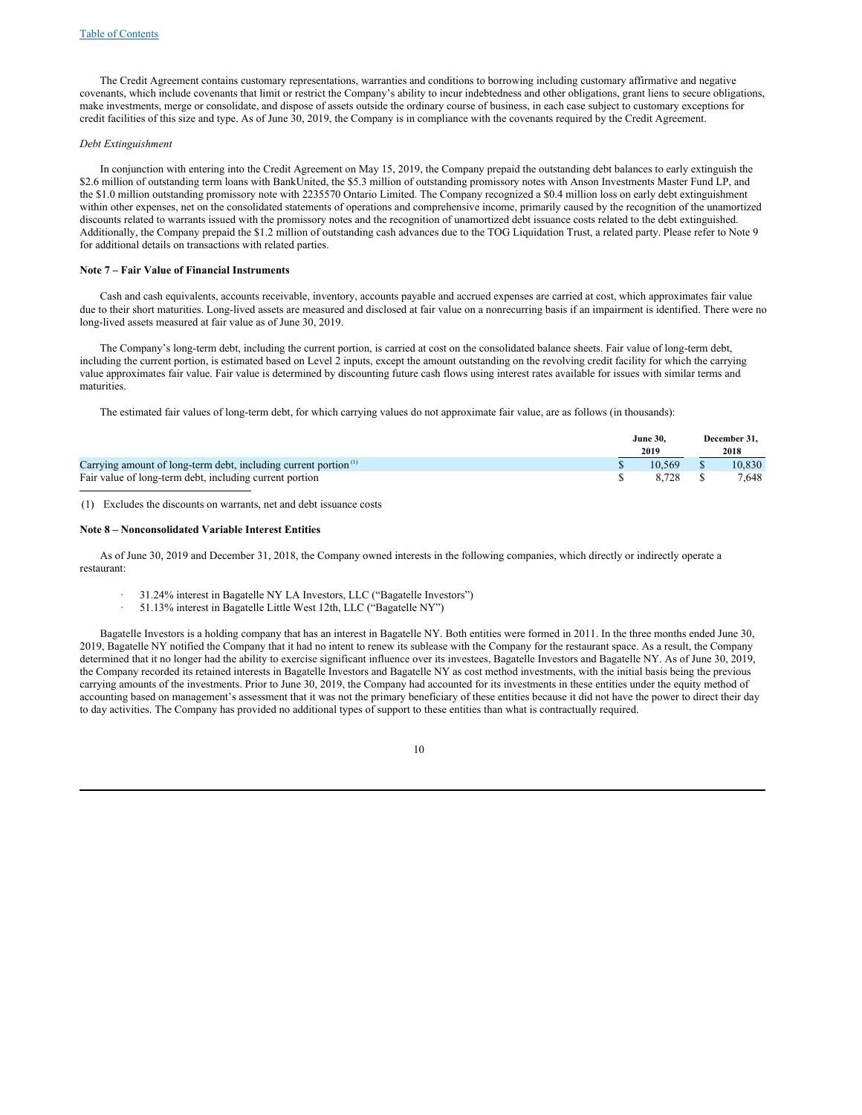The Credit Agreement contains customary representations, warranties and conditions to borrowing including customary affirmative and negative covenants, which include covenants that limit or restrict the Company's ability to incur indebtedness and other obligations, grant liens to secure obligations, make investments, merge or consolidate, and dispose of assets outside the ordinary course of business, in each case subject to customary exceptions for credit facilities of this size and type. As of June 30, 2019, the Company is in compliance with the covenants required by the Credit Agreement.

### *Debt Extinguishment*

In conjunction with entering into the Credit Agreement on May 15, 2019, the Company prepaid the outstanding debt balances to early extinguish the \$2.6 million of outstanding term loans with BankUnited, the \$5.3 million of outstanding promissory notes with Anson Investments Master Fund LP, and the \$1.0 million outstanding promissory note with 2235570 Ontario Limited. The Company recognized a \$0.4 million loss on early debt extinguishment within other expenses, net on the consolidated statements of operations and comprehensive income, primarily caused by the recognition of the unamortized discounts related to warrants issued with the promissory notes and the recognition of unamortized debt issuance costs related to the debt extinguished. Additionally, the Company prepaid the \$1.2 million of outstanding cash advances due to the TOG Liquidation Trust, a related party. Please refer to Note 9 for additional details on transactions with related parties.

## **Note 7 – Fair Value of Financial Instruments**

Cash and cash equivalents, accounts receivable, inventory, accounts payable and accrued expenses are carried at cost, which approximates fair value due to their short maturities. Long-lived assets are measured and disclosed at fair value on a nonrecurring basis if an impairment is identified. There were no long-lived assets measured at fair value as of June 30, 2019.

The Company's long-term debt, including the current portion, is carried at cost on the consolidated balance sheets. Fair value of long-term debt, including the current portion, is estimated based on Level 2 inputs, except the amount outstanding on the revolving credit facility for which the carrying value approximates fair value. Fair value is determined by discounting future cash flows using interest rates available for issues with similar terms and maturities.

The estimated fair values of long-term debt, for which carrying values do not approximate fair value, are as follows (in thousands):

|                                                                             | <b>June 30.</b> |        | December 31. |        |
|-----------------------------------------------------------------------------|-----------------|--------|--------------|--------|
|                                                                             |                 | 2019   |              | 2018   |
| Carrying amount of long-term debt, including current portion <sup>(1)</sup> |                 | 10.569 |              | 10.830 |
| Fair value of long-term debt, including current portion                     |                 | 8.728  |              | 7,648  |

(1) Excludes the discounts on warrants, net and debt issuance costs

### **Note 8 – Nonconsolidated Variable Interest Entities**

As of June 30, 2019 and December 31, 2018, the Company owned interests in the following companies, which directly or indirectly operate a restaurant:

- · 31.24% interest in Bagatelle NY LA Investors, LLC ("Bagatelle Investors")
- · 51.13% interest in Bagatelle Little West 12th, LLC ("Bagatelle NY")

Bagatelle Investors is a holding company that has an interest in Bagatelle NY. Both entities were formed in 2011. In the three months ended June 30, 2019, Bagatelle NY notified the Company that it had no intent to renew its sublease with the Company for the restaurant space. As a result, the Company determined that it no longer had the ability to exercise significant influence over its investees, Bagatelle Investors and Bagatelle NY. As of June 30, 2019, the Company recorded its retained interests in Bagatelle Investors and Bagatelle NY as cost method investments, with the initial basis being the previous carrying amounts of the investments. Prior to June 30, 2019, the Company had accounted for its investments in these entities under the equity method of accounting based on management's assessment that it was not the primary beneficiary of these entities because it did not have the power to direct their day to day activities. The Company has provided no additional types of support to these entities than what is contractually required.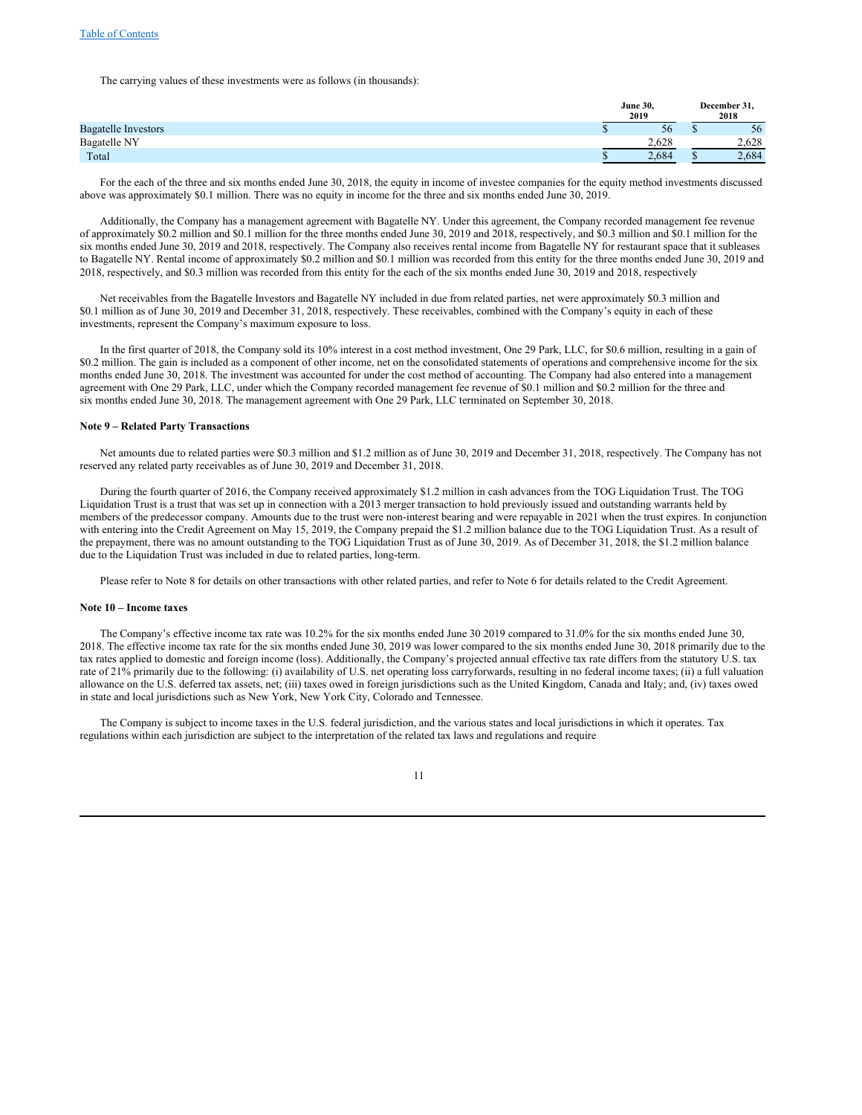The carrying values of these investments were as follows (in thousands):

|                            | <b>June 30,</b><br>2019 |  | December 31<br>2018 |
|----------------------------|-------------------------|--|---------------------|
| <b>Bagatelle Investors</b> | 56                      |  | 56                  |
| <b>Bagatelle NY</b>        | 2.628                   |  | 2.628               |
| Total                      | 2.684                   |  | 2.684               |

For the each of the three and six months ended June 30, 2018, the equity in income of investee companies for the equity method investments discussed above was approximately \$0.1 million. There was no equity in income for the three and six months ended June 30, 2019.

Additionally, the Company has a management agreement with Bagatelle NY. Under this agreement, the Company recorded management fee revenue of approximately \$0.2 million and \$0.1 million for the three months ended June 30, 2019 and 2018, respectively, and \$0.3 million and \$0.1 million for the six months ended June 30, 2019 and 2018, respectively. The Company also receives rental income from Bagatelle NY for restaurant space that it subleases to Bagatelle NY. Rental income of approximately \$0.2 million and \$0.1 million was recorded from this entity for the three months ended June 30, 2019 and 2018, respectively, and \$0.3 million was recorded from this entity for the each of the six months ended June 30, 2019 and 2018, respectively.

Net receivables from the Bagatelle Investors and Bagatelle NY included in due from related parties, net were approximately \$0.3 million and \$0.1 million as of June 30, 2019 and December 31, 2018, respectively. These receivables, combined with the Company's equity in each of these investments, represent the Company's maximum exposure to loss.

In the first quarter of 2018, the Company sold its 10% interest in a cost method investment, One 29 Park, LLC, for \$0.6 million, resulting in a gain of \$0.2 million. The gain is included as a component of other income, net on the consolidated statements of operations and comprehensive income for the six months ended June 30, 2018. The investment was accounted for under the cost method of accounting. The Company had also entered into a management agreement with One 29 Park, LLC, under which the Company recorded management fee revenue of \$0.1 million and \$0.2 million for the three and six months ended June 30, 2018. The management agreement with One 29 Park, LLC terminated on September 30, 2018.

# **Note 9 – Related Party Transactions**

Net amounts due to related parties were \$0.3 million and \$1.2 million as of June 30, 2019 and December 31, 2018, respectively. The Company has not reserved any related party receivables as of June 30, 2019 and December 31, 2018.

During the fourth quarter of 2016, the Company received approximately \$1.2 million in cash advances from the TOG Liquidation Trust. The TOG Liquidation Trust is a trust that was set up in connection with a 2013 merger transaction to hold previously issued and outstanding warrants held by members of the predecessor company. Amounts due to the trust were non-interest bearing and were repayable in 2021 when the trust expires. In conjunction with entering into the Credit Agreement on May 15, 2019, the Company prepaid the \$1.2 million balance due to the TOG Liquidation Trust. As a result of the prepayment, there was no amount outstanding to the TOG Liquidation Trust as of June 30, 2019. As of December 31, 2018, the \$1.2 million balance due to the Liquidation Trust was included in due to related parties, long-term.

Please refer to Note 8 for details on other transactions with other related parties, and refer to Note 6 for details related to the Credit Agreement.

#### **Note 10 – Income taxes**

The Company's effective income tax rate was 10.2% for the six months ended June 30 2019 compared to 31.0% for the six months ended June 30, 2018. The effective income tax rate for the six months ended June 30, 2019 was lower compared to the six months ended June 30, 2018 primarily due to the tax rates applied to domestic and foreign income (loss). Additionally, the Company's projected annual effective tax rate differs from the statutory U.S. tax rate of 21% primarily due to the following: (i) availability of U.S. net operating loss carryforwards, resulting in no federal income taxes; (ii) a full valuation allowance on the U.S. deferred tax assets, net; (iii) taxes owed in foreign jurisdictions such as the United Kingdom, Canada and Italy; and, (iv) taxes owed in state and local jurisdictions such as New York, New York City, Colorado and Tennessee.

The Company is subject to income taxes in the U.S. federal jurisdiction, and the various states and local jurisdictions in which it operates. Tax regulations within each jurisdiction are subject to the interpretation of the related tax laws and regulations and require

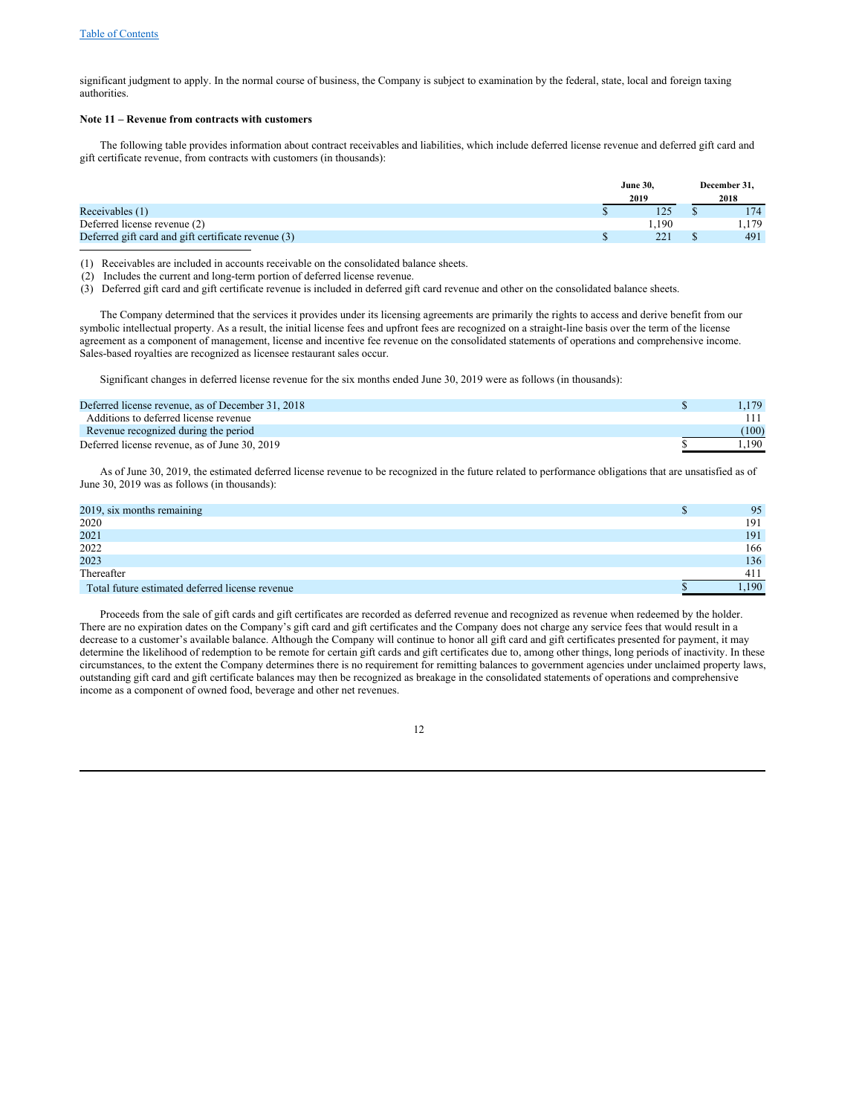significant judgment to apply. In the normal course of business, the Company is subject to examination by the federal, state, local and foreign taxing authorities.

## **Note 11 – Revenue from contracts with customers**

The following table provides information about contract receivables and liabilities, which include deferred license revenue and deferred gift card and gift certificate revenue, from contracts with customers (in thousands):

|                                                     |  | <b>June 30,</b><br>2019 |  | December 31. |
|-----------------------------------------------------|--|-------------------------|--|--------------|
|                                                     |  |                         |  | 2018         |
| Receivables (1)                                     |  |                         |  | 174          |
| Deferred license revenue (2)                        |  | .190                    |  | 1,179        |
| Deferred gift card and gift certificate revenue (3) |  | 221                     |  | 491          |

(1) Receivables are included in accounts receivable on the consolidated balance sheets.

(2) Includes the current and long-term portion of deferred license revenue.

(3) Deferred gift card and gift certificate revenue is included in deferred gift card revenue and other on the consolidated balance sheets.

The Company determined that the services it provides under its licensing agreements are primarily the rights to access and derive benefit from our symbolic intellectual property. As a result, the initial license fees and upfront fees are recognized on a straight-line basis over the term of the license agreement as a component of management, license and incentive fee revenue on the consolidated statements of operations and comprehensive income. Sales-based royalties are recognized as licensee restaurant sales occur.

Significant changes in deferred license revenue for the six months ended June 30, 2019 were as follows (in thousands):

| Deferred license revenue, as of December 31, 2018 |       |
|---------------------------------------------------|-------|
| Additions to deferred license revenue             |       |
| Revenue recognized during the period              | (100) |
| Deferred license revenue, as of June 30, 2019     |       |

As of June 30, 2019, the estimated deferred license revenue to be recognized in the future related to performance obligations that are unsatisfied as of June 30, 2019 was as follows (in thousands):

| 2019, six months remaining                      | 95  |
|-------------------------------------------------|-----|
|                                                 |     |
| 2020                                            | 191 |
| 2021                                            | 191 |
| 2022                                            | 166 |
| 2023                                            | 136 |
| Thereafter                                      | 411 |
| Total future estimated deferred license revenue | 190 |

Proceeds from the sale of gift cards and gift certificates are recorded as deferred revenue and recognized as revenue when redeemed by the holder. There are no expiration dates on the Company's gift card and gift certificates and the Company does not charge any service fees that would result in a decrease to a customer's available balance. Although the Company will continue to honor all gift card and gift certificates presented for payment, it may determine the likelihood of redemption to be remote for certain gift cards and gift certificates due to, among other things, long periods of inactivity. In these circumstances, to the extent the Company determines there is no requirement for remitting balances to government agencies under unclaimed property laws, outstanding gift card and gift certificate balances may then be recognized as breakage in the consolidated statements of operations and comprehensive income as a component of owned food, beverage and other net revenues.

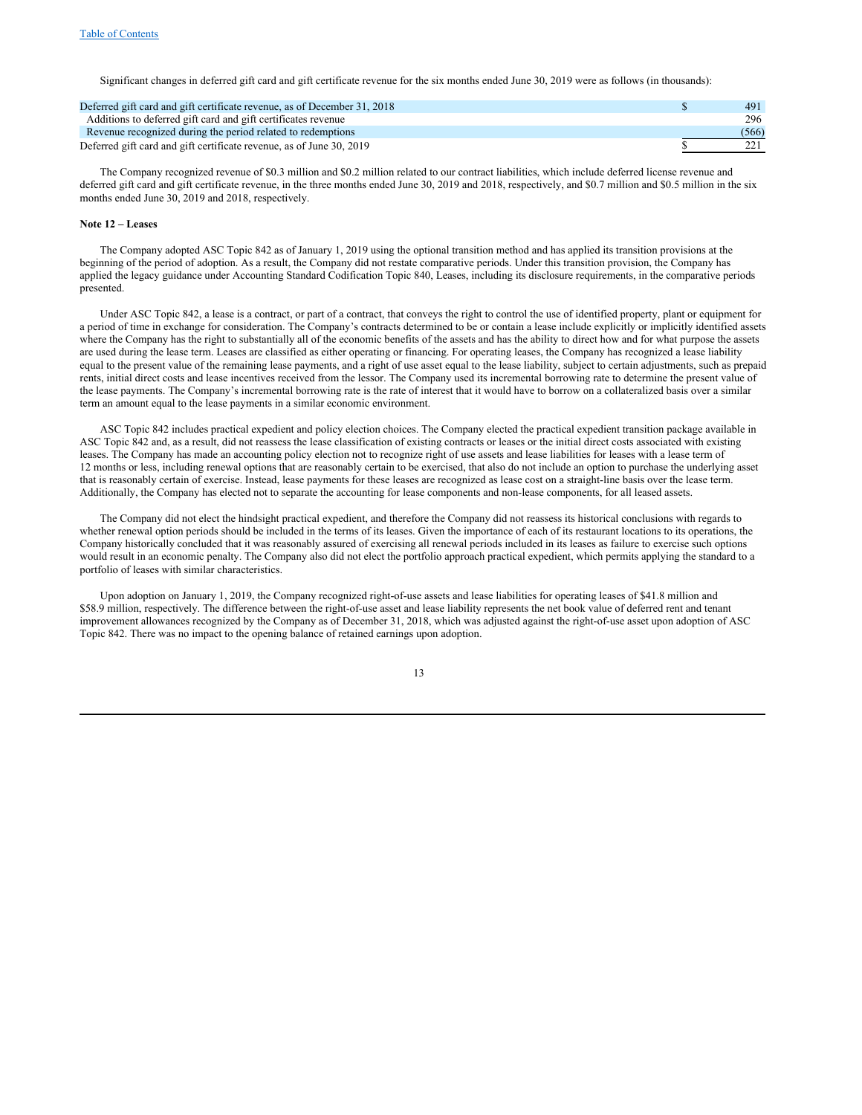Significant changes in deferred gift card and gift certificate revenue for the six months ended June 30, 2019 were as follows (in thousands):

| Deferred gift card and gift certificate revenue, as of December 31, 2018 | 491   |
|--------------------------------------------------------------------------|-------|
| Additions to deferred gift card and gift certificates revenue            | 296   |
| Revenue recognized during the period related to redemptions              | (566) |
| Deferred gift card and gift certificate revenue, as of June 30, 2019     |       |

The Company recognized revenue of \$0.3 million and \$0.2 million related to our contract liabilities, which include deferred license revenue and deferred gift card and gift certificate revenue, in the three months ended June 30, 2019 and 2018, respectively, and \$0.7 million and \$0.5 million in the six months ended June 30, 2019 and 2018, respectively.

# **Note 12 – Leases**

The Company adopted ASC Topic 842 as of January 1, 2019 using the optional transition method and has applied its transition provisions at the beginning of the period of adoption. As a result, the Company did not restate comparative periods. Under this transition provision, the Company has applied the legacy guidance under Accounting Standard Codification Topic 840, Leases, including its disclosure requirements, in the comparative periods presented.

Under ASC Topic 842, a lease is a contract, or part of a contract, that conveys the right to control the use of identified property, plant or equipment for a period of time in exchange for consideration. The Company's contracts determined to be or contain a lease include explicitly or implicitly identified assets where the Company has the right to substantially all of the economic benefits of the assets and has the ability to direct how and for what purpose the assets are used during the lease term. Leases are classified as either operating or financing. For operating leases, the Company has recognized a lease liability equal to the present value of the remaining lease payments, and a right of use asset equal to the lease liability, subject to certain adjustments, such as prepaid rents, initial direct costs and lease incentives received from the lessor. The Company used its incremental borrowing rate to determine the present value of the lease payments. The Company's incremental borrowing rate is the rate of interest that it would have to borrow on a collateralized basis over a similar term an amount equal to the lease payments in a similar economic environment.

ASC Topic 842 includes practical expedient and policy election choices. The Company elected the practical expedient transition package available in ASC Topic 842 and, as a result, did not reassess the lease classification of existing contracts or leases or the initial direct costs associated with existing leases. The Company has made an accounting policy election not to recognize right of use assets and lease liabilities for leases with a lease term of 12 months or less, including renewal options that are reasonably certain to be exercised, that also do not include an option to purchase the underlying asset that is reasonably certain of exercise. Instead, lease payments for these leases are recognized as lease cost on a straight-line basis over the lease term. Additionally, the Company has elected not to separate the accounting for lease components and non-lease components, for all leased assets.

The Company did not elect the hindsight practical expedient, and therefore the Company did not reassess its historical conclusions with regards to whether renewal option periods should be included in the terms of its leases. Given the importance of each of its restaurant locations to its operations, the Company historically concluded that it was reasonably assured of exercising all renewal periods included in its leases as failure to exercise such options would result in an economic penalty. The Company also did not elect the portfolio approach practical expedient, which permits applying the standard to a portfolio of leases with similar characteristics.

Upon adoption on January 1, 2019, the Company recognized right-of-use assets and lease liabilities for operating leases of \$41.8 million and \$58.9 million, respectively. The difference between the right-of-use asset and lease liability represents the net book value of deferred rent and tenant improvement allowances recognized by the Company as of December 31, 2018, which was adjusted against the right-of-use asset upon adoption of ASC Topic 842. There was no impact to the opening balance of retained earnings upon adoption.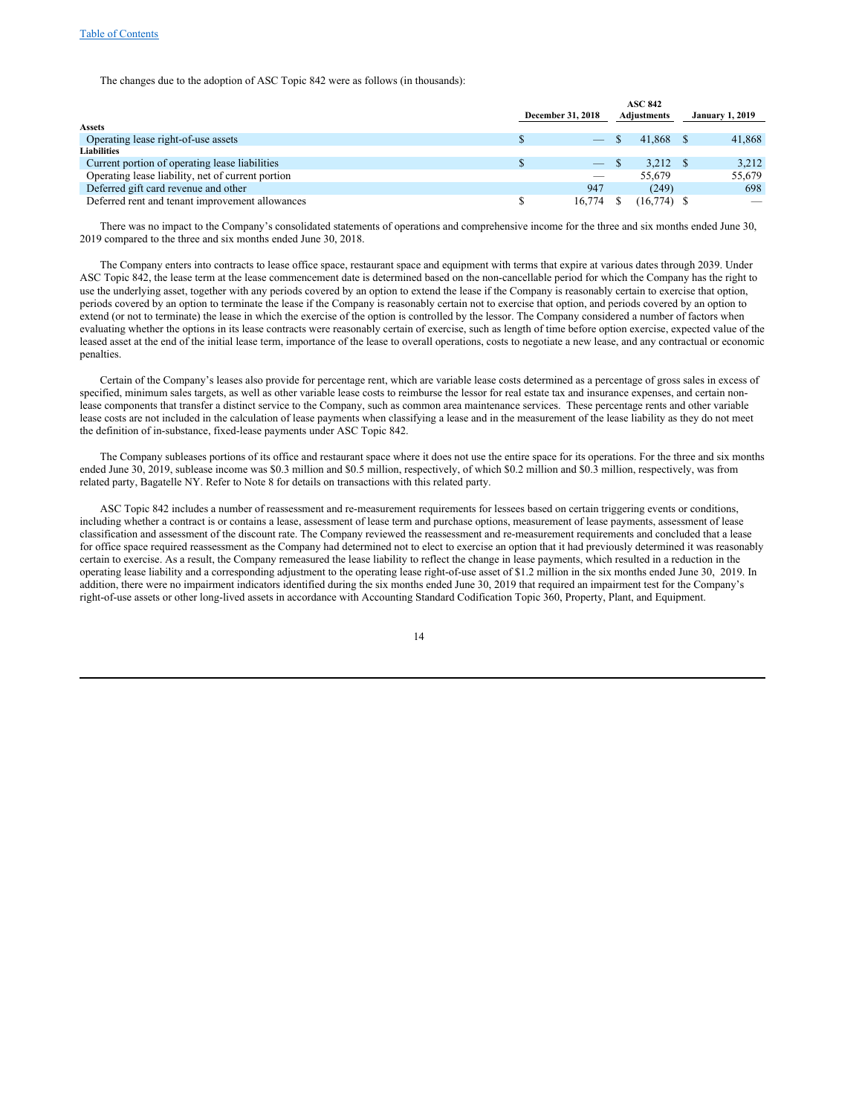The changes due to the adoption of ASC Topic 842 were as follows (in thousands):

| <b>Assets</b>                                     | <b>ASC 842</b><br>December 31, 2018<br><b>Adiustments</b> |                          |  | <b>January 1, 2019</b> |        |
|---------------------------------------------------|-----------------------------------------------------------|--------------------------|--|------------------------|--------|
| Operating lease right-of-use assets               |                                                           | $\overline{\phantom{a}}$ |  | 41.868 \$              | 41,868 |
| <b>Liabilities</b>                                |                                                           |                          |  |                        |        |
| Current portion of operating lease liabilities    |                                                           | $\overline{\phantom{a}}$ |  | 3.212 \$               | 3,212  |
| Operating lease liability, net of current portion |                                                           | -                        |  | 55,679                 | 55,679 |
| Deferred gift card revenue and other              |                                                           | 947                      |  | (249)                  | 698    |
| Deferred rent and tenant improvement allowances   |                                                           | 16.774                   |  | $(16.774)$ \$          | -      |

There was no impact to the Company's consolidated statements of operations and comprehensive income for the three and six months ended June 30, 2019 compared to the three and six months ended June 30, 2018.

The Company enters into contracts to lease office space, restaurant space and equipment with terms that expire at various dates through 2039. Under ASC Topic 842, the lease term at the lease commencement date is determined based on the non-cancellable period for which the Company has the right to use the underlying asset, together with any periods covered by an option to extend the lease if the Company is reasonably certain to exercise that option, periods covered by an option to terminate the lease if the Company is reasonably certain not to exercise that option, and periods covered by an option to extend (or not to terminate) the lease in which the exercise of the option is controlled by the lessor. The Company considered a number of factors when evaluating whether the options in its lease contracts were reasonably certain of exercise, such as length of time before option exercise, expected value of the leased asset at the end of the initial lease term, importance of the lease to overall operations, costs to negotiate a new lease, and any contractual or economic penalties.

Certain of the Company's leases also provide for percentage rent, which are variable lease costs determined as a percentage of gross sales in excess of specified, minimum sales targets, as well as other variable lease costs to reimburse the lessor for real estate tax and insurance expenses, and certain nonlease components that transfer a distinct service to the Company, such as common area maintenance services. These percentage rents and other variable lease costs are not included in the calculation of lease payments when classifying a lease and in the measurement of the lease liability as they do not meet the definition of in-substance, fixed-lease payments under ASC Topic 842.

The Company subleases portions of its office and restaurant space where it does not use the entire space for its operations. For the three and six months ended June 30, 2019, sublease income was \$0.3 million and \$0.5 million, respectively, of which \$0.2 million and \$0.3 million, respectively, was from related party, Bagatelle NY. Refer to Note 8 for details on transactions with this related party.

ASC Topic 842 includes a number of reassessment and re-measurement requirements for lessees based on certain triggering events or conditions, including whether a contract is or contains a lease, assessment of lease term and purchase options, measurement of lease payments, assessment of lease classification and assessment of the discount rate. The Company reviewed the reassessment and re-measurement requirements and concluded that a lease for office space required reassessment as the Company had determined not to elect to exercise an option that it had previously determined it was reasonably certain to exercise. As a result, the Company remeasured the lease liability to reflect the change in lease payments, which resulted in a reduction in the operating lease liability and a corresponding adjustment to the operating lease right-of-use asset of \$1.2 million in the six months ended June 30, 2019. In addition, there were no impairment indicators identified during the six months ended June 30, 2019 that required an impairment test for the Company's right-of-use assets or other long-lived assets in accordance with Accounting Standard Codification Topic 360, Property, Plant, and Equipment.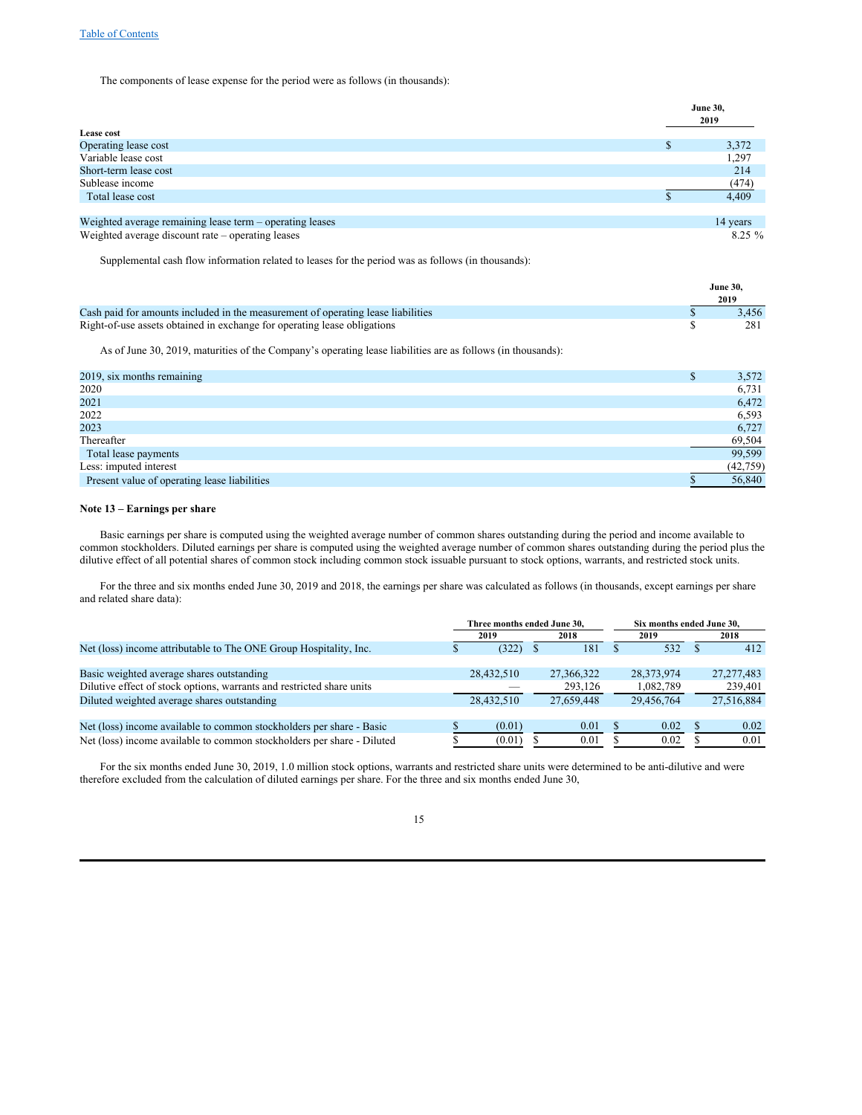The components of lease expense for the period were as follows (in thousands):

|                                                          |  | <b>June 30,</b> |
|----------------------------------------------------------|--|-----------------|
|                                                          |  | 2019            |
| Lease cost                                               |  |                 |
| Operating lease cost                                     |  | 3,372           |
| Variable lease cost                                      |  | 1,297           |
| Short-term lease cost                                    |  | 214             |
| Sublease income                                          |  | (474)           |
| Total lease cost                                         |  | 4,409           |
|                                                          |  |                 |
| Weighted average remaining lease term - operating leases |  | 14 years        |
| Weighted average discount rate – operating leases        |  | $8.25\%$        |

Supplemental cash flow information related to leases for the period was as follows (in thousands):

|                                                                                  | <b>June 30.</b> |  |
|----------------------------------------------------------------------------------|-----------------|--|
|                                                                                  | 2019            |  |
| Cash paid for amounts included in the measurement of operating lease liabilities | 3.456           |  |
| Right-of-use assets obtained in exchange for operating lease obligations         |                 |  |

As of June 30, 2019, maturities of the Company's operating lease liabilities are as follows (in thousands):

| 3,572<br>Ф |
|------------|
| 6,731      |
| 6,472      |
| 6,593      |
| 6,727      |
| 69,504     |
| 99,599     |
| (42, 759)  |
| 56,840     |
|            |

# **Note 13 – Earnings per share**

Basic earnings per share is computed using the weighted average number of common shares outstanding during the period and income available to common stockholders. Diluted earnings per share is computed using the weighted average number of common shares outstanding during the period plus the dilutive effect of all potential shares of common stock including common stock issuable pursuant to stock options, warrants, and restricted stock units.

For the three and six months ended June 30, 2019 and 2018, the earnings per share was calculated as follows (in thousands, except earnings per share and related share data):

|                                                                        | Three months ended June 30. |            |  | Six months ended June 30, |  |              |
|------------------------------------------------------------------------|-----------------------------|------------|--|---------------------------|--|--------------|
|                                                                        | 2019                        | 2018       |  | 2019                      |  | 2018         |
| Net (loss) income attributable to The ONE Group Hospitality, Inc.      | (322)                       | 181        |  | 532                       |  | 412          |
|                                                                        |                             |            |  |                           |  |              |
| Basic weighted average shares outstanding                              | 28.432.510                  | 27.366.322 |  | 28,373,974                |  | 27, 277, 483 |
| Dilutive effect of stock options, warrants and restricted share units  |                             | 293,126    |  | 1,082,789                 |  | 239,401      |
| Diluted weighted average shares outstanding                            | 28.432.510                  | 27,659,448 |  | 29.456.764                |  | 27,516,884   |
|                                                                        |                             |            |  |                           |  |              |
| Net (loss) income available to common stockholders per share - Basic   | (0.01)                      | 0.01       |  | 0.02                      |  | 0.02         |
| Net (loss) income available to common stockholders per share - Diluted | (0.01)                      | 0.01       |  | 0.02                      |  | 0.01         |

For the six months ended June 30, 2019, 1.0 million stock options, warrants and restricted share units were determined to be anti-dilutive and were therefore excluded from the calculation of diluted earnings per share. For the three and six months ended June 30,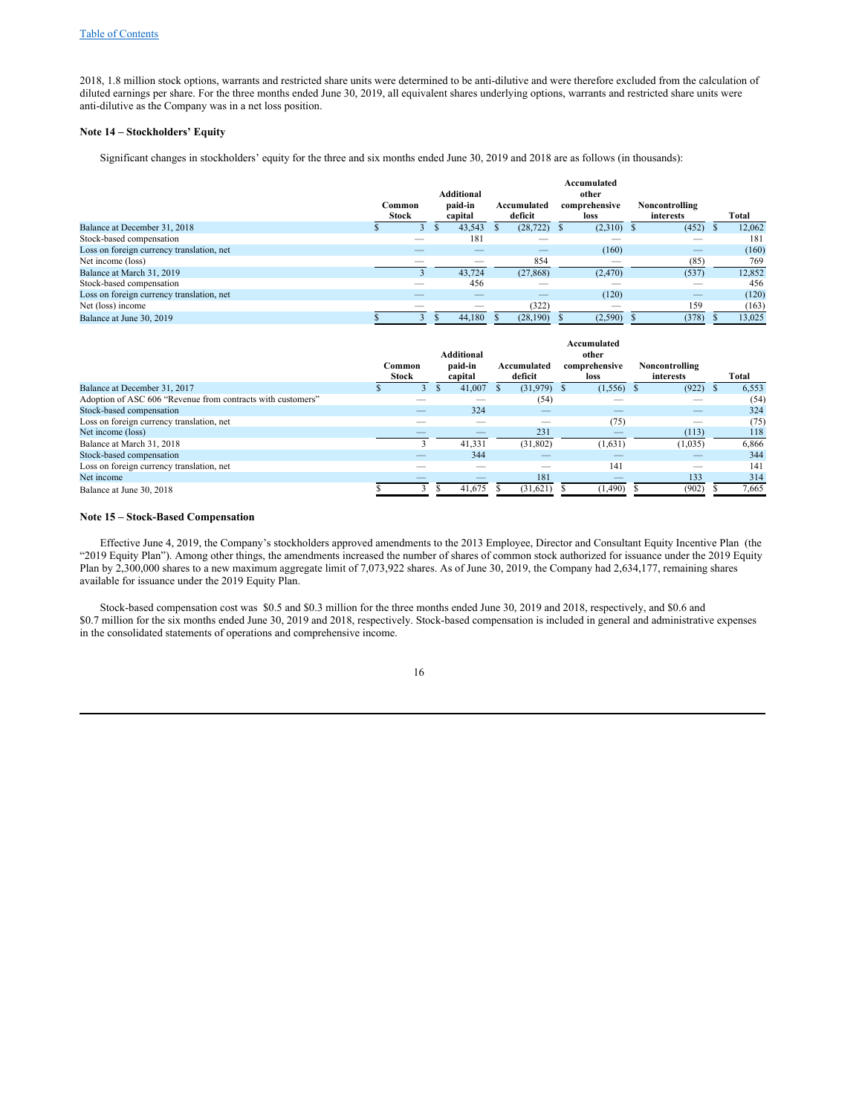2018, 1.8 million stock options, warrants and restricted share units were determined to be anti-dilutive and were therefore excluded from the calculation of diluted earnings per share. For the three months ended June 30, 2019, all equivalent shares underlying options, warrants and restricted share units were anti-dilutive as the Company was in a net loss position.

# **Note 14 – Stockholders' Equity**

Significant changes in stockholders' equity for the three and six months ended June 30, 2019 and 2018 are as follows (in thousands):

|                                           | Common<br><b>Stock</b> |   | <b>Additional</b><br>paid-in<br>capital | Accumulated<br>deficit | Accumulated<br>other<br>comprehensive<br>loss | Noncontrolling<br>interests | Total  |
|-------------------------------------------|------------------------|---|-----------------------------------------|------------------------|-----------------------------------------------|-----------------------------|--------|
| Balance at December 31, 2018              | 3                      | S | 43,543                                  | (28, 722)              | $(2,310)$ \$                                  | (452)                       | 12,062 |
| Stock-based compensation                  |                        |   | 181                                     |                        |                                               |                             | 181    |
| Loss on foreign currency translation, net |                        |   |                                         |                        | (160)                                         |                             | (160)  |
| Net income (loss)                         |                        |   |                                         | 854                    |                                               | (85)                        | 769    |
| Balance at March 31, 2019                 |                        |   | 43.724                                  | (27, 868)              | (2,470)                                       | (537)                       | 12,852 |
| Stock-based compensation                  |                        |   | 456                                     |                        |                                               |                             | 456    |
| Loss on foreign currency translation, net |                        |   | __                                      |                        | (120)                                         |                             | (120)  |
| Net (loss) income                         |                        |   |                                         | (322)                  | _                                             | 159                         | (163)  |
| Balance at June 30, 2019                  | 3                      |   | 44,180                                  | (28, 190)              | (2,590)                                       | (378)                       | 13.025 |

|                                                             |                        |                    | Additional         |                        | Accumulated<br>other     |                             |               |       |
|-------------------------------------------------------------|------------------------|--------------------|--------------------|------------------------|--------------------------|-----------------------------|---------------|-------|
|                                                             | Common<br><b>Stock</b> |                    | paid-in<br>capital | Accumulated<br>deficit | comprehensive<br>loss    | Noncontrolling<br>interests |               | Total |
| Balance at December 31, 2017                                |                        | $\mathbf{\hat{s}}$ | 41,007             | $(31,979)$ \$          | $(1,556)$ \$             | (922)                       | $\mathcal{L}$ | 6,553 |
| Adoption of ASC 606 "Revenue from contracts with customers" |                        |                    |                    | (54)                   | __                       |                             |               | (54)  |
| Stock-based compensation                                    | $-$                    |                    | 324                |                        | $\overline{\phantom{a}}$ | –                           |               | 324   |
| Loss on foreign currency translation, net                   |                        |                    |                    |                        | (75)                     | --                          |               | (75)  |
| Net income (loss)                                           |                        |                    |                    | 231                    |                          | (113)                       |               | 118   |
| Balance at March 31, 2018                                   |                        |                    | 41,331             | (31,802)               | (1,631)                  | (1,035)                     |               | 6,866 |
| Stock-based compensation                                    | __                     |                    | 344                | $-$                    | $\overline{\phantom{a}}$ |                             |               | 344   |
| Loss on foreign currency translation, net                   |                        |                    |                    |                        | 141                      | --                          |               | 141   |
| Net income                                                  |                        |                    |                    | 181                    |                          | 133                         |               | 314   |
| Balance at June 30, 2018                                    |                        |                    | 41,675             | (31,621)               | (1, 490)                 | (902)                       |               | 7,665 |

## **Note 15 – Stock-Based Compensation**

Effective June 4, 2019, the Company's stockholders approved amendments to the 2013 Employee, Director and Consultant Equity Incentive Plan (the "2019 Equity Plan"). Among other things, the amendments increased the number of shares of common stock authorized for issuance under the 2019 Equity Plan by 2,300,000 shares to a new maximum aggregate limit of 7,073,922 shares. As of June 30, 2019, the Company had 2,634,177, remaining shares available for issuance under the 2019 Equity Plan.

Stock-based compensation cost was \$0.5 and \$0.3 million for the three months ended June 30, 2019 and 2018, respectively, and \$0.6 and \$0.7 million for the six months ended June 30, 2019 and 2018, respectively. Stock-based compensation is included in general and administrative expenses in the consolidated statements of operations and comprehensive income.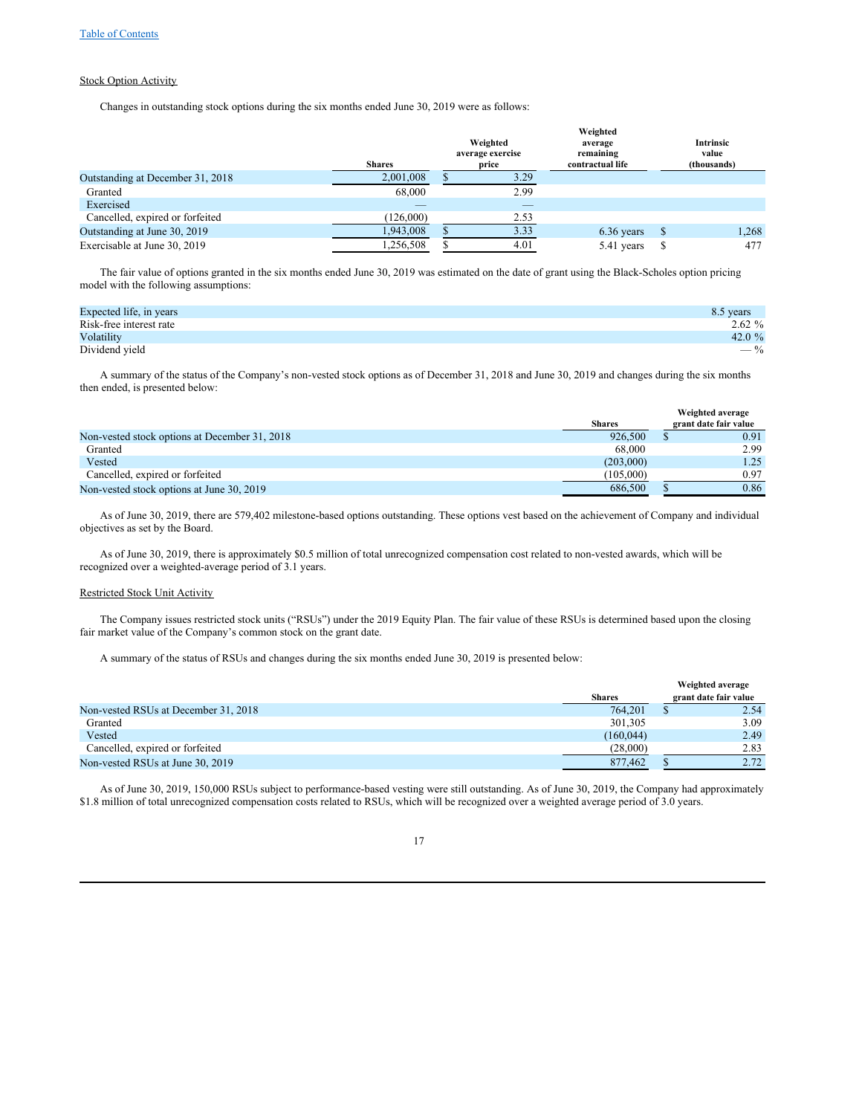# Stock Option Activity

Changes in outstanding stock options during the six months ended June 30, 2019 were as follows:

|                                  | <b>Shares</b> | Weighted<br>average exercise<br>price | Weighted<br>average<br>remaining<br>contractual life |   | Intrinsic<br>value<br>(thousands) |
|----------------------------------|---------------|---------------------------------------|------------------------------------------------------|---|-----------------------------------|
| Outstanding at December 31, 2018 | 2,001,008     | 3.29                                  |                                                      |   |                                   |
| Granted                          | 68,000        | 2.99                                  |                                                      |   |                                   |
| Exercised                        | _             | $\overline{\phantom{a}}$              |                                                      |   |                                   |
| Cancelled, expired or forfeited  | (126,000)     | 2.53                                  |                                                      |   |                                   |
| Outstanding at June 30, 2019     | 1,943,008     | 3.33                                  | 6.36 years                                           |   | 1,268                             |
| Exercisable at June 30, 2019     | 1,256,508     | 4.01                                  | 5.41 years                                           | S | 477                               |

The fair value of options granted in the six months ended June 30, 2019 was estimated on the date of grant using the Black-Scholes option pricing model with the following assumptions:

| Expected life, in years | 8.5 years |
|-------------------------|-----------|
| Risk-free interest rate | $2.62\%$  |
| Volatility              | 42.0 $%$  |
| Dividend yield          | $-$ %     |

A summary of the status of the Company's non-vested stock options as of December 31, 2018 and June 30, 2019 and changes during the six months then ended, is presented below:

|                                               |               | Weighted average      |
|-----------------------------------------------|---------------|-----------------------|
|                                               | <b>Shares</b> | grant date fair value |
| Non-vested stock options at December 31, 2018 | 926,500       | 0.91                  |
| Granted                                       | 68,000        | 2.99                  |
| Vested                                        | (203,000)     | 1.25                  |
| Cancelled, expired or forfeited               | (105.000)     | 0.97                  |
| Non-vested stock options at June 30, 2019     | 686,500       | 0.86                  |

As of June 30, 2019, there are 579,402 milestone-based options outstanding. These options vest based on the achievement of Company and individual objectives as set by the Board.

As of June 30, 2019, there is approximately \$0.5 million of total unrecognized compensation cost related to non-vested awards, which will be recognized over a weighted-average period of 3.1 years.

### Restricted Stock Unit Activity

The Company issues restricted stock units ("RSUs") under the 2019 Equity Plan. The fair value of these RSUs is determined based upon the closing fair market value of the Company's common stock on the grant date.

A summary of the status of RSUs and changes during the six months ended June 30, 2019 is presented below:

|                                      |               | Weighted average      |
|--------------------------------------|---------------|-----------------------|
|                                      | <b>Shares</b> | grant date fair value |
| Non-vested RSUs at December 31, 2018 | 764.201       | 2.54                  |
| Granted                              | 301.305       | 3.09                  |
| Vested                               | (160.044)     | 2.49                  |
| Cancelled, expired or forfeited      | (28,000)      | 2.83                  |
| Non-vested RSUs at June 30, 2019     | 877,462       | 2.72                  |

As of June 30, 2019, 150,000 RSUs subject to performance-based vesting were still outstanding. As of June 30, 2019, the Company had approximately \$1.8 million of total unrecognized compensation costs related to RSUs, which will be recognized over a weighted average period of 3.0 years.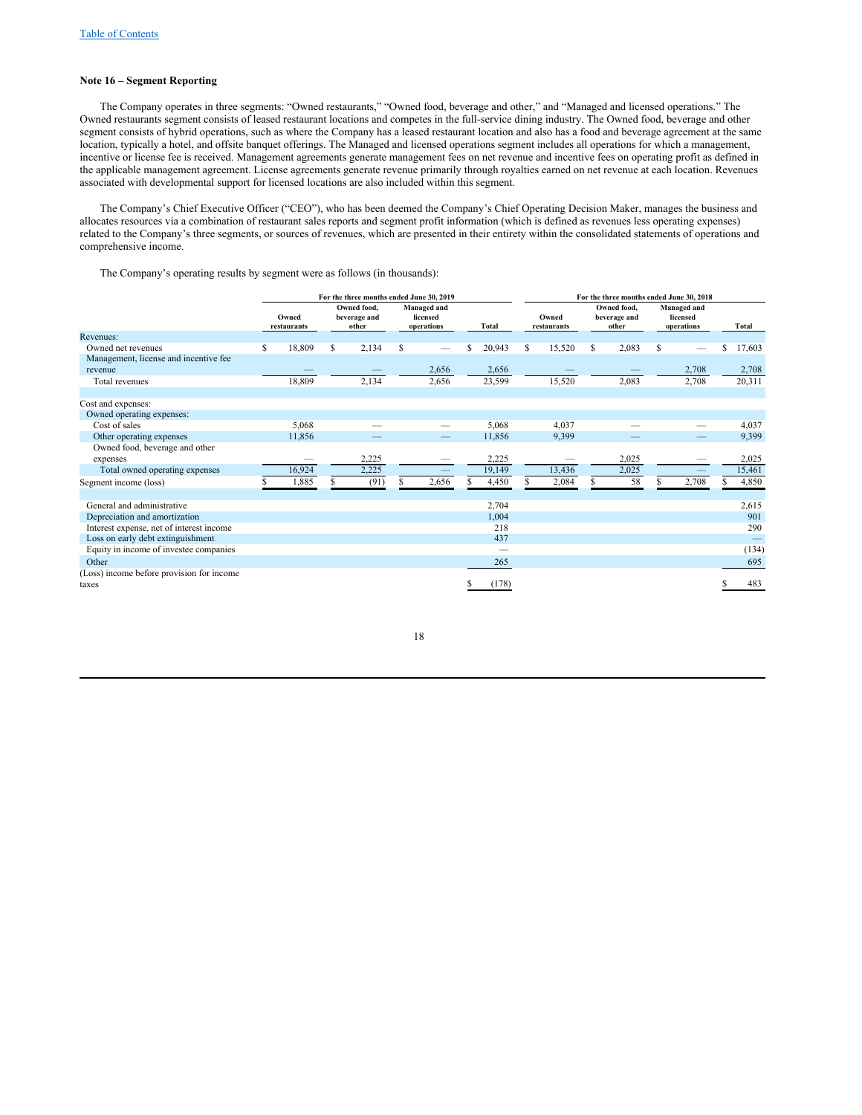### **Note 16 – Segment Reporting**

The Company operates in three segments: "Owned restaurants," "Owned food, beverage and other," and "Managed and licensed operations." The Owned restaurants segment consists of leased restaurant locations and competes in the full-service dining industry. The Owned food, beverage and other segment consists of hybrid operations, such as where the Company has a leased restaurant location and also has a food and beverage agreement at the same location, typically a hotel, and offsite banquet offerings. The Managed and licensed operations segment includes all operations for which a management, incentive or license fee is received. Management agreements generate management fees on net revenue and incentive fees on operating profit as defined in the applicable management agreement. License agreements generate revenue primarily through royalties earned on net revenue at each location. Revenues associated with developmental support for licensed locations are also included within this segment.

The Company's Chief Executive Officer ("CEO"), who has been deemed the Company's Chief Operating Decision Maker, manages the business and allocates resources via a combination of restaurant sales reports and segment profit information (which is defined as revenues less operating expenses) related to the Company's three segments, or sources of revenues, which are presented in their entirety within the consolidated statements of operations and comprehensive income.

The Company's operating results by segment were as follows (in thousands):

|                                           |   | For the three months ended June 30, 2019 |   |                                      |   |                                       |    |        |   |                      | For the three months ended June 30, 2018 |                                      |   |                                       |   |        |  |  |  |
|-------------------------------------------|---|------------------------------------------|---|--------------------------------------|---|---------------------------------------|----|--------|---|----------------------|------------------------------------------|--------------------------------------|---|---------------------------------------|---|--------|--|--|--|
|                                           |   | Owned<br>restaurants                     |   | Owned food.<br>beverage and<br>other |   | Managed and<br>licensed<br>operations |    | Total  |   | Owned<br>restaurants |                                          | Owned food.<br>beverage and<br>other |   | Managed and<br>licensed<br>operations |   | Total  |  |  |  |
| Revenues:                                 |   |                                          |   |                                      |   |                                       |    |        |   |                      |                                          |                                      |   |                                       |   |        |  |  |  |
| Owned net revenues                        | S | 18,809                                   | S | 2,134                                | s |                                       | \$ | 20,943 | S | 15,520               | S                                        | 2,083                                | s |                                       | S | 17,603 |  |  |  |
| Management, license and incentive fee     |   |                                          |   |                                      |   |                                       |    |        |   |                      |                                          |                                      |   |                                       |   |        |  |  |  |
| revenue                                   |   |                                          |   |                                      |   | 2,656                                 |    | 2,656  |   |                      |                                          |                                      |   | 2,708                                 |   | 2,708  |  |  |  |
| Total revenues                            |   | 18,809                                   |   | 2,134                                |   | 2,656                                 |    | 23,599 |   | 15,520               |                                          | 2,083                                |   | 2,708                                 |   | 20,311 |  |  |  |
|                                           |   |                                          |   |                                      |   |                                       |    |        |   |                      |                                          |                                      |   |                                       |   |        |  |  |  |
| Cost and expenses:                        |   |                                          |   |                                      |   |                                       |    |        |   |                      |                                          |                                      |   |                                       |   |        |  |  |  |
| Owned operating expenses:                 |   |                                          |   |                                      |   |                                       |    |        |   |                      |                                          |                                      |   |                                       |   |        |  |  |  |
| Cost of sales                             |   | 5,068                                    |   |                                      |   |                                       |    | 5,068  |   | 4,037                |                                          |                                      |   |                                       |   | 4,037  |  |  |  |
| Other operating expenses                  |   | 11,856                                   |   |                                      |   |                                       |    | 11,856 |   | 9,399                |                                          |                                      |   |                                       |   | 9,399  |  |  |  |
| Owned food, beverage and other            |   |                                          |   |                                      |   |                                       |    |        |   |                      |                                          |                                      |   |                                       |   |        |  |  |  |
| expenses                                  |   |                                          |   | 2,225                                |   |                                       |    | 2,225  |   |                      |                                          | 2,025                                |   |                                       |   | 2,025  |  |  |  |
| Total owned operating expenses            |   | 16,924                                   |   | 2,225                                |   |                                       |    | 19,149 |   | 13,436               |                                          | 2,025                                |   |                                       |   | 15,461 |  |  |  |
| Segment income (loss)                     |   | 1,885                                    |   | (91)                                 |   | 2,656                                 |    | 4,450  |   | 2,084                |                                          | 58                                   |   | 2,708                                 |   | 4,850  |  |  |  |
|                                           |   |                                          |   |                                      |   |                                       |    |        |   |                      |                                          |                                      |   |                                       |   |        |  |  |  |
| General and administrative                |   |                                          |   |                                      |   |                                       |    | 2,704  |   |                      |                                          |                                      |   |                                       |   | 2,615  |  |  |  |
| Depreciation and amortization             |   |                                          |   |                                      |   |                                       |    | 1,004  |   |                      |                                          |                                      |   |                                       |   | 901    |  |  |  |
| Interest expense, net of interest income  |   |                                          |   |                                      |   |                                       |    | 218    |   |                      |                                          |                                      |   |                                       |   | 290    |  |  |  |
| Loss on early debt extinguishment         |   |                                          |   |                                      |   |                                       |    | 437    |   |                      |                                          |                                      |   |                                       |   |        |  |  |  |
| Equity in income of investee companies    |   |                                          |   |                                      |   |                                       |    |        |   |                      |                                          |                                      |   |                                       |   | (134)  |  |  |  |
| Other                                     |   |                                          |   |                                      |   |                                       |    | 265    |   |                      |                                          |                                      |   |                                       |   | 695    |  |  |  |
| (Loss) income before provision for income |   |                                          |   |                                      |   |                                       |    |        |   |                      |                                          |                                      |   |                                       |   |        |  |  |  |
| taxes                                     |   |                                          |   |                                      |   |                                       | S  | (178)  |   |                      |                                          |                                      |   |                                       |   | 483    |  |  |  |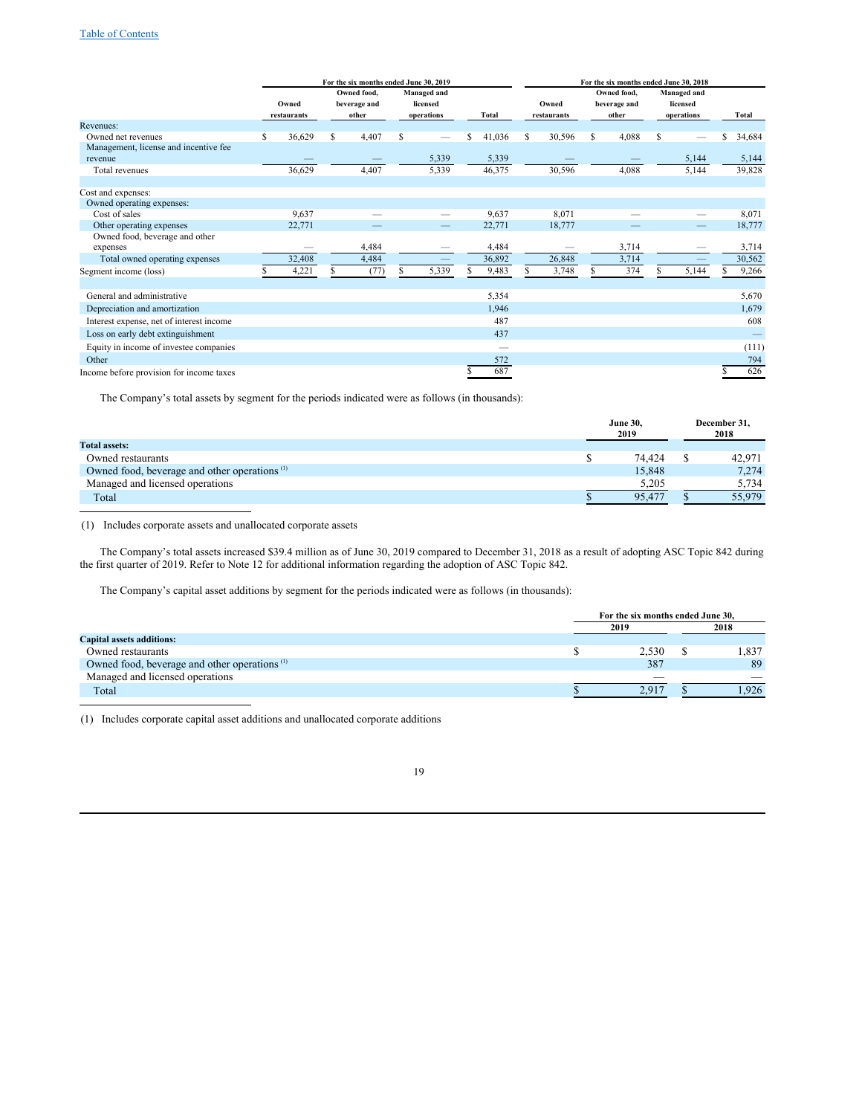|                                                  |   | For the six months ended June 30, 2019 |   |                                      |   |                                              |   |        |   | For the six months ended June 30, 2018 |   |                                      |   |                                       |   |              |  |  |
|--------------------------------------------------|---|----------------------------------------|---|--------------------------------------|---|----------------------------------------------|---|--------|---|----------------------------------------|---|--------------------------------------|---|---------------------------------------|---|--------------|--|--|
|                                                  |   | Owned<br>restaurants                   |   | Owned food.<br>beverage and<br>other |   | <b>Managed</b> and<br>licensed<br>operations |   | Total  |   | Owned<br>restaurants                   |   | Owned food,<br>beverage and<br>other |   | Managed and<br>licensed<br>operations |   | <b>Total</b> |  |  |
| Revenues:                                        |   |                                        |   |                                      |   |                                              |   |        |   |                                        |   |                                      |   |                                       |   |              |  |  |
| Owned net revenues                               | S | 36,629                                 | S | 4,407                                | S |                                              | S | 41,036 | S | 30,596                                 | S | 4,088                                | S |                                       | S | 34,684       |  |  |
| Management, license and incentive fee<br>revenue |   |                                        |   |                                      |   | 5,339                                        |   | 5,339  |   |                                        |   |                                      |   | 5,144                                 |   | 5,144        |  |  |
| Total revenues                                   |   | 36,629                                 |   | 4,407                                |   | 5,339                                        |   | 46,375 |   | 30,596                                 |   | 4,088                                |   | 5,144                                 |   | 39,828       |  |  |
|                                                  |   |                                        |   |                                      |   |                                              |   |        |   |                                        |   |                                      |   |                                       |   |              |  |  |
| Cost and expenses:                               |   |                                        |   |                                      |   |                                              |   |        |   |                                        |   |                                      |   |                                       |   |              |  |  |
| Owned operating expenses:                        |   |                                        |   |                                      |   |                                              |   |        |   |                                        |   |                                      |   |                                       |   |              |  |  |
| Cost of sales                                    |   | 9,637                                  |   |                                      |   |                                              |   | 9,637  |   | 8,071                                  |   |                                      |   |                                       |   | 8,071        |  |  |
| Other operating expenses                         |   | 22,771                                 |   |                                      |   |                                              |   | 22,771 |   | 18,777                                 |   |                                      |   |                                       |   | 18,777       |  |  |
| Owned food, beverage and other                   |   |                                        |   |                                      |   |                                              |   |        |   |                                        |   |                                      |   |                                       |   |              |  |  |
| expenses                                         |   |                                        |   | 4,484                                |   |                                              |   | 4,484  |   |                                        |   | 3,714                                |   |                                       |   | 3,714        |  |  |
| Total owned operating expenses                   |   | 32,408                                 |   | 4,484                                |   |                                              |   | 36,892 |   | 26,848                                 |   | 3,714                                |   |                                       |   | 30,562       |  |  |
| Segment income (loss)                            |   | 4,221                                  |   | (77)                                 |   | 5,339                                        | S | 9,483  |   | 3,748                                  | S | 374                                  | S | 5,144                                 | S | 9,266        |  |  |
|                                                  |   |                                        |   |                                      |   |                                              |   |        |   |                                        |   |                                      |   |                                       |   |              |  |  |
| General and administrative                       |   |                                        |   |                                      |   |                                              |   | 5,354  |   |                                        |   |                                      |   |                                       |   | 5,670        |  |  |
| Depreciation and amortization                    |   |                                        |   |                                      |   |                                              |   | 1,946  |   |                                        |   |                                      |   |                                       |   | 1,679        |  |  |
| Interest expense, net of interest income         |   |                                        |   |                                      |   |                                              |   | 487    |   |                                        |   |                                      |   |                                       |   | 608          |  |  |
| Loss on early debt extinguishment                |   |                                        |   |                                      |   |                                              |   | 437    |   |                                        |   |                                      |   |                                       |   |              |  |  |
| Equity in income of investee companies           |   |                                        |   |                                      |   |                                              |   |        |   |                                        |   |                                      |   |                                       |   | (111)        |  |  |
| Other                                            |   |                                        |   |                                      |   |                                              |   | 572    |   |                                        |   |                                      |   |                                       |   | 794          |  |  |
| Income before provision for income taxes         |   |                                        |   |                                      |   |                                              | S | 687    |   |                                        |   |                                      |   |                                       | S | 626          |  |  |

The Company's total assets by segment for the periods indicated were as follows (in thousands):

|                                                          | <b>June 30,</b><br>2019 | December 31,<br>2018 |
|----------------------------------------------------------|-------------------------|----------------------|
| <b>Total assets:</b>                                     |                         |                      |
| Owned restaurants                                        | 74,424                  | 42,971               |
| Owned food, beverage and other operations <sup>(1)</sup> | 15.848                  | 7,274                |
| Managed and licensed operations                          | 5.205                   | 5.734                |
| Total                                                    | 95,477                  | 55,979               |

(1) Includes corporate assets and unallocated corporate assets

The Company's total assets increased \$39.4 million as of June 30, 2019 compared to December 31, 2018 as a result of adopting ASC Topic 842 during the first quarter of 2019. Refer to Note 12 for additional information regarding the adoption of ASC Topic 842.

The Company's capital asset additions by segment for the periods indicated were as follows (in thousands):

|                                                          | For the six months ended June 30, |  |       |  |  |  |  |  |  |
|----------------------------------------------------------|-----------------------------------|--|-------|--|--|--|--|--|--|
|                                                          | 2019                              |  | 2018  |  |  |  |  |  |  |
| <b>Capital assets additions:</b>                         |                                   |  |       |  |  |  |  |  |  |
| Owned restaurants                                        | 2.530                             |  | . 837 |  |  |  |  |  |  |
| Owned food, beverage and other operations <sup>(1)</sup> | 387                               |  | 89    |  |  |  |  |  |  |
| Managed and licensed operations                          |                                   |  |       |  |  |  |  |  |  |
| Total                                                    | 2.917                             |  | 1.926 |  |  |  |  |  |  |

(1) Includes corporate capital asset additions and unallocated corporate additions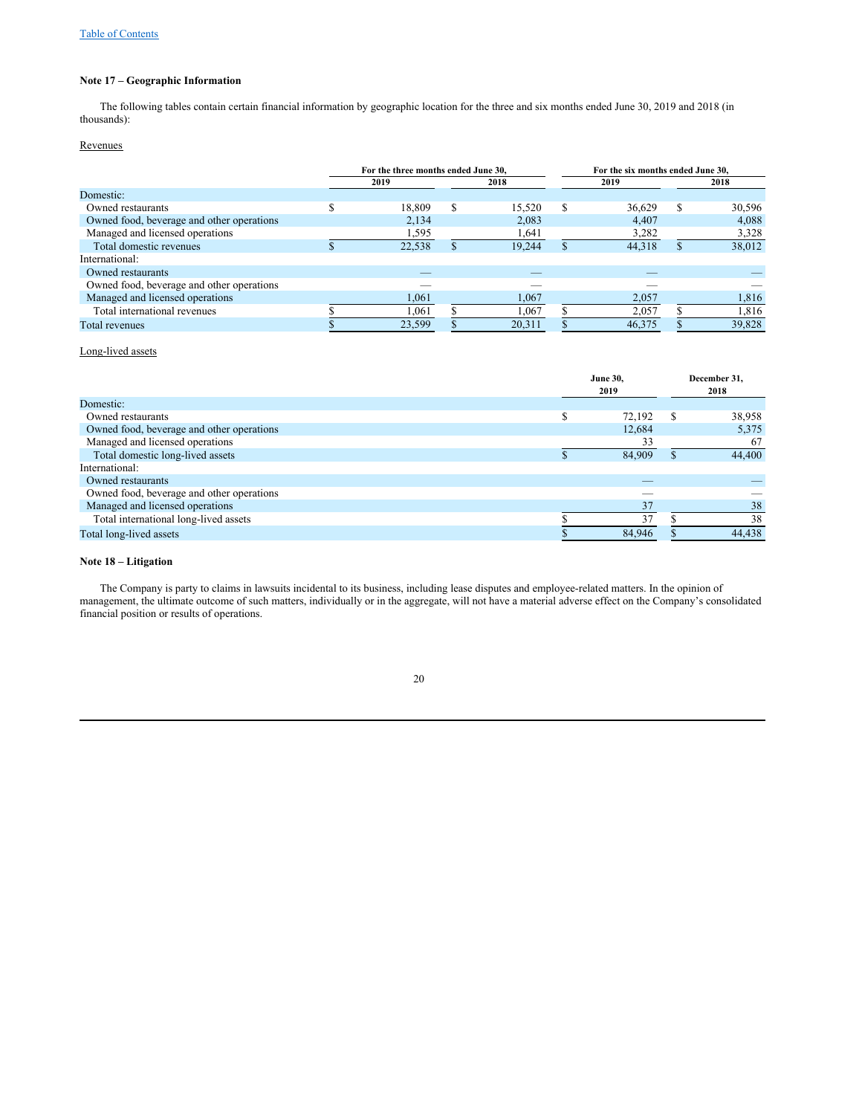# **Note 17 – Geographic Information**

The following tables contain certain financial information by geographic location for the three and six months ended June 30, 2019 and 2018 (in thousands):

# Revenues

|                                           | For the three months ended June 30. |     |        |   | For the six months ended June 30. |    |        |
|-------------------------------------------|-------------------------------------|-----|--------|---|-----------------------------------|----|--------|
|                                           | 2019                                |     | 2018   |   | 2019                              |    | 2018   |
| Domestic:                                 |                                     |     |        |   |                                   |    |        |
| Owned restaurants                         | 18.809                              | \$. | 15.520 | S | 36,629                            | J. | 30,596 |
| Owned food, beverage and other operations | 2.134                               |     | 2.083  |   | 4.407                             |    | 4.088  |
| Managed and licensed operations           | 1,595                               |     | 1,641  |   | 3,282                             |    | 3,328  |
| Total domestic revenues                   | 22,538                              |     | 19,244 |   | 44,318                            |    | 38,012 |
| International:                            |                                     |     |        |   |                                   |    |        |
| Owned restaurants                         |                                     |     |        |   |                                   |    |        |
| Owned food, beverage and other operations |                                     |     |        |   |                                   |    |        |
| Managed and licensed operations           | 1,061                               |     | 1,067  |   | 2,057                             |    | 1,816  |
| Total international revenues              | 1.061                               |     | 1.067  |   | 2.057                             |    | 1,816  |
| Total revenues                            | 23,599                              |     | 20.311 |   | 46,375                            |    | 39,828 |

# Long-lived assets

|                                           | <b>June 30,</b><br>2019 |   |        |  |  |  |
|-------------------------------------------|-------------------------|---|--------|--|--|--|
| Domestic:                                 |                         |   |        |  |  |  |
| Owned restaurants                         | 72.192                  | S | 38,958 |  |  |  |
| Owned food, beverage and other operations | 12,684                  |   | 5,375  |  |  |  |
| Managed and licensed operations           | 33                      |   | 67     |  |  |  |
| Total domestic long-lived assets          | 84,909                  |   | 44,400 |  |  |  |
| International:                            |                         |   |        |  |  |  |
| Owned restaurants                         |                         |   |        |  |  |  |
| Owned food, beverage and other operations |                         |   |        |  |  |  |
| Managed and licensed operations           | 37                      |   | 38     |  |  |  |
| Total international long-lived assets     | 37                      |   | 38     |  |  |  |
| Total long-lived assets                   | 84,946                  |   | 44,438 |  |  |  |

# **Note 18 – Litigation**

The Company is party to claims in lawsuits incidental to its business, including lease disputes and employee-related matters. In the opinion of management, the ultimate outcome of such matters, individually or in the aggregate, will not have a material adverse effect on the Company's consolidated financial position or results of operations.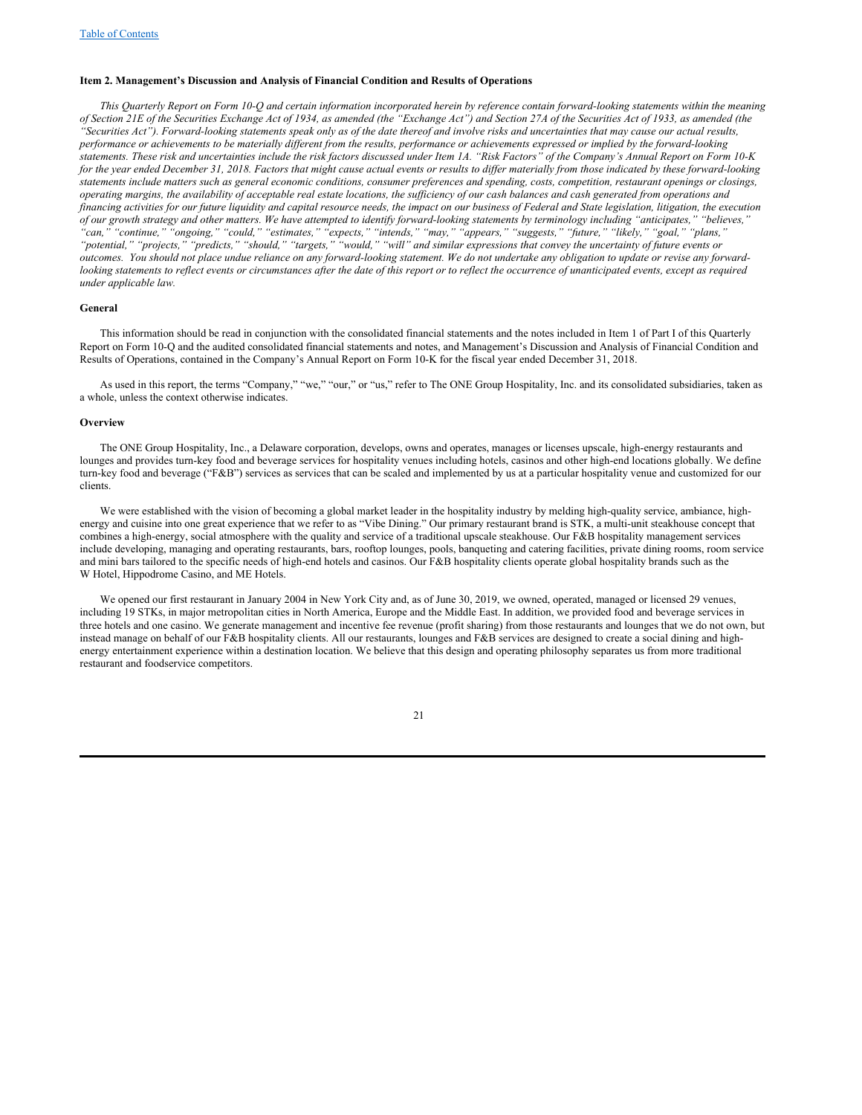### <span id="page-20-0"></span>**Item 2. Management's Discussion and Analysis of Financial Condition and Results of Operations**

This Quarterly Report on Form 10-Q and certain information incorporated herein by reference contain forward-looking statements within the meaning of Section 21E of the Securities Exchange Act of 1934, as amended (the "Exchange Act") and Section 27A of the Securities Act of 1933, as amended (the "Securities Act"). Forward-looking statements speak only as of the date thereof and involve risks and uncertainties that may cause our actual results, performance or achievements to be materially different from the results, performance or achievements expressed or implied by the forward-looking statements. These risk and uncertainties include the risk factors discussed under Item 1A. "Risk Factors" of the Company's Annual Report on Form 10-K for the year ended December 31, 2018. Factors that might cause actual events or results to differ materially from those indicated by these forward-looking statements include matters such as general economic conditions, consumer preferences and spending, costs, competition, restaurant openings or closings, operating margins, the availability of acceptable real estate locations, the sufficiency of our cash balances and cash generated from operations and financing activities for our future liquidity and capital resource needs, the impact on our business of Federal and State legislation, litigation, the execution of our growth strategy and other matters. We have attempted to identify forward-looking statements by terminology including "anticipates," "believes," "can," "continue," "ongoing," "could," "estimates," "expects," "intends," "may," "appears," "suggests," "future," "likely," "goal," "plans," "potential," "projects," "predicts," "should," "targets," "would," "will" and similar expressions that convey the uncertainty of future events or outcomes. You should not place undue reliance on any forward-looking statement. We do not undertake any obligation to update or revise any forwardlooking statements to reflect events or circumstances after the date of this report or to reflect the occurrence of unanticipated events, except as required *under applicable law.*

## **General**

This information should be read in conjunction with the consolidated financial statements and the notes included in Item 1 of Part I of this Quarterly Report on Form 10-Q and the audited consolidated financial statements and notes, and Management's Discussion and Analysis of Financial Condition and Results of Operations, contained in the Company's Annual Report on Form 10-K for the fiscal year ended December 31, 2018.

As used in this report, the terms "Company," "we," "our," or "us," refer to The ONE Group Hospitality, Inc. and its consolidated subsidiaries, taken as a whole, unless the context otherwise indicates.

### **Overview**

The ONE Group Hospitality, Inc., a Delaware corporation, develops, owns and operates, manages or licenses upscale, high-energy restaurants and lounges and provides turn-key food and beverage services for hospitality venues including hotels, casinos and other high-end locations globally. We define turn-key food and beverage ("F&B") services as services that can be scaled and implemented by us at a particular hospitality venue and customized for our clients.

We were established with the vision of becoming a global market leader in the hospitality industry by melding high-quality service, ambiance, highenergy and cuisine into one great experience that we refer to as "Vibe Dining." Our primary restaurant brand is STK, a multi-unit steakhouse concept that combines a high-energy, social atmosphere with the quality and service of a traditional upscale steakhouse. Our F&B hospitality management services include developing, managing and operating restaurants, bars, rooftop lounges, pools, banqueting and catering facilities, private dining rooms, room service and mini bars tailored to the specific needs of high-end hotels and casinos. Our F&B hospitality clients operate global hospitality brands such as the W Hotel, Hippodrome Casino, and ME Hotels.

We opened our first restaurant in January 2004 in New York City and, as of June 30, 2019, we owned, operated, managed or licensed 29 venues, including 19 STKs, in major metropolitan cities in North America, Europe and the Middle East. In addition, we provided food and beverage services in three hotels and one casino. We generate management and incentive fee revenue (profit sharing) from those restaurants and lounges that we do not own, but instead manage on behalf of our F&B hospitality clients. All our restaurants, lounges and F&B services are designed to create a social dining and highenergy entertainment experience within a destination location. We believe that this design and operating philosophy separates us from more traditional restaurant and foodservice competitors.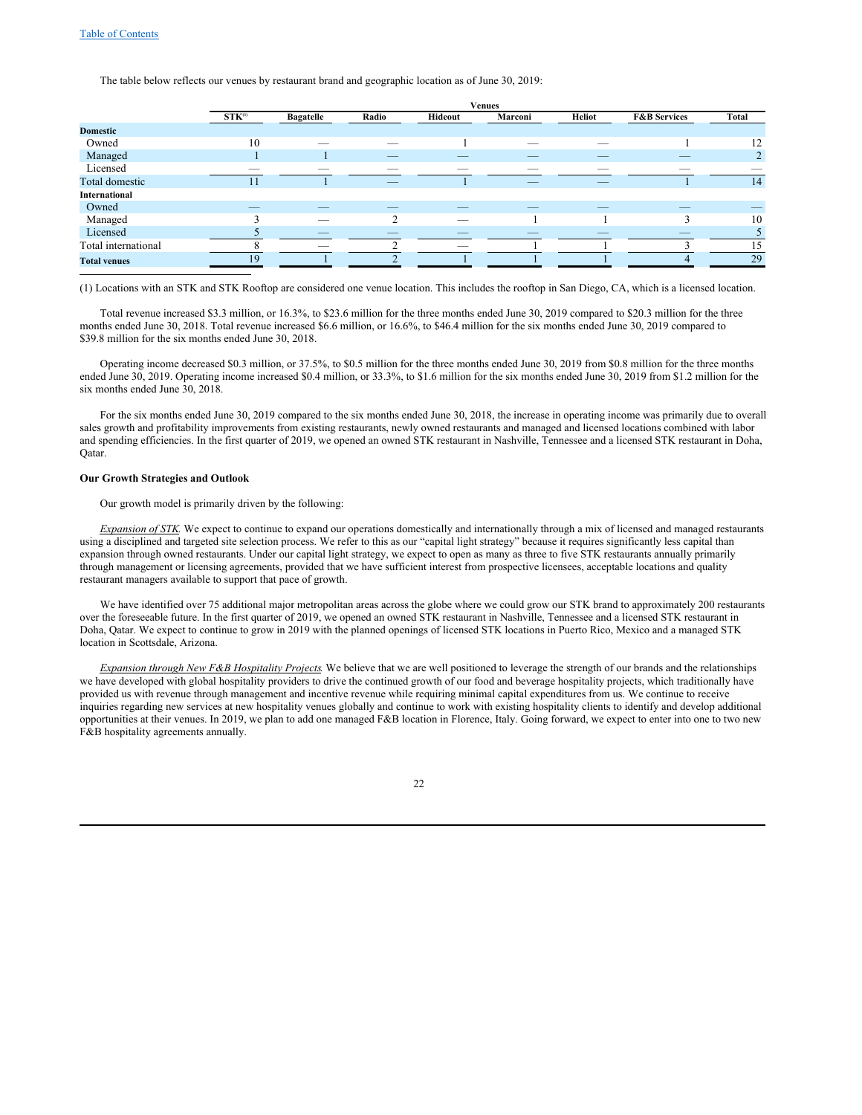The table below reflects our venues by restaurant brand and geographic location as of June 30, 2019:

|                     | <b>Venues</b> |                          |                          |         |         |               |                         |       |  |  |  |
|---------------------|---------------|--------------------------|--------------------------|---------|---------|---------------|-------------------------|-------|--|--|--|
|                     | $STK^{(1)}$   | <b>Bagatelle</b>         | Radio                    | Hideout | Marconi | <b>Heliot</b> | <b>F&amp;B</b> Services | Total |  |  |  |
| <b>Domestic</b>     |               |                          |                          |         |         |               |                         |       |  |  |  |
| Owned               | 10            | $\overline{\phantom{a}}$ | $\overline{\phantom{a}}$ |         | _       | __            |                         | 12    |  |  |  |
| Managed             |               |                          | $\overline{\phantom{a}}$ | _       |         | _             |                         |       |  |  |  |
| Licensed            | __            | __                       |                          |         |         |               |                         |       |  |  |  |
| Total domestic      | 11            |                          |                          |         |         | __            |                         | 14    |  |  |  |
| International       |               |                          |                          |         |         |               |                         |       |  |  |  |
| Owned               |               |                          |                          |         |         |               |                         |       |  |  |  |
| Managed             |               |                          | ◠                        |         |         |               | $\sim$                  | 10    |  |  |  |
| Licensed            |               | $\overline{\phantom{a}}$ |                          |         |         |               |                         |       |  |  |  |
| Total international |               | $\overline{\phantom{a}}$ |                          | _       |         |               |                         | 15    |  |  |  |
| <b>Total venues</b> | 19            |                          |                          |         |         |               |                         | 29    |  |  |  |

(1) Locations with an STK and STK Rooftop are considered one venue location. This includes the rooftop in San Diego, CA, which is a licensed location.

Total revenue increased \$3.3 million, or 16.3%, to \$23.6 million for the three months ended June 30, 2019 compared to \$20.3 million for the three months ended June 30, 2018. Total revenue increased \$6.6 million, or 16.6%, to \$46.4 million for the six months ended June 30, 2019 compared to \$39.8 million for the six months ended June 30, 2018.

Operating income decreased \$0.3 million, or 37.5%, to \$0.5 million for the three months ended June 30, 2019 from \$0.8 million for the three months ended June 30, 2019. Operating income increased \$0.4 million, or 33.3%, to \$1.6 million for the six months ended June 30, 2019 from \$1.2 million for the six months ended June 30, 2018.

For the six months ended June 30, 2019 compared to the six months ended June 30, 2018, the increase in operating income was primarily due to overall sales growth and profitability improvements from existing restaurants, newly owned restaurants and managed and licensed locations combined with labor and spending efficiencies. In the first quarter of 2019, we opened an owned STK restaurant in Nashville, Tennessee and a licensed STK restaurant in Doha, Qatar.

## **Our Growth Strategies and Outlook**

Our growth model is primarily driven by the following:

*Expansion of STK.* We expect to continue to expand our operations domestically and internationally through a mix of licensed and managed restaurants using a disciplined and targeted site selection process. We refer to this as our "capital light strategy" because it requires significantly less capital than expansion through owned restaurants. Under our capital light strategy, we expect to open as many as three to five STK restaurants annually primarily through management or licensing agreements, provided that we have sufficient interest from prospective licensees, acceptable locations and quality restaurant managers available to support that pace of growth.

We have identified over 75 additional major metropolitan areas across the globe where we could grow our STK brand to approximately 200 restaurants over the foreseeable future. In the first quarter of 2019, we opened an owned STK restaurant in Nashville, Tennessee and a licensed STK restaurant in Doha, Qatar. We expect to continue to grow in 2019 with the planned openings of licensed STK locations in Puerto Rico, Mexico and a managed STK location in Scottsdale, Arizona.

*Expansion through New F&B Hospitality Projects.* We believe that we are well positioned to leverage the strength of our brands and the relationships we have developed with global hospitality providers to drive the continued growth of our food and beverage hospitality projects, which traditionally have provided us with revenue through management and incentive revenue while requiring minimal capital expenditures from us. We continue to receive inquiries regarding new services at new hospitality venues globally and continue to work with existing hospitality clients to identify and develop additional opportunities at their venues. In 2019, we plan to add one managed F&B location in Florence, Italy. Going forward, we expect to enter into one to two new F&B hospitality agreements annually.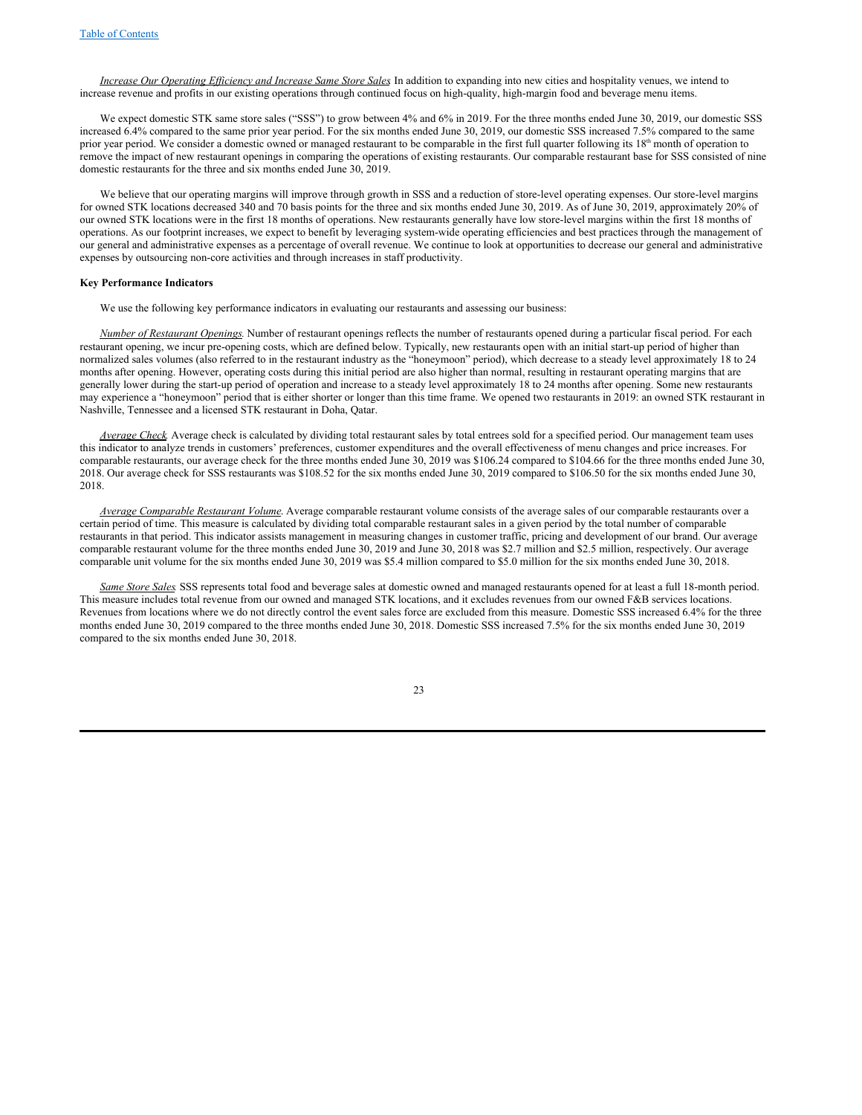*Increase Our Operating Ef iciency and Increase Same Store Sales.* In addition to expanding into new cities and hospitality venues, we intend to increase revenue and profits in our existing operations through continued focus on high-quality, high-margin food and beverage menu items.

We expect domestic STK same store sales ("SSS") to grow between 4% and 6% in 2019. For the three months ended June 30, 2019, our domestic SSS increased 6.4% compared to the same prior year period. For the six months ended June 30, 2019, our domestic SSS increased 7.5% compared to the same prior year period. We consider a domestic owned or managed restaurant to be comparable in the first full quarter following its 18<sup>th</sup> month of operation to remove the impact of new restaurant openings in comparing the operations of existing restaurants. Our comparable restaurant base for SSS consisted of nine domestic restaurants for the three and six months ended June 30, 2019.

We believe that our operating margins will improve through growth in SSS and a reduction of store-level operating expenses. Our store-level margins for owned STK locations decreased 340 and 70 basis points for the three and six months ended June 30, 2019. As of June 30, 2019, approximately 20% of our owned STK locations were in the first 18 months of operations. New restaurants generally have low store-level margins within the first 18 months of operations. As our footprint increases, we expect to benefit by leveraging system-wide operating efficiencies and best practices through the management of our general and administrative expenses as a percentage of overall revenue. We continue to look at opportunities to decrease our general and administrative expenses by outsourcing non-core activities and through increases in staff productivity.

### **Key Performance Indicators**

We use the following key performance indicators in evaluating our restaurants and assessing our business:

*Number of Restaurant Openings.* Number of restaurant openings reflects the number of restaurants opened during a particular fiscal period. For each restaurant opening, we incur pre-opening costs, which are defined below. Typically, new restaurants open with an initial start-up period of higher than normalized sales volumes (also referred to in the restaurant industry as the "honeymoon" period), which decrease to a steady level approximately 18 to 24 months after opening. However, operating costs during this initial period are also higher than normal, resulting in restaurant operating margins that are generally lower during the start-up period of operation and increase to a steady level approximately 18 to 24 months after opening. Some new restaurants may experience a "honeymoon" period that is either shorter or longer than this time frame. We opened two restaurants in 2019: an owned STK restaurant in Nashville, Tennessee and a licensed STK restaurant in Doha, Qatar.

*Average Check.* Average check is calculated by dividing total restaurant sales by total entrees sold for a specified period. Our management team uses this indicator to analyze trends in customers' preferences, customer expenditures and the overall effectiveness of menu changes and price increases. For comparable restaurants, our average check for the three months ended June 30, 2019 was \$106.24 compared to \$104.66 for the three months ended June 30, 2018. Our average check for SSS restaurants was \$108.52 for the six months ended June 30, 2019 compared to \$106.50 for the six months ended June 30, 2018.

*Average Comparable Restaurant Volume*. Average comparable restaurant volume consists of the average sales of our comparable restaurants over a certain period of time. This measure is calculated by dividing total comparable restaurant sales in a given period by the total number of comparable restaurants in that period. This indicator assists management in measuring changes in customer traffic, pricing and development of our brand. Our average comparable restaurant volume for the three months ended June 30, 2019 and June 30, 2018 was \$2.7 million and \$2.5 million, respectively. Our average comparable unit volume for the six months ended June 30, 2019 was \$5.4 million compared to \$5.0 million for the six months ended June 30, 2018.

*Same Store Sales.* SSS represents total food and beverage sales at domestic owned and managed restaurants opened for at least a full 18-month period. This measure includes total revenue from our owned and managed STK locations, and it excludes revenues from our owned F&B services locations. Revenues from locations where we do not directly control the event sales force are excluded from this measure. Domestic SSS increased 6.4% for the three months ended June 30, 2019 compared to the three months ended June 30, 2018. Domestic SSS increased 7.5% for the six months ended June 30, 2019 compared to the six months ended June 30, 2018.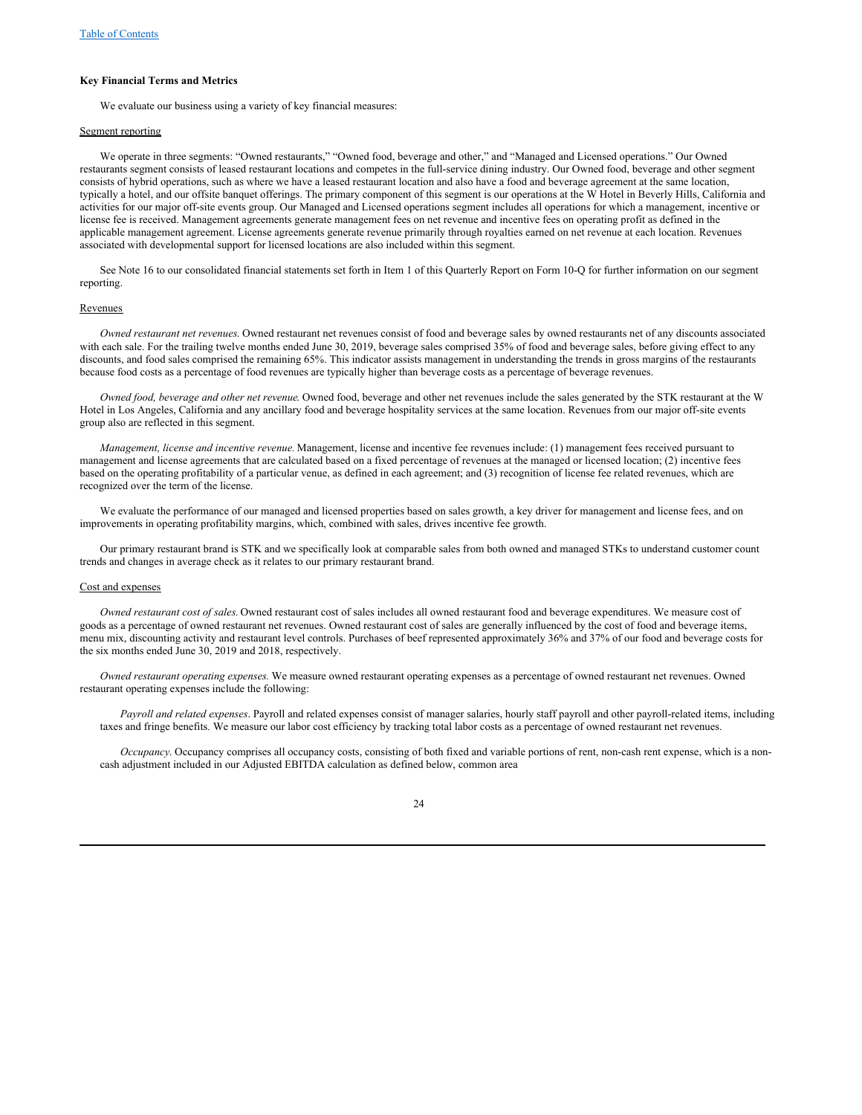### **Key Financial Terms and Metrics**

We evaluate our business using a variety of key financial measures:

### Segment reporting

We operate in three segments: "Owned restaurants," "Owned food, beverage and other," and "Managed and Licensed operations." Our Owned restaurants segment consists of leased restaurant locations and competes in the full-service dining industry. Our Owned food, beverage and other segment consists of hybrid operations, such as where we have a leased restaurant location and also have a food and beverage agreement at the same location, typically a hotel, and our offsite banquet offerings. The primary component of this segment is our operations at the W Hotel in Beverly Hills, California and activities for our major off-site events group. Our Managed and Licensed operations segment includes all operations for which a management, incentive or license fee is received. Management agreements generate management fees on net revenue and incentive fees on operating profit as defined in the applicable management agreement. License agreements generate revenue primarily through royalties earned on net revenue at each location. Revenues associated with developmental support for licensed locations are also included within this segment.

See Note 16 to our consolidated financial statements set forth in Item 1 of this Quarterly Report on Form 10-Q for further information on our segment reporting.

### Revenues

*Owned restaurant net revenues*. Owned restaurant net revenues consist of food and beverage sales by owned restaurants net of any discounts associated with each sale. For the trailing twelve months ended June 30, 2019, beverage sales comprised 35% of food and beverage sales, before giving effect to any discounts, and food sales comprised the remaining 65%. This indicator assists management in understanding the trends in gross margins of the restaurants because food costs as a percentage of food revenues are typically higher than beverage costs as a percentage of beverage revenues.

*Owned food, beverage and other net revenue*. Owned food, beverage and other net revenues include the sales generated by the STK restaurant at the W Hotel in Los Angeles, California and any ancillary food and beverage hospitality services at the same location. Revenues from our major off-site events group also are reflected in this segment.

*Management, license and incentive revenue.* Management, license and incentive fee revenues include: (1) management fees received pursuant to management and license agreements that are calculated based on a fixed percentage of revenues at the managed or licensed location; (2) incentive fees based on the operating profitability of a particular venue, as defined in each agreement; and (3) recognition of license fee related revenues, which are recognized over the term of the license.

We evaluate the performance of our managed and licensed properties based on sales growth, a key driver for management and license fees, and on improvements in operating profitability margins, which, combined with sales, drives incentive fee growth.

Our primary restaurant brand is STK and we specifically look at comparable sales from both owned and managed STKs to understand customer count trends and changes in average check as it relates to our primary restaurant brand.

### Cost and expenses

*Owned restaurant cost of sales.* Owned restaurant cost of sales includes all owned restaurant food and beverage expenditures. We measure cost of goods as a percentage of owned restaurant net revenues. Owned restaurant cost of sales are generally influenced by the cost of food and beverage items, menu mix, discounting activity and restaurant level controls. Purchases of beef represented approximately 36% and 37% of our food and beverage costs for the six months ended June 30, 2019 and 2018, respectively.

*Owned restaurant operating expenses.* We measure owned restaurant operating expenses as a percentage of owned restaurant net revenues. Owned restaurant operating expenses include the following:

*Payroll and related expenses*. Payroll and related expenses consist of manager salaries, hourly staff payroll and other payroll-related items, including taxes and fringe benefits. We measure our labor cost efficiency by tracking total labor costs as a percentage of owned restaurant net revenues.

*Occupancy*. Occupancy comprises all occupancy costs, consisting of both fixed and variable portions of rent, non-cash rent expense, which is a noncash adjustment included in our Adjusted EBITDA calculation as defined below, common area

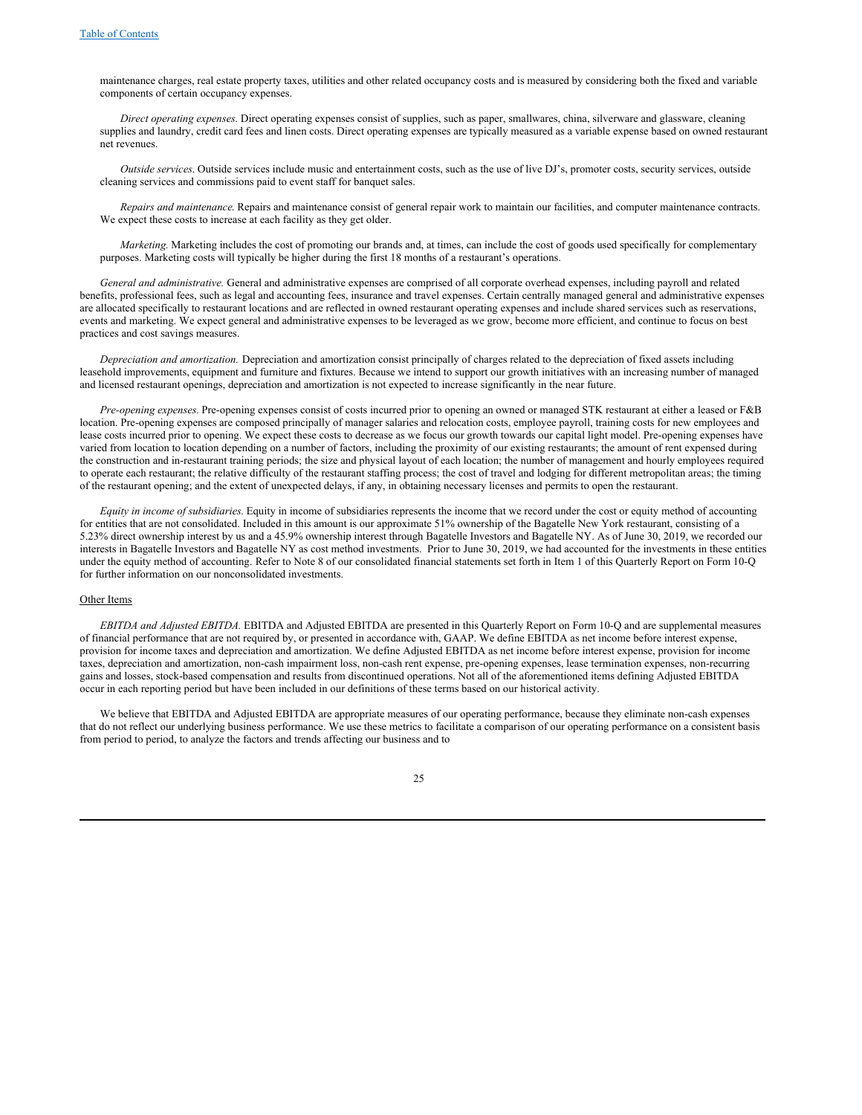maintenance charges, real estate property taxes, utilities and other related occupancy costs and is measured by considering both the fixed and variable components of certain occupancy expenses.

*Direct operating expenses*. Direct operating expenses consist of supplies, such as paper, smallwares, china, silverware and glassware, cleaning supplies and laundry, credit card fees and linen costs. Direct operating expenses are typically measured as a variable expense based on owned restaurant net revenues.

*Outside services*. Outside services include music and entertainment costs, such as the use of live DJ's, promoter costs, security services, outside cleaning services and commissions paid to event staff for banquet sales.

*Repairs and maintenance*. Repairs and maintenance consist of general repair work to maintain our facilities, and computer maintenance contracts. We expect these costs to increase at each facility as they get older.

*Marketing.* Marketing includes the cost of promoting our brands and, at times, can include the cost of goods used specifically for complementary purposes. Marketing costs will typically be higher during the first 18 months of a restaurant's operations.

*General and administrative.* General and administrative expenses are comprised of all corporate overhead expenses, including payroll and related benefits, professional fees, such as legal and accounting fees, insurance and travel expenses. Certain centrally managed general and administrative expenses are allocated specifically to restaurant locations and are reflected in owned restaurant operating expenses and include shared services such as reservations, events and marketing. We expect general and administrative expenses to be leveraged as we grow, become more efficient, and continue to focus on best practices and cost savings measures.

*Depreciation and amortization.* Depreciation and amortization consist principally of charges related to the depreciation of fixed assets including leasehold improvements, equipment and furniture and fixtures. Because we intend to support our growth initiatives with an increasing number of managed and licensed restaurant openings, depreciation and amortization is not expected to increase significantly in the near future.

*Pre-opening expenses.* Pre-opening expenses consist of costs incurred prior to opening an owned or managed STK restaurant at either a leased or F&B location. Pre-opening expenses are composed principally of manager salaries and relocation costs, employee payroll, training costs for new employees and lease costs incurred prior to opening. We expect these costs to decrease as we focus our growth towards our capital light model. Pre-opening expenses have varied from location to location depending on a number of factors, including the proximity of our existing restaurants; the amount of rent expensed during the construction and in-restaurant training periods; the size and physical layout of each location; the number of management and hourly employees required to operate each restaurant; the relative difficulty of the restaurant staffing process; the cost of travel and lodging for different metropolitan areas; the timing of the restaurant opening; and the extent of unexpected delays, if any, in obtaining necessary licenses and permits to open the restaurant.

*Equity in income of subsidiaries.* Equity in income of subsidiaries represents the income that we record under the cost or equity method of accounting for entities that are not consolidated. Included in this amount is our approximate 51% ownership of the Bagatelle New York restaurant, consisting of a 5.23% direct ownership interest by us and a 45.9% ownership interest through Bagatelle Investors and Bagatelle NY. As of June 30, 2019, we recorded our interests in Bagatelle Investors and Bagatelle NY as cost method investments. Prior to June 30, 2019, we had accounted for the investments in these entities under the equity method of accounting. Refer to Note 8 of our consolidated financial statements set forth in Item 1 of this Quarterly Report on Form 10-Q for further information on our nonconsolidated investments.

## Other Items

*EBITDA and Adjusted EBITDA.* EBITDA and Adjusted EBITDA are presented in this Quarterly Report on Form 10-Q and are supplemental measures of financial performance that are not required by, or presented in accordance with, GAAP. We define EBITDA as net income before interest expense, provision for income taxes and depreciation and amortization. We define Adjusted EBITDA as net income before interest expense, provision for income taxes, depreciation and amortization, non-cash impairment loss, non-cash rent expense, pre-opening expenses, lease termination expenses, non-recurring gains and losses, stock-based compensation and results from discontinued operations. Not all of the aforementioned items defining Adjusted EBITDA occur in each reporting period but have been included in our definitions of these terms based on our historical activity.

We believe that EBITDA and Adjusted EBITDA are appropriate measures of our operating performance, because they eliminate non-cash expenses that do not reflect our underlying business performance. We use these metrics to facilitate a comparison of our operating performance on a consistent basis from period to period, to analyze the factors and trends affecting our business and to

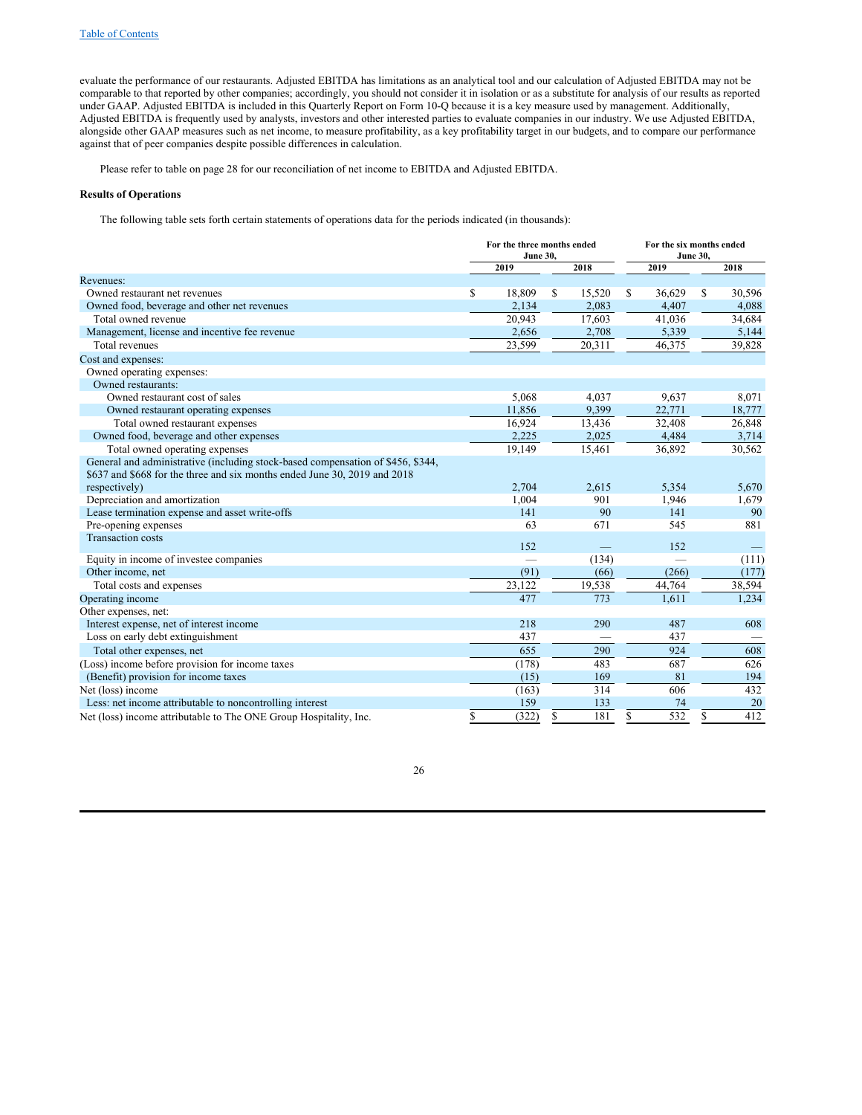evaluate the performance of our restaurants. Adjusted EBITDA has limitations as an analytical tool and our calculation of Adjusted EBITDA may not be comparable to that reported by other companies; accordingly, you should not consider it in isolation or as a substitute for analysis of our results as reported under GAAP. Adjusted EBITDA is included in this Quarterly Report on Form 10-Q because it is a key measure used by management. Additionally, Adjusted EBITDA is frequently used by analysts, investors and other interested parties to evaluate companies in our industry. We use Adjusted EBITDA, alongside other GAAP measures such as net income, to measure profitability, as a key profitability target in our budgets, and to compare our performance against that of peer companies despite possible differences in calculation.

Please refer to table on page 28 for our reconciliation of net income to EBITDA and Adjusted EBITDA.

# **Results of Operations**

The following table sets forth certain statements of operations data for the periods indicated (in thousands):

|                                                                                                                                                              | For the three months ended<br><b>June 30.</b> |        |    |        |    | For the six months ended<br>June 30. |    |        |  |  |
|--------------------------------------------------------------------------------------------------------------------------------------------------------------|-----------------------------------------------|--------|----|--------|----|--------------------------------------|----|--------|--|--|
|                                                                                                                                                              |                                               | 2019   |    | 2018   |    | 2019                                 |    | 2018   |  |  |
| Revenues:                                                                                                                                                    |                                               |        |    |        |    |                                      |    |        |  |  |
| Owned restaurant net revenues                                                                                                                                | \$                                            | 18.809 | \$ | 15,520 | \$ | 36,629                               | S  | 30,596 |  |  |
| Owned food, beverage and other net revenues                                                                                                                  |                                               | 2,134  |    | 2,083  |    | 4,407                                |    | 4,088  |  |  |
| Total owned revenue                                                                                                                                          |                                               | 20,943 |    | 17,603 |    | 41,036                               |    | 34,684 |  |  |
| Management, license and incentive fee revenue                                                                                                                |                                               | 2,656  |    | 2,708  |    | 5,339                                |    | 5,144  |  |  |
| Total revenues                                                                                                                                               |                                               | 23,599 |    | 20,311 |    | 46,375                               |    | 39,828 |  |  |
| Cost and expenses:                                                                                                                                           |                                               |        |    |        |    |                                      |    |        |  |  |
| Owned operating expenses:                                                                                                                                    |                                               |        |    |        |    |                                      |    |        |  |  |
| Owned restaurants:                                                                                                                                           |                                               |        |    |        |    |                                      |    |        |  |  |
| Owned restaurant cost of sales                                                                                                                               |                                               | 5,068  |    | 4,037  |    | 9,637                                |    | 8,071  |  |  |
| Owned restaurant operating expenses                                                                                                                          |                                               | 11,856 |    | 9,399  |    | 22,771                               |    | 18,777 |  |  |
| Total owned restaurant expenses                                                                                                                              |                                               | 16,924 |    | 13,436 |    | 32,408                               |    | 26,848 |  |  |
| Owned food, beverage and other expenses                                                                                                                      |                                               | 2,225  |    | 2,025  |    | 4,484                                |    | 3,714  |  |  |
| Total owned operating expenses                                                                                                                               |                                               | 19,149 |    | 15,461 |    | 36,892                               |    | 30,562 |  |  |
| General and administrative (including stock-based compensation of \$456, \$344,<br>\$637 and \$668 for the three and six months ended June 30, 2019 and 2018 |                                               |        |    |        |    |                                      |    |        |  |  |
| respectively)                                                                                                                                                |                                               | 2,704  |    | 2,615  |    | 5,354                                |    | 5,670  |  |  |
| Depreciation and amortization                                                                                                                                |                                               | 1,004  |    | 901    |    | 1,946                                |    | 1,679  |  |  |
| Lease termination expense and asset write-offs                                                                                                               |                                               | 141    |    | 90     |    | 141                                  |    | 90     |  |  |
| Pre-opening expenses                                                                                                                                         |                                               | 63     |    | 671    |    | 545                                  |    | 881    |  |  |
| <b>Transaction costs</b>                                                                                                                                     |                                               | 152    |    |        |    | 152                                  |    |        |  |  |
| Equity in income of investee companies                                                                                                                       |                                               |        |    | (134)  |    |                                      |    | (111)  |  |  |
| Other income, net                                                                                                                                            |                                               | (91)   |    | (66)   |    | (266)                                |    | (177)  |  |  |
| Total costs and expenses                                                                                                                                     |                                               | 23,122 |    | 19,538 |    | 44,764                               |    | 38,594 |  |  |
| Operating income                                                                                                                                             |                                               | 477    |    | 773    |    | 1,611                                |    | 1,234  |  |  |
| Other expenses, net:                                                                                                                                         |                                               |        |    |        |    |                                      |    |        |  |  |
| Interest expense, net of interest income                                                                                                                     |                                               | 218    |    | 290    |    | 487                                  |    | 608    |  |  |
| Loss on early debt extinguishment                                                                                                                            |                                               | 437    |    |        |    | 437                                  |    |        |  |  |
| Total other expenses, net                                                                                                                                    |                                               | 655    |    | 290    |    | 924                                  |    | 608    |  |  |
| (Loss) income before provision for income taxes                                                                                                              |                                               | (178)  |    | 483    |    | 687                                  |    | 626    |  |  |
| (Benefit) provision for income taxes                                                                                                                         |                                               | (15)   |    | 169    |    | 81                                   |    | 194    |  |  |
| Net (loss) income                                                                                                                                            |                                               | (163)  |    | 314    |    | 606                                  |    | 432    |  |  |
| Less: net income attributable to noncontrolling interest                                                                                                     |                                               | 159    |    | 133    |    | 74                                   |    | 20     |  |  |
| Net (loss) income attributable to The ONE Group Hospitality, Inc.                                                                                            | \$                                            | (322)  | \$ | 181    | \$ | 532                                  | \$ | 412    |  |  |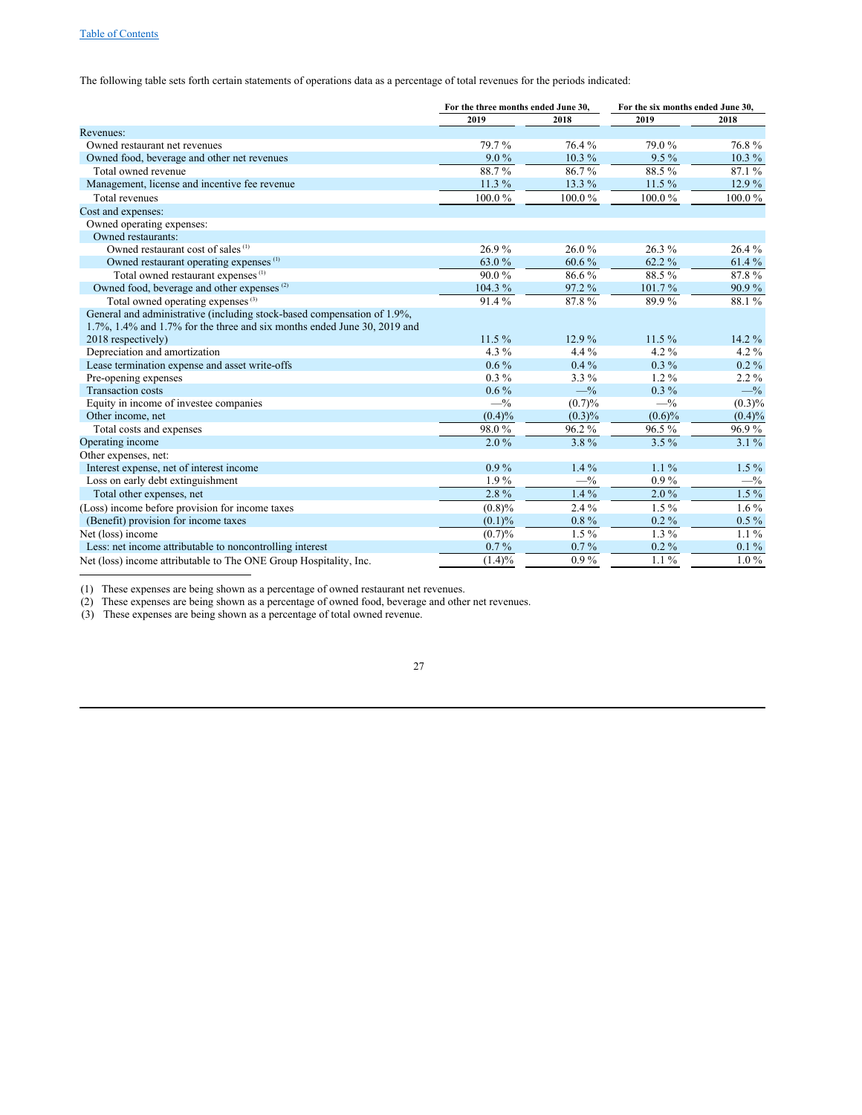The following table sets forth certain statements of operations data as a percentage of total revenues for the periods indicated:

|                                                                                                                                                     | For the three months ended June 30, |           | For the six months ended June 30, |           |  |  |
|-----------------------------------------------------------------------------------------------------------------------------------------------------|-------------------------------------|-----------|-----------------------------------|-----------|--|--|
|                                                                                                                                                     | 2019                                | 2018      | 2019                              | 2018      |  |  |
| Revenues:                                                                                                                                           |                                     |           |                                   |           |  |  |
| Owned restaurant net revenues                                                                                                                       | 79.7%                               | 76.4%     | 79.0%                             | 76.8%     |  |  |
| Owned food, beverage and other net revenues                                                                                                         | $9.0\%$                             | $10.3\%$  | $9.5\%$                           | $10.3\%$  |  |  |
| Total owned revenue                                                                                                                                 | 88.7%                               | 86.7%     | 88.5%                             | 87.1 %    |  |  |
| Management, license and incentive fee revenue                                                                                                       | $11.3\%$                            | 13.3 %    | $11.5\%$                          | $12.9\%$  |  |  |
| Total revenues                                                                                                                                      | 100.0%                              | 100.0%    | $100.0\,\%$                       | 100.0%    |  |  |
| Cost and expenses:                                                                                                                                  |                                     |           |                                   |           |  |  |
| Owned operating expenses:                                                                                                                           |                                     |           |                                   |           |  |  |
| Owned restaurants:                                                                                                                                  |                                     |           |                                   |           |  |  |
| Owned restaurant cost of sales <sup>(1)</sup>                                                                                                       | 26.9%                               | 26.0%     | $26.3\%$                          | 26.4%     |  |  |
| Owned restaurant operating expenses <sup>(1)</sup>                                                                                                  | 63.0%                               | 60.6%     | 62.2 %                            | 61.4 %    |  |  |
| Total owned restaurant expenses <sup>(1)</sup>                                                                                                      | 90.0%                               | 86.6%     | 88.5%                             | 87.8%     |  |  |
| Owned food, beverage and other expenses <sup>(2)</sup>                                                                                              | 104.3 %                             | 97.2 %    | 101.7%                            | $90.9\%$  |  |  |
| Total owned operating expenses <sup>(3)</sup>                                                                                                       | 91.4%                               | 87.8%     | 89.9%                             | 88.1%     |  |  |
| General and administrative (including stock-based compensation of 1.9%,<br>1.7%, 1.4% and 1.7% for the three and six months ended June 30, 2019 and |                                     |           |                                   |           |  |  |
| 2018 respectively)                                                                                                                                  | $11.5\%$                            | 12.9%     | $11.5\%$                          | $14.2\%$  |  |  |
| Depreciation and amortization                                                                                                                       | 4.3 $%$                             | $4.4\%$   | $4.2\%$                           | 4.2 $%$   |  |  |
| Lease termination expense and asset write-offs                                                                                                      | $0.6\%$                             | $0.4\%$   | $0.3\%$                           | $0.2\%$   |  |  |
| Pre-opening expenses                                                                                                                                | $0.3\%$                             | $3.3\%$   | $1.2\%$                           | $2.2\%$   |  |  |
| <b>Transaction costs</b>                                                                                                                            | $0.6\%$                             | $-$ %     | $0.3\%$                           | $-$ %     |  |  |
| Equity in income of investee companies                                                                                                              | $-$ %                               | $(0.7)\%$ | $-$ %                             | $(0.3)\%$ |  |  |
| Other income, net                                                                                                                                   | $(0.4)\%$                           | $(0.3)\%$ | $(0.6)\%$                         | $(0.4)\%$ |  |  |
| Total costs and expenses                                                                                                                            | 98.0%                               | 96.2%     | 96.5%                             | $96.9\%$  |  |  |
| Operating income                                                                                                                                    | $2.0\%$                             | 3.8%      | $3.5\%$                           | $3.1\%$   |  |  |
| Other expenses, net:                                                                                                                                |                                     |           |                                   |           |  |  |
| Interest expense, net of interest income                                                                                                            | $0.9\%$                             | $1.4\%$   | $1.1\%$                           | $1.5\%$   |  |  |
| Loss on early debt extinguishment                                                                                                                   | 1.9%                                | $-$ %     | $0.9\%$                           | $-$ %     |  |  |
| Total other expenses, net                                                                                                                           | $2.8\%$                             | $1.4\%$   | $2.0\%$                           | $1.5\%$   |  |  |
| (Loss) income before provision for income taxes                                                                                                     | (0.8)%                              | $2.4\%$   | $1.5\%$                           | $1.6\%$   |  |  |
| (Benefit) provision for income taxes                                                                                                                | (0.1)%                              | $0.8\%$   | $0.2\%$                           | $0.5\%$   |  |  |
| Net (loss) income                                                                                                                                   | (0.7)%                              | $1.5\%$   | $1.3\%$                           | $1.1\%$   |  |  |
| Less: net income attributable to noncontrolling interest                                                                                            | $0.7\%$                             | $0.7\%$   | $0.2\%$                           | $0.1\%$   |  |  |
| Net (loss) income attributable to The ONE Group Hospitality, Inc.                                                                                   | $(1.4)\%$                           | $0.9\%$   | $1.1\%$                           | $1.0\%$   |  |  |

(1) These expenses are being shown as a percentage of owned restaurant net revenues.

(2) These expenses are being shown as a percentage of owned food, beverage and other net revenues.

(3) These expenses are being shown as a percentage of total owned revenue.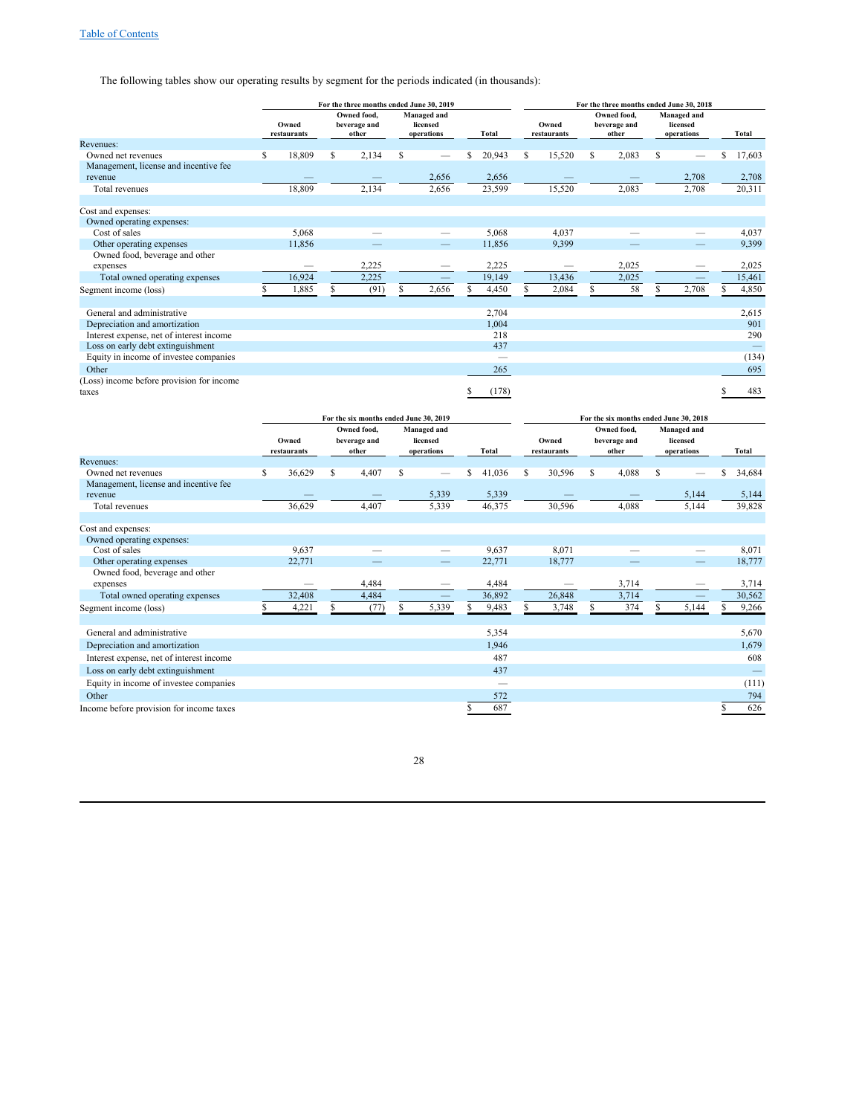The following tables show our operating results by segment for the periods indicated (in thousands):

|                                           |   | For the three months ended June 30, 2019 |   |                                      |   |                                       |    |        |   | For the three months ended June 30, 2018 |    |                                      |  |                                       |   |              |
|-------------------------------------------|---|------------------------------------------|---|--------------------------------------|---|---------------------------------------|----|--------|---|------------------------------------------|----|--------------------------------------|--|---------------------------------------|---|--------------|
|                                           |   | Owned<br>restaurants                     |   | Owned food.<br>beverage and<br>other |   | Managed and<br>licensed<br>operations |    | Total  |   | Owned<br>restaurants                     |    | Owned food.<br>beverage and<br>other |  | Managed and<br>licensed<br>operations |   | <b>Total</b> |
| Revenues:                                 |   |                                          |   |                                      |   |                                       |    |        |   |                                          |    |                                      |  |                                       |   |              |
| Owned net revenues                        | S | 18,809                                   | S | 2,134                                | S |                                       | \$ | 20,943 | S | 15,520                                   | £. | 2,083                                |  |                                       | S | 17,603       |
| Management, license and incentive fee     |   |                                          |   |                                      |   |                                       |    |        |   |                                          |    |                                      |  |                                       |   |              |
| revenue                                   |   |                                          |   |                                      |   | 2,656                                 |    | 2,656  |   |                                          |    |                                      |  | 2,708                                 |   | 2,708        |
| Total revenues                            |   | 18,809                                   |   | 2,134                                |   | 2,656                                 |    | 23,599 |   | 15,520                                   |    | 2,083                                |  | 2,708                                 |   | 20,311       |
|                                           |   |                                          |   |                                      |   |                                       |    |        |   |                                          |    |                                      |  |                                       |   |              |
| Cost and expenses:                        |   |                                          |   |                                      |   |                                       |    |        |   |                                          |    |                                      |  |                                       |   |              |
| Owned operating expenses:                 |   |                                          |   |                                      |   |                                       |    |        |   |                                          |    |                                      |  |                                       |   |              |
| Cost of sales                             |   | 5,068                                    |   |                                      |   |                                       |    | 5,068  |   | 4,037                                    |    |                                      |  |                                       |   | 4,037        |
| Other operating expenses                  |   | 11,856                                   |   |                                      |   |                                       |    | 11,856 |   | 9,399                                    |    |                                      |  |                                       |   | 9,399        |
| Owned food, beverage and other            |   |                                          |   |                                      |   |                                       |    |        |   |                                          |    |                                      |  |                                       |   |              |
| expenses                                  |   |                                          |   | 2,225                                |   |                                       |    | 2,225  |   |                                          |    | 2,025                                |  |                                       |   | 2,025        |
| Total owned operating expenses            |   | 16,924                                   |   | 2,225                                |   |                                       |    | 19,149 |   | 13,436                                   |    | 2,025                                |  |                                       |   | 15,461       |
| Segment income (loss)                     |   | 1,885                                    |   | (91)                                 |   | 2,656                                 |    | 4,450  |   | 2,084                                    |    | 58                                   |  | 2,708                                 |   | 4,850        |
|                                           |   |                                          |   |                                      |   |                                       |    |        |   |                                          |    |                                      |  |                                       |   |              |
| General and administrative                |   |                                          |   |                                      |   |                                       |    | 2,704  |   |                                          |    |                                      |  |                                       |   | 2,615        |
| Depreciation and amortization             |   |                                          |   |                                      |   |                                       |    | 1,004  |   |                                          |    |                                      |  |                                       |   | 901          |
| Interest expense, net of interest income  |   |                                          |   |                                      |   |                                       |    | 218    |   |                                          |    |                                      |  |                                       |   | 290          |
| Loss on early debt extinguishment         |   |                                          |   |                                      |   |                                       |    | 437    |   |                                          |    |                                      |  |                                       |   |              |
| Equity in income of investee companies    |   |                                          |   |                                      |   |                                       |    | --     |   |                                          |    |                                      |  |                                       |   | (134)        |
| Other                                     |   |                                          |   |                                      |   |                                       |    | 265    |   |                                          |    |                                      |  |                                       |   | 695          |
| (Loss) income before provision for income |   |                                          |   |                                      |   |                                       |    |        |   |                                          |    |                                      |  |                                       |   |              |
| taxes                                     |   |                                          |   |                                      |   |                                       |    | (178)  |   |                                          |    |                                      |  |                                       |   | 483          |

|                                          |   | For the six months ended June 30, 2019 |   |              |   |             |   |              | For the six months ended June 30, 2018 |             |   |              |  |             |   |        |
|------------------------------------------|---|----------------------------------------|---|--------------|---|-------------|---|--------------|----------------------------------------|-------------|---|--------------|--|-------------|---|--------|
|                                          |   |                                        |   | Owned food.  |   | Managed and |   |              |                                        |             |   | Owned food.  |  | Managed and |   |        |
|                                          |   | Owned                                  |   | beverage and |   | licensed    |   |              |                                        | Owned       |   | beverage and |  | licensed    |   |        |
|                                          |   | restaurants                            |   | other        |   | operations  |   | <b>Total</b> |                                        | restaurants |   | other        |  | operations  |   | Total  |
| Revenues:                                |   |                                        |   |              |   |             |   |              |                                        |             |   |              |  |             |   |        |
| Owned net revenues                       | S | 36,629                                 | S | 4,407        | S |             | S | 41,036       | S                                      | 30,596      | S | 4,088        |  |             | S | 34,684 |
| Management, license and incentive fee    |   |                                        |   |              |   |             |   |              |                                        |             |   |              |  |             |   |        |
| revenue                                  |   |                                        |   |              |   | 5,339       |   | 5,339        |                                        |             |   |              |  | 5,144       |   | 5,144  |
| Total revenues                           |   | 36,629                                 |   | 4,407        |   | 5,339       |   | 46,375       |                                        | 30,596      |   | 4,088        |  | 5,144       |   | 39,828 |
|                                          |   |                                        |   |              |   |             |   |              |                                        |             |   |              |  |             |   |        |
| Cost and expenses:                       |   |                                        |   |              |   |             |   |              |                                        |             |   |              |  |             |   |        |
| Owned operating expenses:                |   |                                        |   |              |   |             |   |              |                                        |             |   |              |  |             |   |        |
| Cost of sales                            |   | 9,637                                  |   |              |   |             |   | 9,637        |                                        | 8,071       |   |              |  |             |   | 8,071  |
| Other operating expenses                 |   | 22,771                                 |   |              |   |             |   | 22,771       |                                        | 18,777      |   |              |  |             |   | 18,777 |
| Owned food, beverage and other           |   |                                        |   |              |   |             |   |              |                                        |             |   |              |  |             |   |        |
| expenses                                 |   |                                        |   | 4,484        |   |             |   | 4,484        |                                        |             |   | 3,714        |  |             |   | 3,714  |
| Total owned operating expenses           |   | 32,408                                 |   | 4,484        |   |             |   | 36,892       |                                        | 26,848      |   | 3,714        |  |             |   | 30,562 |
| Segment income (loss)                    |   | 4,221                                  |   | (77)         |   | 5,339       |   | 9,483        |                                        | 3,748       |   | 374          |  | 5,144       |   | 9,266  |
|                                          |   |                                        |   |              |   |             |   |              |                                        |             |   |              |  |             |   |        |
| General and administrative               |   |                                        |   |              |   |             |   | 5,354        |                                        |             |   |              |  |             |   | 5,670  |
| Depreciation and amortization            |   |                                        |   |              |   |             |   | 1,946        |                                        |             |   |              |  |             |   | 1,679  |
| Interest expense, net of interest income |   |                                        |   |              |   |             |   | 487          |                                        |             |   |              |  |             |   | 608    |
| Loss on early debt extinguishment        |   |                                        |   |              |   |             |   | 437          |                                        |             |   |              |  |             |   |        |
| Equity in income of investee companies   |   |                                        |   |              |   |             |   |              |                                        |             |   |              |  |             |   | (111)  |
| Other                                    |   |                                        |   |              |   |             |   | 572          |                                        |             |   |              |  |             |   | 794    |
| Income before provision for income taxes |   |                                        |   |              |   |             |   | 687          |                                        |             |   |              |  |             |   | 626    |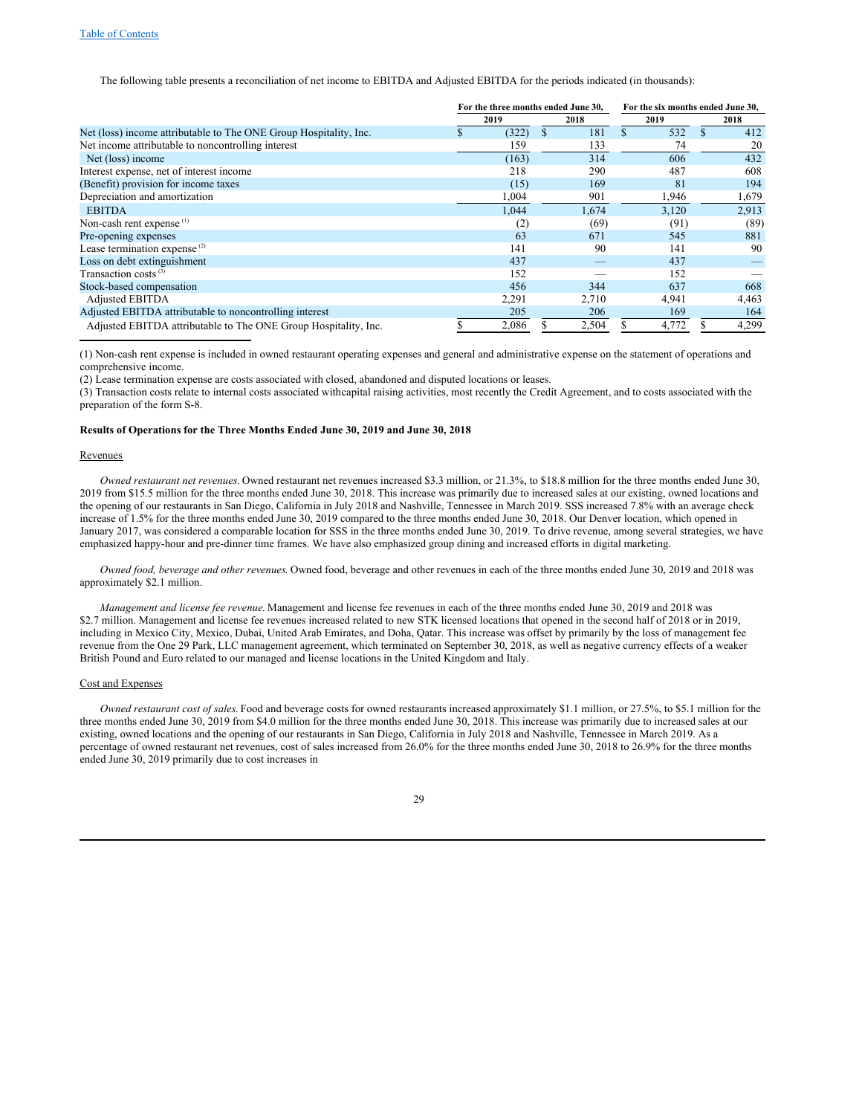The following table presents a reconciliation of net income to EBITDA and Adjusted EBITDA for the periods indicated (in thousands):

|                                                                   | For the three months ended June 30. | For the six months ended June 30. |       |      |       |  |       |
|-------------------------------------------------------------------|-------------------------------------|-----------------------------------|-------|------|-------|--|-------|
|                                                                   | 2019                                | 2018                              |       | 2019 | 2018  |  |       |
| Net (loss) income attributable to The ONE Group Hospitality, Inc. |                                     | (322)                             | 181   |      | 532   |  | 412   |
| Net income attributable to noncontrolling interest                |                                     | 159                               | 133   |      | 74    |  | 20    |
| Net (loss) income                                                 |                                     | (163)                             | 314   |      | 606   |  | 432   |
| Interest expense, net of interest income                          |                                     | 218                               | 290   |      | 487   |  | 608   |
| (Benefit) provision for income taxes                              |                                     | (15)                              | 169   |      | 81    |  | 194   |
| Depreciation and amortization                                     |                                     | 1,004                             | 901   |      | 1,946 |  | 1,679 |
| <b>EBITDA</b>                                                     |                                     | 1,044                             | 1,674 |      | 3,120 |  | 2,913 |
| Non-cash rent expense <sup>(1)</sup>                              |                                     | (2)                               | (69)  |      | (91)  |  | (89)  |
| Pre-opening expenses                                              |                                     | 63                                | 671   |      | 545   |  | 881   |
| Lease termination expense <sup>(2)</sup>                          |                                     | 141                               | 90    |      | 141   |  | 90    |
| Loss on debt extinguishment                                       |                                     | 437                               |       |      | 437   |  |       |
| Transaction costs $(3)$                                           |                                     | 152                               |       |      | 152   |  |       |
| Stock-based compensation                                          |                                     | 456                               | 344   |      | 637   |  | 668   |
| <b>Adjusted EBITDA</b>                                            |                                     | 2,291                             | 2.710 |      | 4,941 |  | 4,463 |
| Adjusted EBITDA attributable to noncontrolling interest           |                                     | 205                               | 206   |      | 169   |  | 164   |
| Adjusted EBITDA attributable to The ONE Group Hospitality, Inc.   |                                     | 2,086                             | 2,504 |      | 4,772 |  | 4,299 |

(1) Non-cash rent expense is included in owned restaurant operating expenses and general and administrative expense on the statement of operations and comprehensive income.

(2) Lease termination expense are costs associated with closed, abandoned and disputed locations or leases.

(3) Transaction costs relate to internal costs associated withcapital raising activities, most recently the Credit Agreement, and to costs associated with the preparation of the form S-8.

### **Results of Operations for the Three Months Ended June 30, 2019 and June 30, 2018**

### Revenues

*Owned restaurant net revenues.* Owned restaurant net revenues increased \$3.3 million, or 21.3%, to \$18.8 million for the three months ended June 30, 2019 from \$15.5 million for the three months ended June 30, 2018. This increase was primarily due to increased sales at our existing, owned locations and the opening of our restaurants in San Diego, California in July 2018 and Nashville, Tennessee in March 2019. SSS increased 7.8% with an average check increase of 1.5% for the three months ended June 30, 2019 compared to the three months ended June 30, 2018. Our Denver location, which opened in January 2017, was considered a comparable location for SSS in the three months ended June 30, 2019. To drive revenue, among several strategies, we have emphasized happy-hour and pre-dinner time frames. We have also emphasized group dining and increased efforts in digital marketing.

*Owned food, beverage and other revenues*. Owned food, beverage and other revenues in each of the three months ended June 30, 2019 and 2018 was approximately \$2.1 million.

*Management and license fee revenue.* Management and license fee revenues in each of the three months ended June 30, 2019 and 2018 was \$2.7 million. Management and license fee revenues increased related to new STK licensed locations that opened in the second half of 2018 or in 2019, including in Mexico City, Mexico, Dubai, United Arab Emirates, and Doha, Qatar. This increase was offset by primarily by the loss of management fee revenue from the One 29 Park, LLC management agreement, which terminated on September 30, 2018, as well as negative currency effects of a weaker British Pound and Euro related to our managed and license locations in the United Kingdom and Italy.

### Cost and Expenses

*Owned restaurant cost of sales.* Food and beverage costs for owned restaurants increased approximately \$1.1 million, or 27.5%, to \$5.1 million for the three months ended June 30, 2019 from \$4.0 million for the three months ended June 30, 2018. This increase was primarily due to increased sales at our existing, owned locations and the opening of our restaurants in San Diego, California in July 2018 and Nashville, Tennessee in March 2019. As a percentage of owned restaurant net revenues, cost of sales increased from 26.0% for the three months ended June 30, 2018 to 26.9% for the three months ended June 30, 2019 primarily due to cost increases in

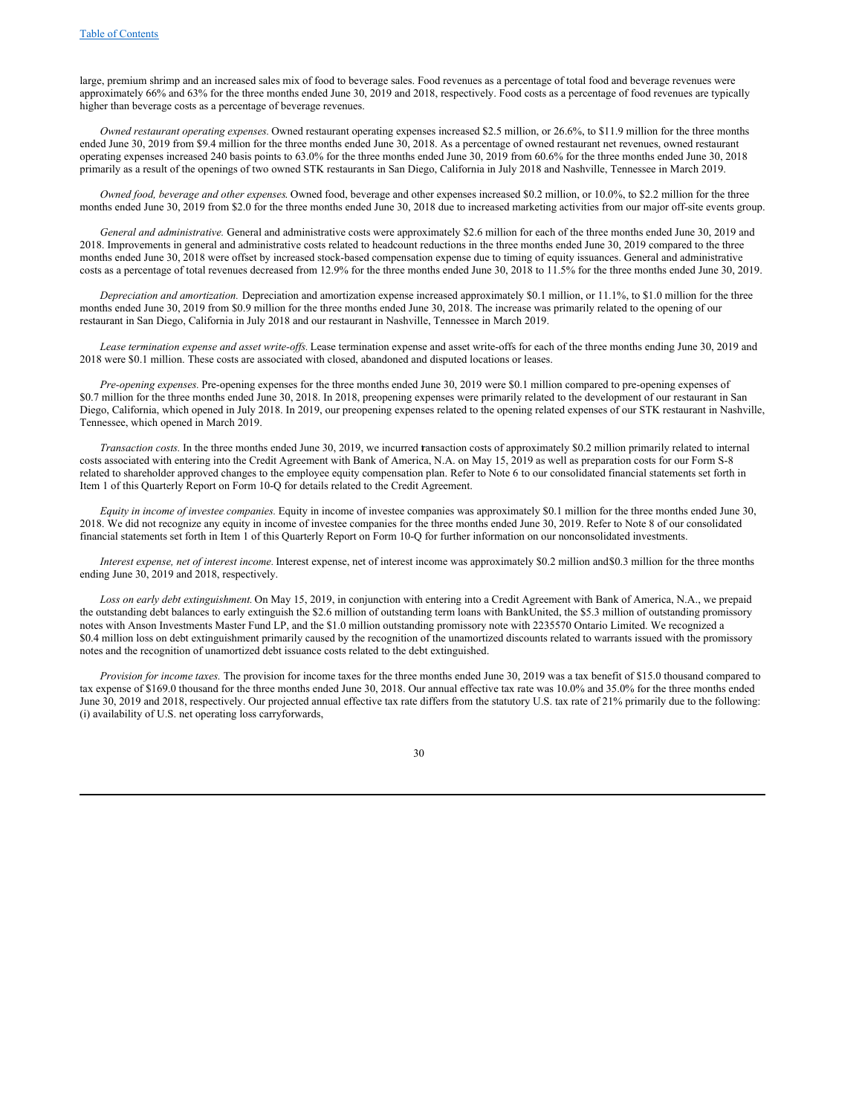large, premium shrimp and an increased sales mix of food to beverage sales. Food revenues as a percentage of total food and beverage revenues were approximately 66% and 63% for the three months ended June 30, 2019 and 2018, respectively. Food costs as a percentage of food revenues are typically higher than beverage costs as a percentage of beverage revenues.

*Owned restaurant operating expenses.* Owned restaurant operating expenses increased \$2.5 million, or 26.6%, to \$11.9 million for the three months ended June 30, 2019 from \$9.4 million for the three months ended June 30, 2018. As a percentage of owned restaurant net revenues, owned restaurant operating expenses increased 240 basis points to 63.0% for the three months ended June 30, 2019 from 60.6% for the three months ended June 30, 2018 primarily as a result of the openings of two owned STK restaurants in San Diego, California in July 2018 and Nashville, Tennessee in March 2019.

*Owned food, beverage and other expenses*. Owned food, beverage and other expenses increased \$0.2 million, or 10.0%, to \$2.2 million for the three months ended June 30, 2019 from \$2.0 for the three months ended June 30, 2018 due to increased marketing activities from our major off-site events group.

*General and administrative.* General and administrative costs were approximately \$2.6 million for each of the three months ended June 30, 2019 and 2018. Improvements in general and administrative costs related to headcount reductions in the three months ended June 30, 2019 compared to the three months ended June 30, 2018 were offset by increased stock-based compensation expense due to timing of equity issuances. General and administrative costs as a percentage of total revenues decreased from 12.9% for the three months ended June 30, 2018 to 11.5% for the three months ended June 30, 2019.

*Depreciation and amortization.* Depreciation and amortization expense increased approximately \$0.1 million, or 11.1%, to \$1.0 million for the three months ended June 30, 2019 from \$0.9 million for the three months ended June 30, 2018. The increase was primarily related to the opening of our restaurant in San Diego, California in July 2018 and our restaurant in Nashville, Tennessee in March 2019.

Lease termination expense and asset write-offs. Lease termination expense and asset write-offs for each of the three months ending June 30, 2019 and 2018 were \$0.1 million. These costs are associated with closed, abandoned and disputed locations or leases.

*Pre-opening expenses.* Pre-opening expenses for the three months ended June 30, 2019 were \$0.1 million compared to pre-opening expenses of \$0.7 million for the three months ended June 30, 2018. In 2018, preopening expenses were primarily related to the development of our restaurant in San Diego, California, which opened in July 2018. In 2019, our preopening expenses related to the opening related expenses of our STK restaurant in Nashville, Tennessee, which opened in March 2019.

*Transaction costs.* In the three months ended June 30, 2019, we incurred transaction costs of approximately \$0.2 million primarily related to internal costs associated with entering into the Credit Agreement with Bank of America, N.A. on May 15, 2019 as well as preparation costs for our Form S-8 related to shareholder approved changes to the employee equity compensation plan. Refer to Note 6 to our consolidated financial statements set forth in Item 1 of this Quarterly Report on Form 10-Q for details related to the Credit Agreement.

*Equity in income of investee companies.* Equity in income of investee companies was approximately \$0.1 million for the three months ended June 30, 2018. We did not recognize any equity in income of investee companies for the three months ended June 30, 2019. Refer to Note 8 of our consolidated financial statements set forth in Item 1 of this Quarterly Report on Form 10-Q for further information on our nonconsolidated investments.

*Interest expense, net of interest income.* Interest expense, net of interest income was approximately \$0.2 million and\$0.3 million for the three months ending June 30, 2019 and 2018, respectively.

*Loss on early debt extinguishment.* On May 15, 2019, in conjunction with entering into a Credit Agreement with Bank of America, N.A., we prepaid the outstanding debt balances to early extinguish the \$2.6 million of outstanding term loans with BankUnited, the \$5.3 million of outstanding promissory notes with Anson Investments Master Fund LP, and the \$1.0 million outstanding promissory note with 2235570 Ontario Limited. We recognized a \$0.4 million loss on debt extinguishment primarily caused by the recognition of the unamortized discounts related to warrants issued with the promissory notes and the recognition of unamortized debt issuance costs related to the debt extinguished.

*Provision for income taxes.* The provision for income taxes for the three months ended June 30, 2019 was a tax benefit of \$15.0 thousand compared to tax expense of \$169.0 thousand for the three months ended June 30, 2018. Our annual effective tax rate was 10.0% and 35.0% for the three months ended June 30, 2019 and 2018, respectively. Our projected annual effective tax rate differs from the statutory U.S. tax rate of 21% primarily due to the following: (i) availability of U.S. net operating loss carryforwards,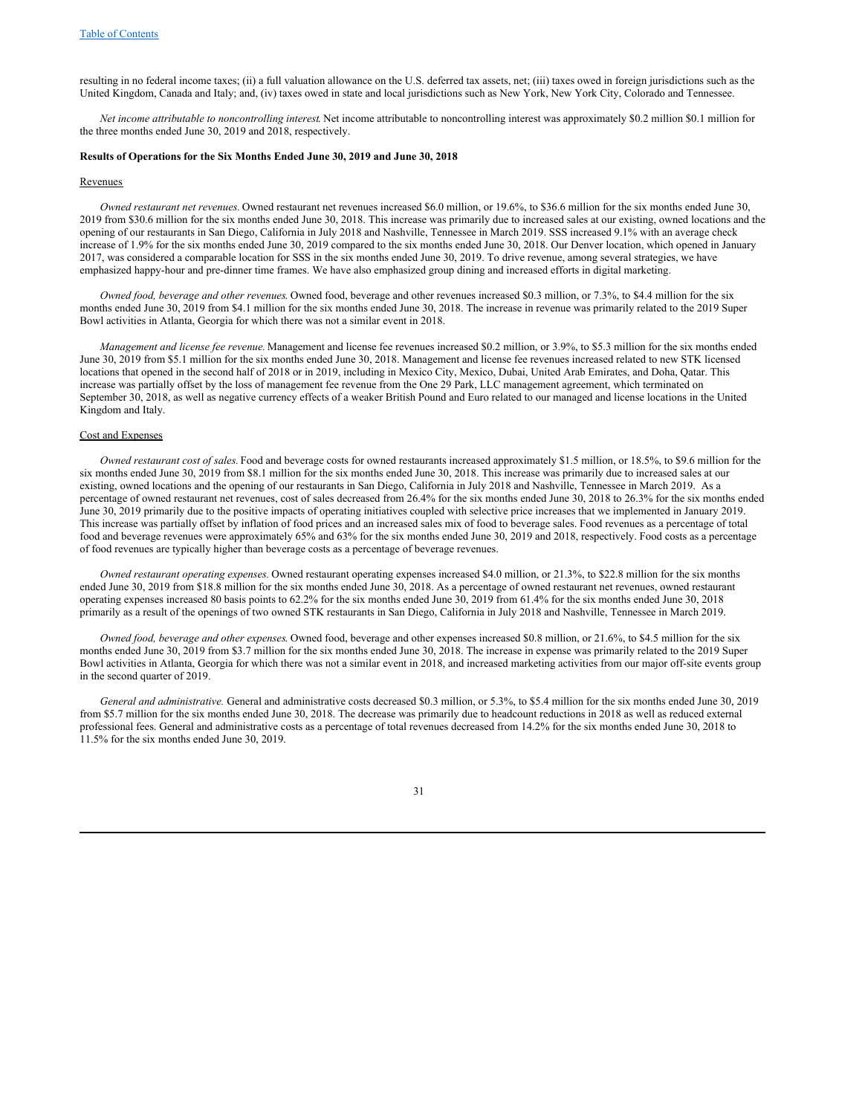resulting in no federal income taxes; (ii) a full valuation allowance on the U.S. deferred tax assets, net; (iii) taxes owed in foreign jurisdictions such as the United Kingdom, Canada and Italy; and, (iv) taxes owed in state and local jurisdictions such as New York, New York City, Colorado and Tennessee.

*Net income attributable to noncontrolling interest*. Net income attributable to noncontrolling interest was approximately \$0.2 million \$0.1 million for the three months ended June 30, 2019 and 2018, respectively.

### **Results of Operations for the Six Months Ended June 30, 2019 and June 30, 2018**

### Revenues

*Owned restaurant net revenues.* Owned restaurant net revenues increased \$6.0 million, or 19.6%, to \$36.6 million for the six months ended June 30, 2019 from \$30.6 million for the six months ended June 30, 2018. This increase was primarily due to increased sales at our existing, owned locations and the opening of our restaurants in San Diego, California in July 2018 and Nashville, Tennessee in March 2019. SSS increased 9.1% with an average check increase of 1.9% for the six months ended June 30, 2019 compared to the six months ended June 30, 2018. Our Denver location, which opened in January 2017, was considered a comparable location for SSS in the six months ended June 30, 2019. To drive revenue, among several strategies, we have emphasized happy-hour and pre-dinner time frames. We have also emphasized group dining and increased efforts in digital marketing.

*Owned food, beverage and other revenues*. Owned food, beverage and other revenues increased \$0.3 million, or 7.3%, to \$4.4 million for the six months ended June 30, 2019 from \$4.1 million for the six months ended June 30, 2018. The increase in revenue was primarily related to the 2019 Super Bowl activities in Atlanta, Georgia for which there was not a similar event in 2018.

*Management and license fee revenue.* Management and license fee revenues increased \$0.2 million, or 3.9%, to \$5.3 million for the six months ended June 30, 2019 from \$5.1 million for the six months ended June 30, 2018. Management and license fee revenues increased related to new STK licensed locations that opened in the second half of 2018 or in 2019, including in Mexico City, Mexico, Dubai, United Arab Emirates, and Doha, Qatar. This increase was partially offset by the loss of management fee revenue from the One 29 Park, LLC management agreement, which terminated on September 30, 2018, as well as negative currency effects of a weaker British Pound and Euro related to our managed and license locations in the United Kingdom and Italy.

# Cost and Expenses

*Owned restaurant cost of sales.* Food and beverage costs for owned restaurants increased approximately \$1.5 million, or 18.5%, to \$9.6 million for the six months ended June 30, 2019 from \$8.1 million for the six months ended June 30, 2018. This increase was primarily due to increased sales at our existing, owned locations and the opening of our restaurants in San Diego, California in July 2018 and Nashville, Tennessee in March 2019. As a percentage of owned restaurant net revenues, cost of sales decreased from 26.4% for the six months ended June 30, 2018 to 26.3% for the six months ended June 30, 2019 primarily due to the positive impacts of operating initiatives coupled with selective price increases that we implemented in January 2019. This increase was partially offset by inflation of food prices and an increased sales mix of food to beverage sales. Food revenues as a percentage of total food and beverage revenues were approximately 65% and 63% for the six months ended June 30, 2019 and 2018, respectively. Food costs as a percentage of food revenues are typically higher than beverage costs as a percentage of beverage revenues.

*Owned restaurant operating expenses.* Owned restaurant operating expenses increased \$4.0 million, or 21.3%, to \$22.8 million for the six months ended June 30, 2019 from \$18.8 million for the six months ended June 30, 2018. As a percentage of owned restaurant net revenues, owned restaurant operating expenses increased 80 basis points to 62.2% for the six months ended June 30, 2019 from 61.4% for the six months ended June 30, 2018 primarily as a result of the openings of two owned STK restaurants in San Diego, California in July 2018 and Nashville, Tennessee in March 2019.

*Owned food, beverage and other expenses*. Owned food, beverage and other expenses increased \$0.8 million, or 21.6%, to \$4.5 million for the six months ended June 30, 2019 from \$3.7 million for the six months ended June 30, 2018. The increase in expense was primarily related to the 2019 Super Bowl activities in Atlanta, Georgia for which there was not a similar event in 2018, and increased marketing activities from our major off-site events group in the second quarter of 2019.

*General and administrative.* General and administrative costs decreased \$0.3 million, or 5.3%, to \$5.4 million for the six months ended June 30, 2019 from \$5.7 million for the six months ended June 30, 2018. The decrease was primarily due to headcount reductions in 2018 as well as reduced external professional fees. General and administrative costs as a percentage of total revenues decreased from 14.2% for the six months ended June 30, 2018 to 11.5% for the six months ended June 30, 2019.

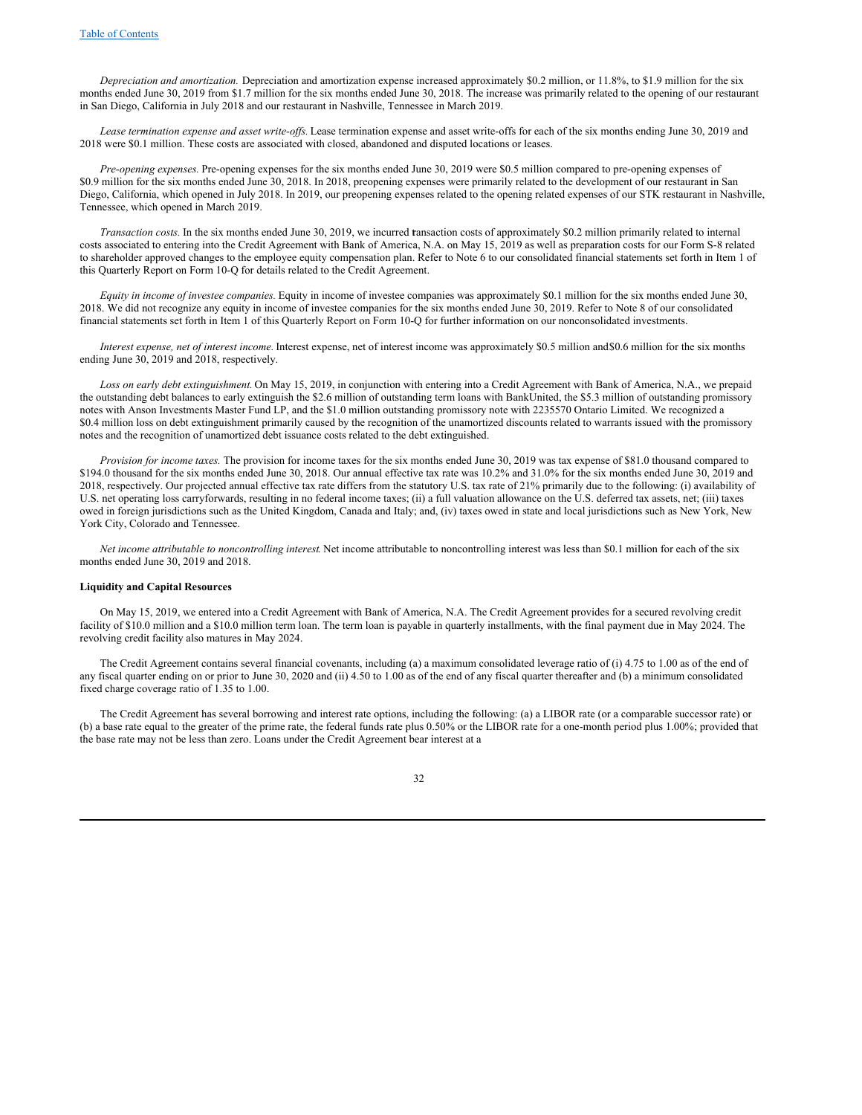*Depreciation and amortization.* Depreciation and amortization expense increased approximately \$0.2 million, or 11.8%, to \$1.9 million for the six months ended June 30, 2019 from \$1.7 million for the six months ended June 30, 2018. The increase was primarily related to the opening of our restaurant in San Diego, California in July 2018 and our restaurant in Nashville, Tennessee in March 2019.

*Lease termination expense and asset write-of s.* Lease termination expense and asset write-offs for each of the six months ending June 30, 2019 and 2018 were \$0.1 million. These costs are associated with closed, abandoned and disputed locations or leases.

*Pre-opening expenses.* Pre-opening expenses for the six months ended June 30, 2019 were \$0.5 million compared to pre-opening expenses of \$0.9 million for the six months ended June 30, 2018. In 2018, preopening expenses were primarily related to the development of our restaurant in San Diego, California, which opened in July 2018. In 2019, our preopening expenses related to the opening related expenses of our STK restaurant in Nashville, Tennessee, which opened in March 2019.

*Transaction costs.* In the six months ended June 30, 2019, we incurred transaction costs of approximately \$0.2 million primarily related to internal costs associated to entering into the Credit Agreement with Bank of America, N.A. on May 15, 2019 as well as preparation costs for our Form S-8 related to shareholder approved changes to the employee equity compensation plan. Refer to Note 6 to our consolidated financial statements set forth in Item 1 of this Quarterly Report on Form 10-Q for details related to the Credit Agreement.

*Equity in income of investee companies.* Equity in income of investee companies was approximately \$0.1 million for the six months ended June 30, 2018. We did not recognize any equity in income of investee companies for the six months ended June 30, 2019. Refer to Note 8 of our consolidated financial statements set forth in Item 1 of this Quarterly Report on Form 10-Q for further information on our nonconsolidated investments.

*Interest expense, net of interest income.* Interest expense, net of interest income was approximately \$0.5 million and\$0.6 million for the six months ending June 30, 2019 and 2018, respectively.

*Loss on early debt extinguishment.* On May 15, 2019, in conjunction with entering into a Credit Agreement with Bank of America, N.A., we prepaid the outstanding debt balances to early extinguish the \$2.6 million of outstanding term loans with BankUnited, the \$5.3 million of outstanding promissory notes with Anson Investments Master Fund LP, and the \$1.0 million outstanding promissory note with 2235570 Ontario Limited. We recognized a \$0.4 million loss on debt extinguishment primarily caused by the recognition of the unamortized discounts related to warrants issued with the promissory notes and the recognition of unamortized debt issuance costs related to the debt extinguished.

*Provision for income taxes.* The provision for income taxes for the six months ended June 30, 2019 was tax expense of \$81.0 thousand compared to \$194.0 thousand for the six months ended June 30, 2018. Our annual effective tax rate was 10.2% and 31.0% for the six months ended June 30, 2019 and 2018, respectively. Our projected annual effective tax rate differs from the statutory U.S. tax rate of 21% primarily due to the following: (i) availability of U.S. net operating loss carryforwards, resulting in no federal income taxes; (ii) a full valuation allowance on the U.S. deferred tax assets, net; (iii) taxes owed in foreign jurisdictions such as the United Kingdom, Canada and Italy; and, (iv) taxes owed in state and local jurisdictions such as New York, New York City, Colorado and Tennessee.

*Net income attributable to noncontrolling interest*. Net income attributable to noncontrolling interest was less than \$0.1 million for each of the six months ended June 30, 2019 and 2018.

## **Liquidity and Capital Resources**

On May 15, 2019, we entered into a Credit Agreement with Bank of America, N.A. The Credit Agreement provides for a secured revolving credit facility of \$10.0 million and a \$10.0 million term loan. The term loan is payable in quarterly installments, with the final payment due in May 2024. The revolving credit facility also matures in May 2024.

The Credit Agreement contains several financial covenants, including (a) a maximum consolidated leverage ratio of (i) 4.75 to 1.00 as of the end of any fiscal quarter ending on or prior to June 30, 2020 and (ii) 4.50 to 1.00 as of the end of any fiscal quarter thereafter and (b) a minimum consolidated fixed charge coverage ratio of 1.35 to 1.00.

The Credit Agreement has several borrowing and interest rate options, including the following: (a) a LIBOR rate (or a comparable successor rate) or (b) a base rate equal to the greater of the prime rate, the federal funds rate plus 0.50% or the LIBOR rate for a one-month period plus 1.00%; provided that the base rate may not be less than zero. Loans under the Credit Agreement bear interest at a

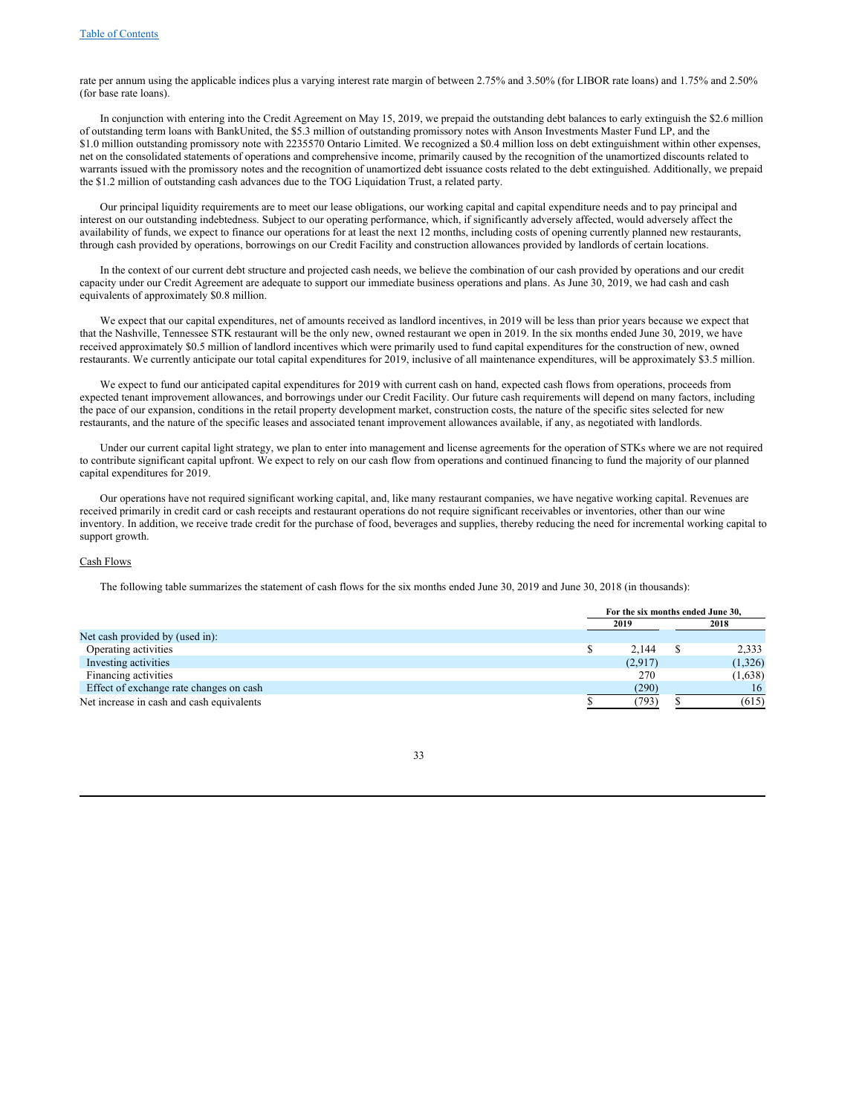rate per annum using the applicable indices plus a varying interest rate margin of between 2.75% and 3.50% (for LIBOR rate loans) and 1.75% and 2.50% (for base rate loans).

In conjunction with entering into the Credit Agreement on May 15, 2019, we prepaid the outstanding debt balances to early extinguish the \$2.6 million of outstanding term loans with BankUnited, the \$5.3 million of outstanding promissory notes with Anson Investments Master Fund LP, and the \$1.0 million outstanding promissory note with 2235570 Ontario Limited. We recognized a \$0.4 million loss on debt extinguishment within other expenses, net on the consolidated statements of operations and comprehensive income, primarily caused by the recognition of the unamortized discounts related to warrants issued with the promissory notes and the recognition of unamortized debt issuance costs related to the debt extinguished. Additionally, we prepaid the \$1.2 million of outstanding cash advances due to the TOG Liquidation Trust, a related party.

Our principal liquidity requirements are to meet our lease obligations, our working capital and capital expenditure needs and to pay principal and interest on our outstanding indebtedness. Subject to our operating performance, which, if significantly adversely affected, would adversely affect the availability of funds, we expect to finance our operations for at least the next 12 months, including costs of opening currently planned new restaurants, through cash provided by operations, borrowings on our Credit Facility and construction allowances provided by landlords of certain locations.

In the context of our current debt structure and projected cash needs, we believe the combination of our cash provided by operations and our credit capacity under our Credit Agreement are adequate to support our immediate business operations and plans. As June 30, 2019, we had cash and cash equivalents of approximately \$0.8 million.

We expect that our capital expenditures, net of amounts received as landlord incentives, in 2019 will be less than prior years because we expect that that the Nashville, Tennessee STK restaurant will be the only new, owned restaurant we open in 2019. In the six months ended June 30, 2019, we have received approximately \$0.5 million of landlord incentives which were primarily used to fund capital expenditures for the construction of new, owned restaurants. We currently anticipate our total capital expenditures for 2019, inclusive of all maintenance expenditures, will be approximately \$3.5 million.

We expect to fund our anticipated capital expenditures for 2019 with current cash on hand, expected cash flows from operations, proceeds from expected tenant improvement allowances, and borrowings under our Credit Facility. Our future cash requirements will depend on many factors, including the pace of our expansion, conditions in the retail property development market, construction costs, the nature of the specific sites selected for new restaurants, and the nature of the specific leases and associated tenant improvement allowances available, if any, as negotiated with landlords.

Under our current capital light strategy, we plan to enter into management and license agreements for the operation of STKs where we are not required to contribute significant capital upfront. We expect to rely on our cash flow from operations and continued financing to fund the majority of our planned capital expenditures for 2019.

Our operations have not required significant working capital, and, like many restaurant companies, we have negative working capital. Revenues are received primarily in credit card or cash receipts and restaurant operations do not require significant receivables or inventories, other than our wine inventory. In addition, we receive trade credit for the purchase of food, beverages and supplies, thereby reducing the need for incremental working capital to support growth.

### Cash Flows

The following table summarizes the statement of cash flows for the six months ended June 30, 2019 and June 30, 2018 (in thousands):

|                                           | For the six months ended June 30. |  |         |  |  |
|-------------------------------------------|-----------------------------------|--|---------|--|--|
|                                           | 2019                              |  | 2018    |  |  |
| Net cash provided by (used in):           |                                   |  |         |  |  |
| Operating activities                      | 2.144                             |  | 2,333   |  |  |
| Investing activities                      | (2.917)                           |  | (1,326) |  |  |
| Financing activities                      | 270                               |  | (1,638) |  |  |
| Effect of exchange rate changes on cash   | (290)                             |  | 16      |  |  |
| Net increase in cash and cash equivalents | 793)                              |  | (615)   |  |  |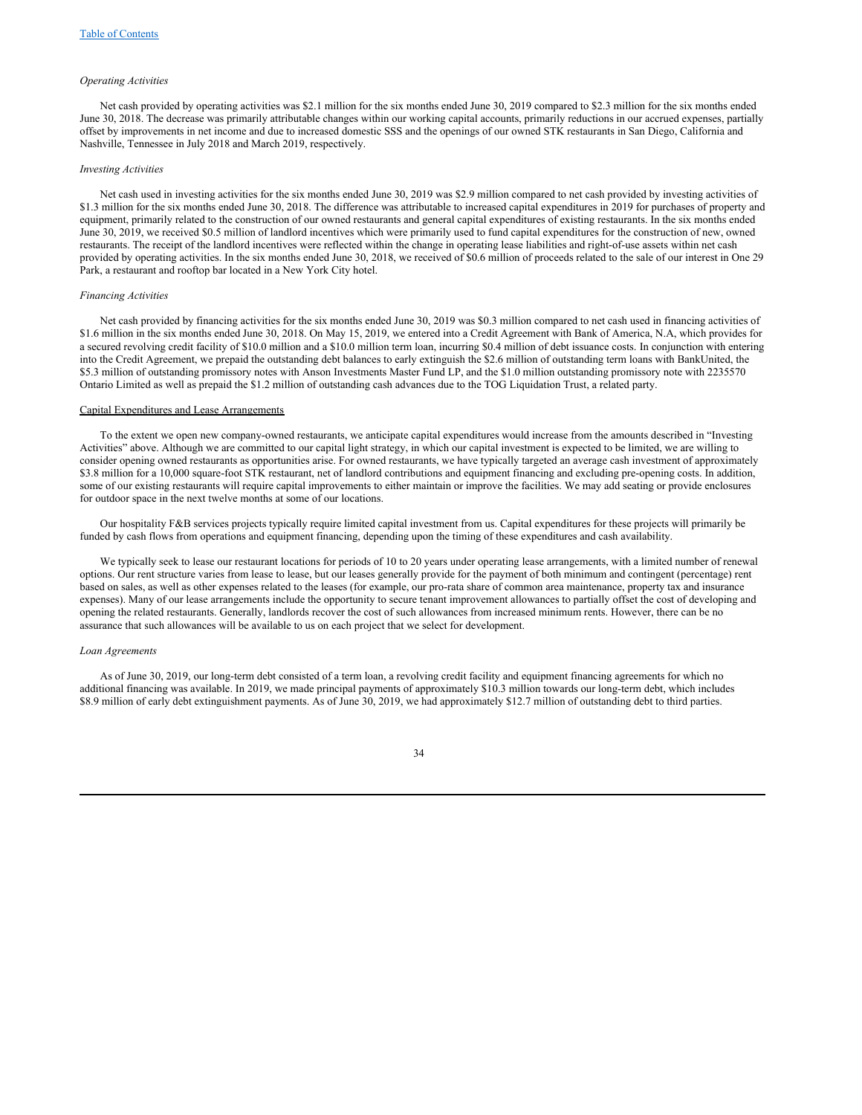### *Operating Activities*

Net cash provided by operating activities was \$2.1 million for the six months ended June 30, 2019 compared to \$2.3 million for the six months ended June 30, 2018. The decrease was primarily attributable changes within our working capital accounts, primarily reductions in our accrued expenses, partially offset by improvements in net income and due to increased domestic SSS and the openings of our owned STK restaurants in San Diego, California and Nashville, Tennessee in July 2018 and March 2019, respectively.

### *Investing Activities*

Net cash used in investing activities for the six months ended June 30, 2019 was \$2.9 million compared to net cash provided by investing activities of \$1.3 million for the six months ended June 30, 2018. The difference was attributable to increased capital expenditures in 2019 for purchases of property and equipment, primarily related to the construction of our owned restaurants and general capital expenditures of existing restaurants. In the six months ended June 30, 2019, we received \$0.5 million of landlord incentives which were primarily used to fund capital expenditures for the construction of new, owned restaurants. The receipt of the landlord incentives were reflected within the change in operating lease liabilities and right-of-use assets within net cash provided by operating activities. In the six months ended June 30, 2018, we received of \$0.6 million of proceeds related to the sale of our interest in One 29 Park, a restaurant and rooftop bar located in a New York City hotel.

### *Financing Activities*

Net cash provided by financing activities for the six months ended June 30, 2019 was \$0.3 million compared to net cash used in financing activities of \$1.6 million in the six months ended June 30, 2018. On May 15, 2019, we entered into a Credit Agreement with Bank of America, N.A, which provides for a secured revolving credit facility of \$10.0 million and a \$10.0 million term loan, incurring \$0.4 million of debt issuance costs. In conjunction with entering into the Credit Agreement, we prepaid the outstanding debt balances to early extinguish the \$2.6 million of outstanding term loans with BankUnited, the \$5.3 million of outstanding promissory notes with Anson Investments Master Fund LP, and the \$1.0 million outstanding promissory note with 2235570 Ontario Limited as well as prepaid the \$1.2 million of outstanding cash advances due to the TOG Liquidation Trust, a related party.

## Capital Expenditures and Lease Arrangements

To the extent we open new company-owned restaurants, we anticipate capital expenditures would increase from the amounts described in "Investing Activities" above. Although we are committed to our capital light strategy, in which our capital investment is expected to be limited, we are willing to consider opening owned restaurants as opportunities arise. For owned restaurants, we have typically targeted an average cash investment of approximately \$3.8 million for a 10,000 square-foot STK restaurant, net of landlord contributions and equipment financing and excluding pre-opening costs. In addition, some of our existing restaurants will require capital improvements to either maintain or improve the facilities. We may add seating or provide enclosures for outdoor space in the next twelve months at some of our locations.

Our hospitality F&B services projects typically require limited capital investment from us. Capital expenditures for these projects will primarily be funded by cash flows from operations and equipment financing, depending upon the timing of these expenditures and cash availability.

We typically seek to lease our restaurant locations for periods of 10 to 20 years under operating lease arrangements, with a limited number of renewal options. Our rent structure varies from lease to lease, but our leases generally provide for the payment of both minimum and contingent (percentage) rent based on sales, as well as other expenses related to the leases (for example, our pro-rata share of common area maintenance, property tax and insurance expenses). Many of our lease arrangements include the opportunity to secure tenant improvement allowances to partially offset the cost of developing and opening the related restaurants. Generally, landlords recover the cost of such allowances from increased minimum rents. However, there can be no assurance that such allowances will be available to us on each project that we select for development.

#### *Loan Agreements*

As of June 30, 2019, our long-term debt consisted of a term loan, a revolving credit facility and equipment financing agreements for which no additional financing was available. In 2019, we made principal payments of approximately \$10.3 million towards our long-term debt, which includes \$8.9 million of early debt extinguishment payments. As of June 30, 2019, we had approximately \$12.7 million of outstanding debt to third parties.

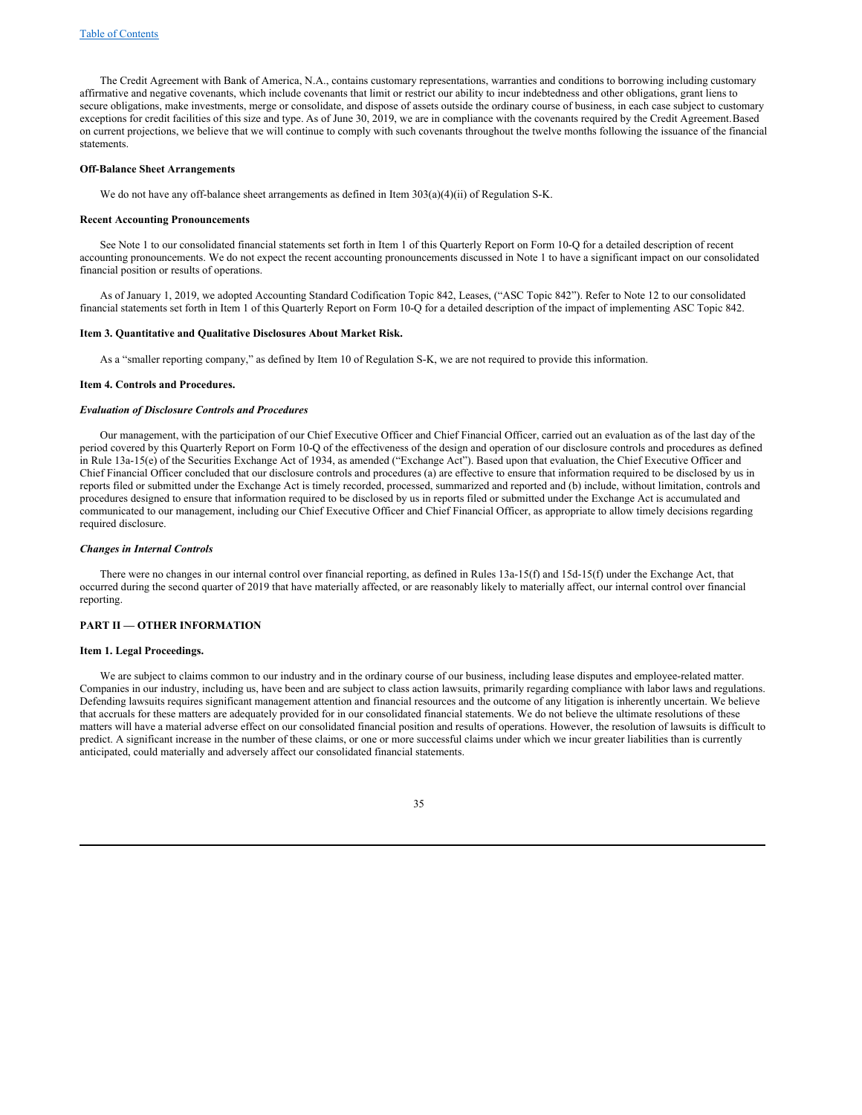The Credit Agreement with Bank of America, N.A., contains customary representations, warranties and conditions to borrowing including customary affirmative and negative covenants, which include covenants that limit or restrict our ability to incur indebtedness and other obligations, grant liens to secure obligations, make investments, merge or consolidate, and dispose of assets outside the ordinary course of business, in each case subject to customary exceptions for credit facilities of this size and type. As of June 30, 2019, we are in compliance with the covenants required by the Credit Agreement.Based on current projections, we believe that we will continue to comply with such covenants throughout the twelve months following the issuance of the financial statements.

### **Off-Balance Sheet Arrangements**

We do not have any off-balance sheet arrangements as defined in Item 303(a)(4)(ii) of Regulation S-K.

#### **Recent Accounting Pronouncements**

See Note 1 to our consolidated financial statements set forth in Item 1 of this Quarterly Report on Form 10-Q for a detailed description of recent accounting pronouncements. We do not expect the recent accounting pronouncements discussed in Note 1 to have a significant impact on our consolidated financial position or results of operations.

As of January 1, 2019, we adopted Accounting Standard Codification Topic 842, Leases, ("ASC Topic 842"). Refer to Note 12 to our consolidated financial statements set forth in Item 1 of this Quarterly Report on Form 10-Q for a detailed description of the impact of implementing ASC Topic 842.

## **Item 3. Quantitative and Qualitative Disclosures About Market Risk.**

<span id="page-34-1"></span><span id="page-34-0"></span>As a "smaller reporting company," as defined by Item 10 of Regulation S-K, we are not required to provide this information.

#### **Item 4. Controls and Procedures.**

#### *Evaluation of Disclosure Controls and Procedures*

Our management, with the participation of our Chief Executive Officer and Chief Financial Officer, carried out an evaluation as of the last day of the period covered by this Quarterly Report on Form 10-Q of the effectiveness of the design and operation of our disclosure controls and procedures as defined in Rule 13a-15(e) of the Securities Exchange Act of 1934, as amended ("Exchange Act"). Based upon that evaluation, the Chief Executive Officer and Chief Financial Officer concluded that our disclosure controls and procedures (a) are effective to ensure that information required to be disclosed by us in reports filed or submitted under the Exchange Act is timely recorded, processed, summarized and reported and (b) include, without limitation, controls and procedures designed to ensure that information required to be disclosed by us in reports filed or submitted under the Exchange Act is accumulated and communicated to our management, including our Chief Executive Officer and Chief Financial Officer, as appropriate to allow timely decisions regarding required disclosure.

### *Changes in Internal Controls*

There were no changes in our internal control over financial reporting, as defined in Rules 13a-15(f) and 15d-15(f) under the Exchange Act, that occurred during the second quarter of 2019 that have materially affected, or are reasonably likely to materially affect, our internal control over financial reporting.

# <span id="page-34-2"></span>**PART II — OTHER INFORMATION**

## <span id="page-34-3"></span>**Item 1. Legal Proceedings.**

We are subject to claims common to our industry and in the ordinary course of our business, including lease disputes and employee-related matter. Companies in our industry, including us, have been and are subject to class action lawsuits, primarily regarding compliance with labor laws and regulations. Defending lawsuits requires significant management attention and financial resources and the outcome of any litigation is inherently uncertain. We believe that accruals for these matters are adequately provided for in our consolidated financial statements. We do not believe the ultimate resolutions of these matters will have a material adverse effect on our consolidated financial position and results of operations. However, the resolution of lawsuits is difficult to predict. A significant increase in the number of these claims, or one or more successful claims under which we incur greater liabilities than is currently anticipated, could materially and adversely affect our consolidated financial statements.

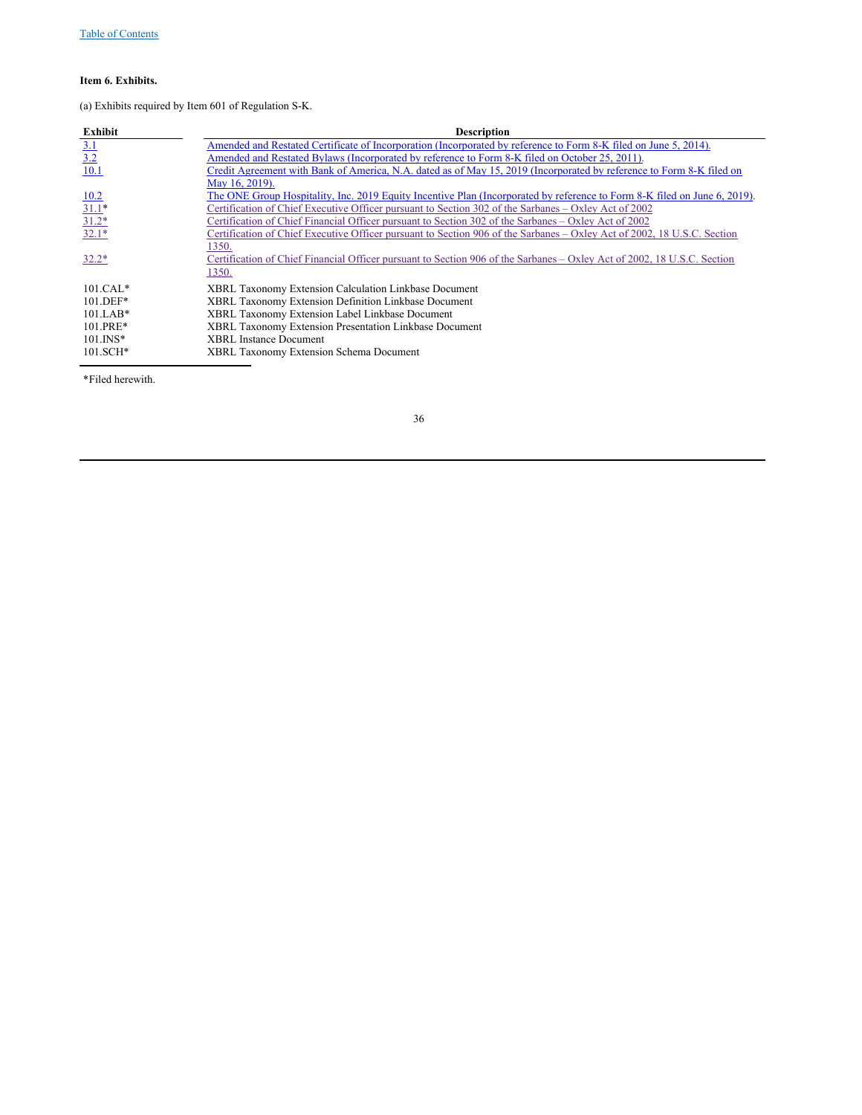# <span id="page-35-0"></span>**Item 6. Exhibits.**

(a) Exhibits required by Item 601 of Regulation S-K.

| Exhibit                 | <b>Description</b>                                                                                                        |
|-------------------------|---------------------------------------------------------------------------------------------------------------------------|
| 3.1                     | Amended and Restated Certificate of Incorporation (Incorporated by reference to Form 8-K filed on June 5, 2014).          |
| 3.2                     | Amended and Restated Bylaws (Incorporated by reference to Form 8-K filed on October 25, 2011).                            |
| 10.1                    | Credit Agreement with Bank of America, N.A. dated as of May 15, 2019 (Incorporated by reference to Form 8-K filed on      |
|                         | May 16, 2019).                                                                                                            |
| 10.2                    | The ONE Group Hospitality, Inc. 2019 Equity Incentive Plan (Incorporated by reference to Form 8-K filed on June 6, 2019). |
| $31.1*$                 | Certification of Chief Executive Officer pursuant to Section 302 of the Sarbanes – Oxley Act of 2002                      |
| $\frac{31.2^*}{32.1^*}$ | Certification of Chief Financial Officer pursuant to Section 302 of the Sarbanes – Oxley Act of 2002                      |
|                         | Certification of Chief Executive Officer pursuant to Section 906 of the Sarbanes – Oxley Act of 2002, 18 U.S.C. Section   |
|                         | 1350.                                                                                                                     |
| $32.2*$                 | Certification of Chief Financial Officer pursuant to Section 906 of the Sarbanes – Oxley Act of 2002, 18 U.S.C. Section   |
|                         | 1350.                                                                                                                     |
| $101.CAL*$              | XBRL Taxonomy Extension Calculation Linkbase Document                                                                     |
| $101.$ DEF*             | XBRL Taxonomy Extension Definition Linkbase Document                                                                      |
| $101.LAB*$              | XBRL Taxonomy Extension Label Linkbase Document                                                                           |
| $101.PRE*$              | XBRL Taxonomy Extension Presentation Linkbase Document                                                                    |
| $101$ . INS*            | <b>XBRL</b> Instance Document                                                                                             |
| $101.SCH*$              | XBRL Taxonomy Extension Schema Document                                                                                   |

 $\overline{\phantom{0}}$ 

\*Filed herewith.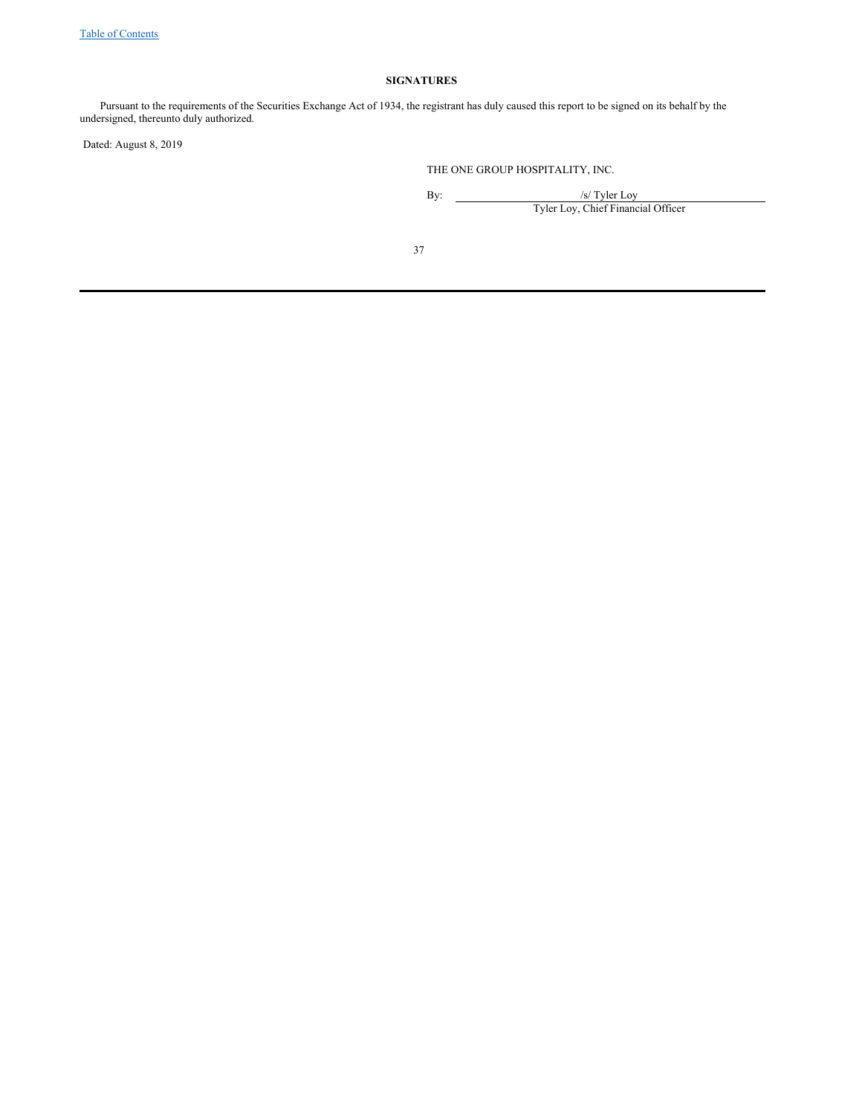# <span id="page-36-0"></span>**SIGNATURES**

Pursuant to the requirements of the Securities Exchange Act of 1934, the registrant has duly caused this report to be signed on its behalf by the undersigned, thereunto duly authorized.

Dated: August 8, 2019

THE ONE GROUP HOSPITALITY, INC.

By:  $\frac{1}{s}$  /s/ Tyler Loy Tyler Loy, Chief Financial Officer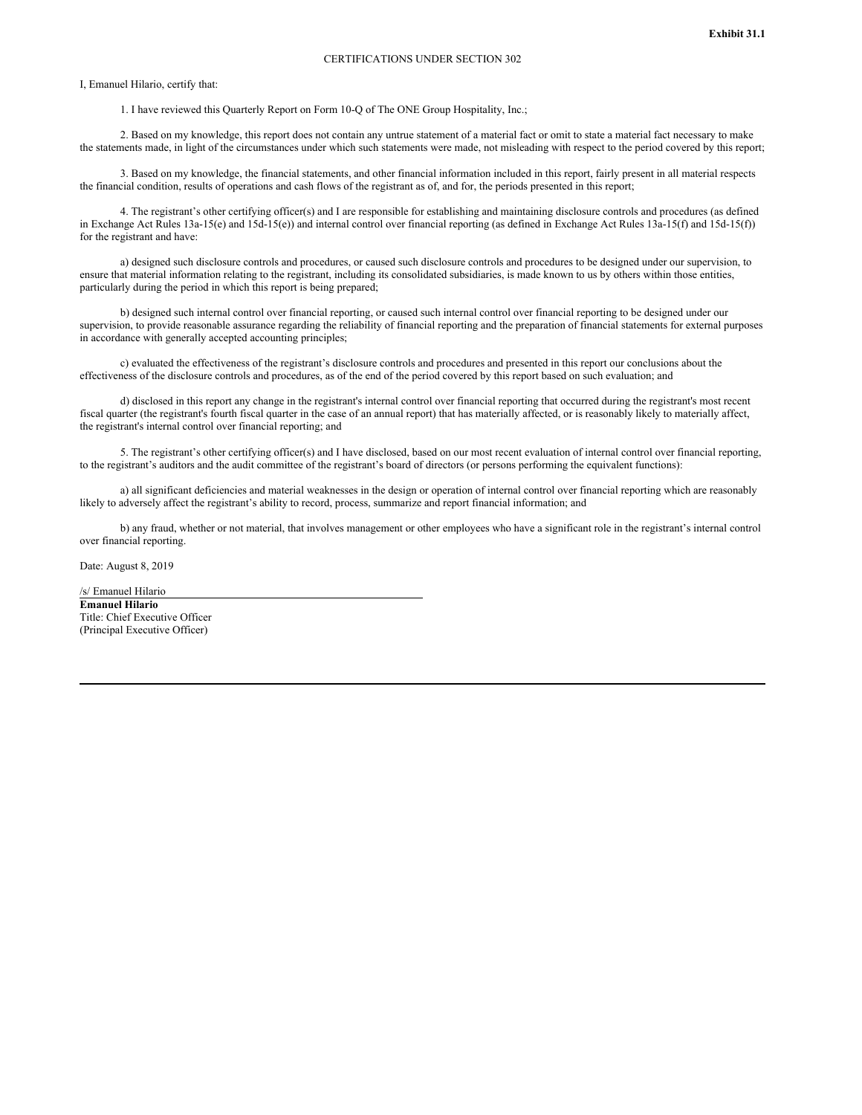<span id="page-38-0"></span>I, Emanuel Hilario, certify that:

1. I have reviewed this Quarterly Report on Form 10-Q of The ONE Group Hospitality, Inc.;

2. Based on my knowledge, this report does not contain any untrue statement of a material fact or omit to state a material fact necessary to make the statements made, in light of the circumstances under which such statements were made, not misleading with respect to the period covered by this report;

3. Based on my knowledge, the financial statements, and other financial information included in this report, fairly present in all material respects the financial condition, results of operations and cash flows of the registrant as of, and for, the periods presented in this report;

4. The registrant's other certifying officer(s) and I are responsible for establishing and maintaining disclosure controls and procedures (as defined in Exchange Act Rules 13a-15(e) and 15d-15(e)) and internal control over financial reporting (as defined in Exchange Act Rules 13a-15(f) and 15d-15(f)) for the registrant and have:

a) designed such disclosure controls and procedures, or caused such disclosure controls and procedures to be designed under our supervision, to ensure that material information relating to the registrant, including its consolidated subsidiaries, is made known to us by others within those entities, particularly during the period in which this report is being prepared;

b) designed such internal control over financial reporting, or caused such internal control over financial reporting to be designed under our supervision, to provide reasonable assurance regarding the reliability of financial reporting and the preparation of financial statements for external purposes in accordance with generally accepted accounting principles;

c) evaluated the effectiveness of the registrant's disclosure controls and procedures and presented in this report our conclusions about the effectiveness of the disclosure controls and procedures, as of the end of the period covered by this report based on such evaluation; and

d) disclosed in this report any change in the registrant's internal control over financial reporting that occurred during the registrant's most recent fiscal quarter (the registrant's fourth fiscal quarter in the case of an annual report) that has materially affected, or is reasonably likely to materially affect, the registrant's internal control over financial reporting; and

5. The registrant's other certifying officer(s) and I have disclosed, based on our most recent evaluation of internal control over financial reporting, to the registrant's auditors and the audit committee of the registrant's board of directors (or persons performing the equivalent functions):

a) all significant deficiencies and material weaknesses in the design or operation of internal control over financial reporting which are reasonably likely to adversely affect the registrant's ability to record, process, summarize and report financial information; and

b) any fraud, whether or not material, that involves management or other employees who have a significant role in the registrant's internal control over financial reporting.

Date: August 8, 2019

/s/ Emanuel Hilario **Emanuel Hilario** Title: Chief Executive Officer (Principal Executive Officer)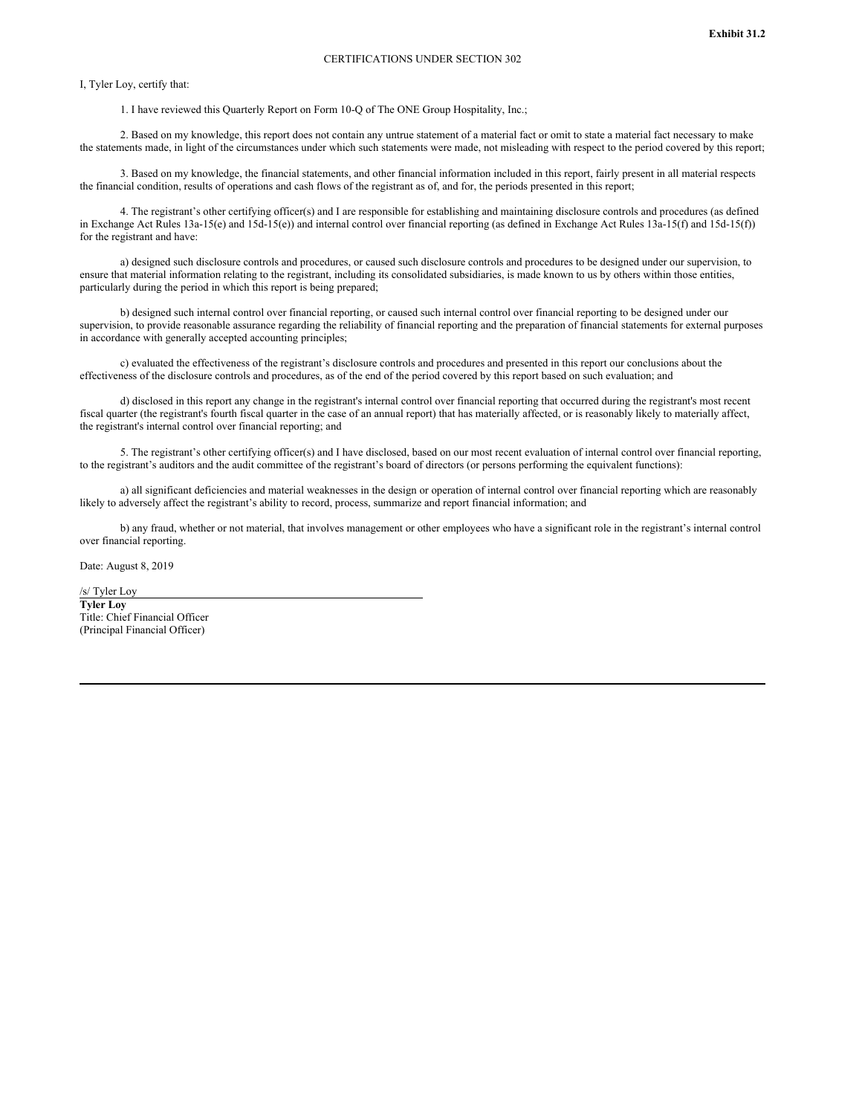<span id="page-40-0"></span>I, Tyler Loy, certify that:

1. I have reviewed this Quarterly Report on Form 10-Q of The ONE Group Hospitality, Inc.;

2. Based on my knowledge, this report does not contain any untrue statement of a material fact or omit to state a material fact necessary to make the statements made, in light of the circumstances under which such statements were made, not misleading with respect to the period covered by this report;

3. Based on my knowledge, the financial statements, and other financial information included in this report, fairly present in all material respects the financial condition, results of operations and cash flows of the registrant as of, and for, the periods presented in this report;

4. The registrant's other certifying officer(s) and I are responsible for establishing and maintaining disclosure controls and procedures (as defined in Exchange Act Rules 13a-15(e) and 15d-15(e)) and internal control over financial reporting (as defined in Exchange Act Rules 13a-15(f) and 15d-15(f)) for the registrant and have:

a) designed such disclosure controls and procedures, or caused such disclosure controls and procedures to be designed under our supervision, to ensure that material information relating to the registrant, including its consolidated subsidiaries, is made known to us by others within those entities, particularly during the period in which this report is being prepared;

b) designed such internal control over financial reporting, or caused such internal control over financial reporting to be designed under our supervision, to provide reasonable assurance regarding the reliability of financial reporting and the preparation of financial statements for external purposes in accordance with generally accepted accounting principles;

c) evaluated the effectiveness of the registrant's disclosure controls and procedures and presented in this report our conclusions about the effectiveness of the disclosure controls and procedures, as of the end of the period covered by this report based on such evaluation; and

d) disclosed in this report any change in the registrant's internal control over financial reporting that occurred during the registrant's most recent fiscal quarter (the registrant's fourth fiscal quarter in the case of an annual report) that has materially affected, or is reasonably likely to materially affect, the registrant's internal control over financial reporting; and

5. The registrant's other certifying officer(s) and I have disclosed, based on our most recent evaluation of internal control over financial reporting, to the registrant's auditors and the audit committee of the registrant's board of directors (or persons performing the equivalent functions):

a) all significant deficiencies and material weaknesses in the design or operation of internal control over financial reporting which are reasonably likely to adversely affect the registrant's ability to record, process, summarize and report financial information; and

b) any fraud, whether or not material, that involves management or other employees who have a significant role in the registrant's internal control over financial reporting.

Date: August 8, 2019

/s/ Tyler Loy **Tyler Loy** Title: Chief Financial Officer (Principal Financial Officer)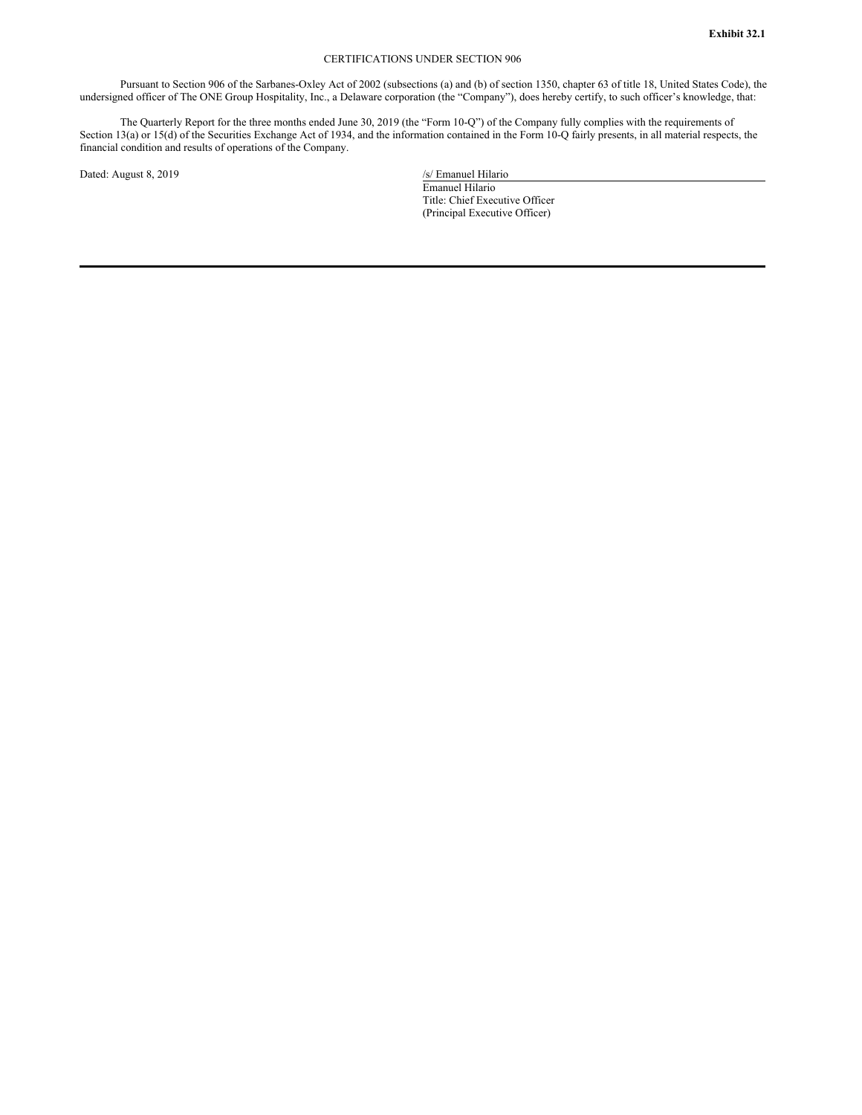# CERTIFICATIONS UNDER SECTION 906

<span id="page-42-0"></span>Pursuant to Section 906 of the Sarbanes-Oxley Act of 2002 (subsections (a) and (b) of section 1350, chapter 63 of title 18, United States Code), the undersigned officer of The ONE Group Hospitality, Inc., a Delaware corporation (the "Company"), does hereby certify, to such officer's knowledge, that:

The Quarterly Report for the three months ended June 30, 2019 (the "Form 10-Q") of the Company fully complies with the requirements of Section 13(a) or 15(d) of the Securities Exchange Act of 1934, and the information contained in the Form 10-Q fairly presents, in all material respects, the financial condition and results of operations of the Company.

Dated: August 8, 2019 /s/ Emanuel Hilario

Emanuel Hilario Title: Chief Executive Officer (Principal Executive Officer)